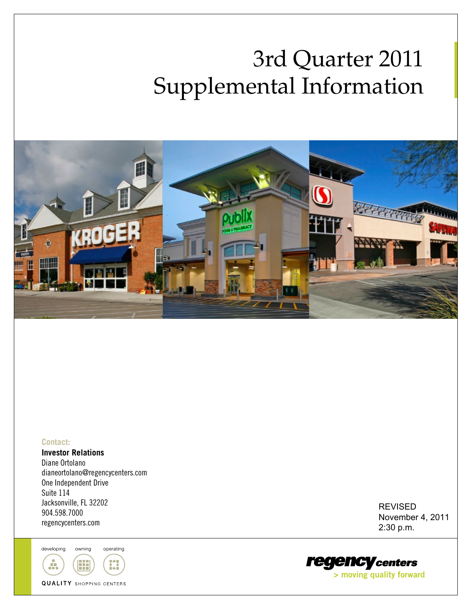# 3rd Quarter 2011 Supplemental Information



#### **Contact:**

**Investor Relations** Diane Ortolano dianeortolano@regencycenters.com One Independent Drive Suite 114 Jacksonville, FL 32202 904.598.7000 regencycenters.com

developing owning operating



REVISED November 4, 2011 2:30 p.m.

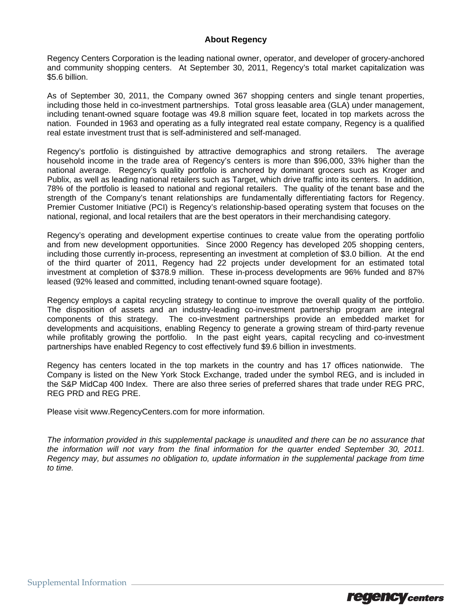#### **About Regency**

Regency Centers Corporation is the leading national owner, operator, and developer of grocery-anchored and community shopping centers. At September 30, 2011, Regency's total market capitalization was \$5.6 billion.

As of September 30, 2011, the Company owned 367 shopping centers and single tenant properties, including those held in co-investment partnerships. Total gross leasable area (GLA) under management, including tenant-owned square footage was 49.8 million square feet, located in top markets across the nation. Founded in 1963 and operating as a fully integrated real estate company, Regency is a qualified real estate investment trust that is self-administered and self-managed.

Regency's portfolio is distinguished by attractive demographics and strong retailers. The average household income in the trade area of Regency's centers is more than \$96,000, 33% higher than the national average. Regency's quality portfolio is anchored by dominant grocers such as Kroger and Publix, as well as leading national retailers such as Target, which drive traffic into its centers. In addition, 78% of the portfolio is leased to national and regional retailers. The quality of the tenant base and the strength of the Company's tenant relationships are fundamentally differentiating factors for Regency. Premier Customer Initiative (PCI) is Regency's relationship-based operating system that focuses on the national, regional, and local retailers that are the best operators in their merchandising category.

Regency's operating and development expertise continues to create value from the operating portfolio and from new development opportunities. Since 2000 Regency has developed 205 shopping centers, including those currently in-process, representing an investment at completion of \$3.0 billion. At the end of the third quarter of 2011, Regency had 22 projects under development for an estimated total investment at completion of \$378.9 million. These in-process developments are 96% funded and 87% leased (92% leased and committed, including tenant-owned square footage).

Regency employs a capital recycling strategy to continue to improve the overall quality of the portfolio. The disposition of assets and an industry-leading co-investment partnership program are integral components of this strategy. The co-investment partnerships provide an embedded market for developments and acquisitions, enabling Regency to generate a growing stream of third-party revenue while profitably growing the portfolio. In the past eight years, capital recycling and co-investment partnerships have enabled Regency to cost effectively fund \$9.6 billion in investments.

Regency has centers located in the top markets in the country and has 17 offices nationwide. The Company is listed on the New York Stock Exchange, traded under the symbol REG, and is included in the S&P MidCap 400 Index. There are also three series of preferred shares that trade under REG PRC, REG PRD and REG PRE.

Please visit www.RegencyCenters.com for more information.

*The information provided in this supplemental package is unaudited and there can be no assurance that the information will not vary from the final information for the quarter ended September 30, 2011. Regency may, but assumes no obligation to, update information in the supplemental package from time to time.* 

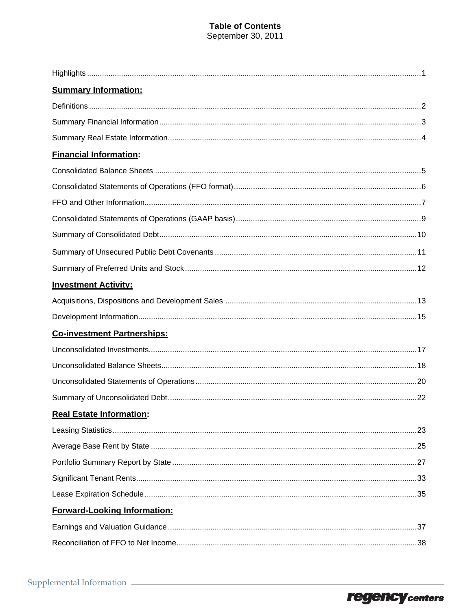### **Table of Contents** September 30, 2011

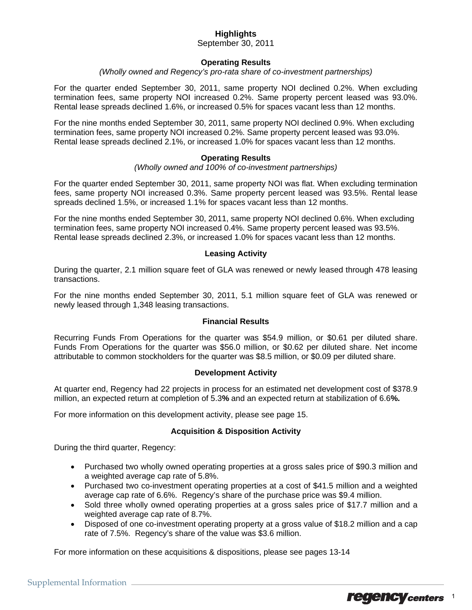### **Highlights**

September 30, 2011

#### **Operating Results**

*(Wholly owned and Regency's pro-rata share of co-investment partnerships)* 

For the quarter ended September 30, 2011, same property NOI declined 0.2%. When excluding termination fees, same property NOI increased 0.2%. Same property percent leased was 93.0%. Rental lease spreads declined 1.6%, or increased 0.5% for spaces vacant less than 12 months.

For the nine months ended September 30, 2011, same property NOI declined 0.9%. When excluding termination fees, same property NOI increased 0.2%. Same property percent leased was 93.0%. Rental lease spreads declined 2.1%, or increased 1.0% for spaces vacant less than 12 months.

#### **Operating Results**

*(Wholly owned and 100% of co-investment partnerships)* 

For the quarter ended September 30, 2011, same property NOI was flat. When excluding termination fees, same property NOI increased 0.3%. Same property percent leased was 93.5%. Rental lease spreads declined 1.5%, or increased 1.1% for spaces vacant less than 12 months.

For the nine months ended September 30, 2011, same property NOI declined 0.6%. When excluding termination fees, same property NOI increased 0.4%. Same property percent leased was 93.5%. Rental lease spreads declined 2.3%, or increased 1.0% for spaces vacant less than 12 months.

#### **Leasing Activity**

During the quarter, 2.1 million square feet of GLA was renewed or newly leased through 478 leasing transactions.

For the nine months ended September 30, 2011, 5.1 million square feet of GLA was renewed or newly leased through 1,348 leasing transactions.

#### **Financial Results**

Recurring Funds From Operations for the quarter was \$54.9 million, or \$0.61 per diluted share. Funds From Operations for the quarter was \$56.0 million, or \$0.62 per diluted share. Net income attributable to common stockholders for the quarter was \$8.5 million, or \$0.09 per diluted share.

#### **Development Activity**

At quarter end, Regency had 22 projects in process for an estimated net development cost of \$378.9 million, an expected return at completion of 5.3**%** and an expected return at stabilization of 6.6**%.**

For more information on this development activity, please see page 15.

#### **Acquisition & Disposition Activity**

During the third quarter, Regency:

- Purchased two wholly owned operating properties at a gross sales price of \$90.3 million and a weighted average cap rate of 5.8%.
- Purchased two co-investment operating properties at a cost of \$41.5 million and a weighted average cap rate of 6.6%. Regency's share of the purchase price was \$9.4 million.
- Sold three wholly owned operating properties at a gross sales price of \$17.7 million and a weighted average cap rate of 8.7%.
- Disposed of one co-investment operating property at a gross value of \$18.2 million and a cap rate of 7.5%. Regency's share of the value was \$3.6 million.

For more information on these acquisitions & dispositions, please see pages 13-14

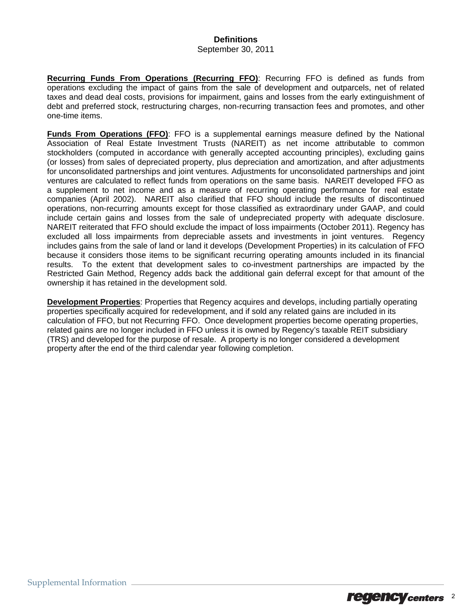### **Definitions**

#### September 30, 2011

**Recurring Funds From Operations (Recurring FFO)**: Recurring FFO is defined as funds from operations excluding the impact of gains from the sale of development and outparcels, net of related taxes and dead deal costs, provisions for impairment, gains and losses from the early extinguishment of debt and preferred stock, restructuring charges, non-recurring transaction fees and promotes, and other one-time items.

**Funds From Operations (FFO)**: FFO is a supplemental earnings measure defined by the National Association of Real Estate Investment Trusts (NAREIT) as net income attributable to common stockholders (computed in accordance with generally accepted accounting principles), excluding gains (or losses) from sales of depreciated property, plus depreciation and amortization, and after adjustments for unconsolidated partnerships and joint ventures. Adjustments for unconsolidated partnerships and joint ventures are calculated to reflect funds from operations on the same basis. NAREIT developed FFO as a supplement to net income and as a measure of recurring operating performance for real estate companies (April 2002). NAREIT also clarified that FFO should include the results of discontinued operations, non-recurring amounts except for those classified as extraordinary under GAAP, and could include certain gains and losses from the sale of undepreciated property with adequate disclosure. NAREIT reiterated that FFO should exclude the impact of loss impairments (October 2011). Regency has excluded all loss impairments from depreciable assets and investments in joint ventures. Regency includes gains from the sale of land or land it develops (Development Properties) in its calculation of FFO because it considers those items to be significant recurring operating amounts included in its financial results. To the extent that development sales to co-investment partnerships are impacted by the Restricted Gain Method, Regency adds back the additional gain deferral except for that amount of the ownership it has retained in the development sold.

**Development Properties**: Properties that Regency acquires and develops, including partially operating properties specifically acquired for redevelopment, and if sold any related gains are included in its calculation of FFO, but not Recurring FFO. Once development properties become operating properties, related gains are no longer included in FFO unless it is owned by Regency's taxable REIT subsidiary (TRS) and developed for the purpose of resale. A property is no longer considered a development property after the end of the third calendar year following completion.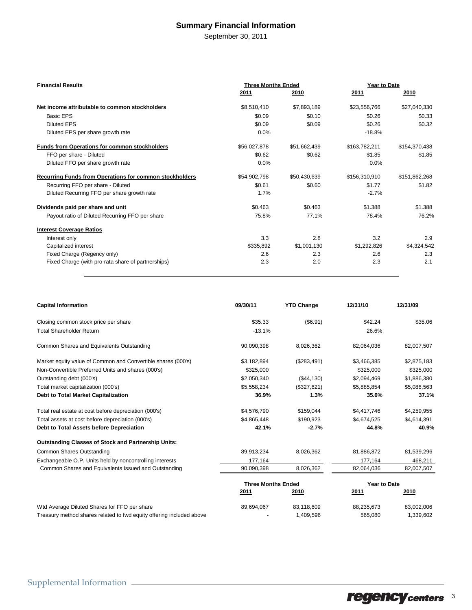### **Summary Financial Information**

September 30, 2011

| <b>Financial Results</b>                                       | <b>Three Months Ended</b> |              | Year to Date  |               |  |
|----------------------------------------------------------------|---------------------------|--------------|---------------|---------------|--|
|                                                                | 2011                      | 2010         | <u>2011</u>   | 2010          |  |
| Net income attributable to common stockholders                 | \$8,510,410               | \$7,893,189  | \$23,556,766  | \$27,040,330  |  |
| <b>Basic EPS</b>                                               | \$0.09                    | \$0.10       | \$0.26        | \$0.33        |  |
| <b>Diluted EPS</b>                                             | \$0.09                    | \$0.09       | \$0.26        | \$0.32        |  |
| Diluted EPS per share growth rate                              | 0.0%                      |              | $-18.8%$      |               |  |
| <b>Funds from Operations for common stockholders</b>           | \$56,027,878              | \$51,662,439 | \$163,782,211 | \$154,370,438 |  |
| FFO per share - Diluted                                        | \$0.62                    | \$0.62       | \$1.85        | \$1.85        |  |
| Diluted FFO per share growth rate                              | 0.0%                      |              | 0.0%          |               |  |
| <b>Recurring Funds from Operations for common stockholders</b> | \$54,902,798              | \$50,430,639 | \$156,310,910 | \$151,862,268 |  |
| Recurring FFO per share - Diluted                              | \$0.61                    | \$0.60       | \$1.77        | \$1.82        |  |
| Diluted Recurring FFO per share growth rate                    | 1.7%                      |              | $-2.7%$       |               |  |
| Dividends paid per share and unit                              | \$0.463                   | \$0.463      | \$1.388       | \$1.388       |  |
| Payout ratio of Diluted Recurring FFO per share                | 75.8%                     | 77.1%        | 78.4%         | 76.2%         |  |
| <b>Interest Coverage Ratios</b>                                |                           |              |               |               |  |
| Interest only                                                  | 3.3                       | 2.8          | 3.2           | 2.9           |  |
| Capitalized interest                                           | \$335,892                 | \$1,001,130  | \$1,292,826   | \$4,324,542   |  |
| Fixed Charge (Regency only)                                    | 2.6                       | 2.3          | 2.6           | 2.3           |  |
| Fixed Charge (with pro-rata share of partnerships)             | 2.3                       | 2.0          | 2.3           | 2.1           |  |

| <b>Capital Information</b>                                           | 09/30/11                  | <b>YTD Change</b> | 12/31/10     | 12/31/09    |  |
|----------------------------------------------------------------------|---------------------------|-------------------|--------------|-------------|--|
| Closing common stock price per share                                 | \$35.33                   | (\$6.91)          | \$42.24      | \$35.06     |  |
| <b>Total Shareholder Return</b>                                      | $-13.1%$                  |                   | 26.6%        |             |  |
| Common Shares and Equivalents Outstanding                            | 90,090,398                | 8,026,362         | 82,064,036   | 82,007,507  |  |
| Market equity value of Common and Convertible shares (000's)         | \$3,182,894               | (\$283,491)       | \$3,466,385  | \$2,875,183 |  |
| Non-Convertible Preferred Units and shares (000's)                   | \$325,000                 |                   | \$325,000    | \$325,000   |  |
| Outstanding debt (000's)                                             | \$2,050,340               | (\$44,130)        | \$2,094,469  | \$1,886,380 |  |
| Total market capitalization (000's)                                  | \$5,558,234               | (\$327,621)       | \$5,885,854  | \$5,086,563 |  |
| Debt to Total Market Capitalization                                  | 36.9%                     | 1.3%              | 35.6%        | 37.1%       |  |
| Total real estate at cost before depreciation (000's)                | \$4,576,790               | \$159,044         | \$4,417,746  | \$4,259,955 |  |
| Total assets at cost before depreciation (000's)                     | \$4,865,448               | \$190,923         | \$4,674,525  | \$4,614,391 |  |
| Debt to Total Assets before Depreciation                             | 42.1%                     | $-2.7%$           | 44.8%        | 40.9%       |  |
| <b>Outstanding Classes of Stock and Partnership Units:</b>           |                           |                   |              |             |  |
| <b>Common Shares Outstanding</b>                                     | 89,913,234                | 8,026,362         | 81,886,872   | 81,539,296  |  |
| Exchangeable O.P. Units held by noncontrolling interests             | 177,164                   |                   | 177,164      | 468,211     |  |
| Common Shares and Equivalents Issued and Outstanding                 | 90,090,398                | 8,026,362         | 82,064,036   | 82,007,507  |  |
|                                                                      | <b>Three Months Ended</b> |                   | Year to Date |             |  |
|                                                                      | 2011                      | 2010              | 2011         | 2010        |  |
| Wtd Average Diluted Shares for FFO per share                         | 89,694,067                | 83,118,609        | 88,235,673   | 83,002,006  |  |
| Treasury method shares related to fwd equity offering included above |                           | 1,409,596         | 565,080      | 1,339,602   |  |

regency centers 3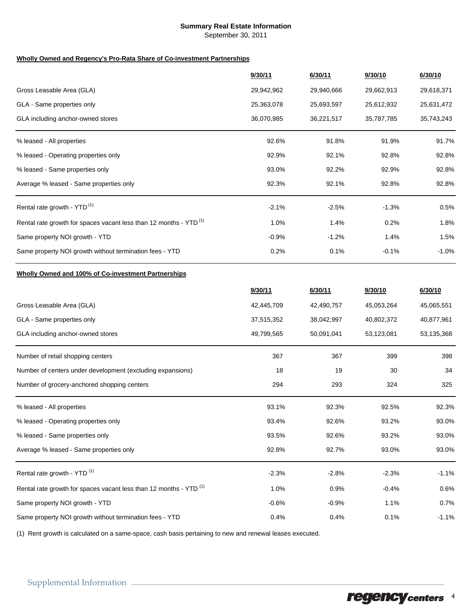#### **Summary Real Estate Information**

September 30, 2011

#### **Wholly Owned and Regency's Pro-Rata Share of Co-investment Partnerships**

|                                                                               | 9/30/11    | 6/30/11    | 9/30/10    | 6/30/10    |
|-------------------------------------------------------------------------------|------------|------------|------------|------------|
| Gross Leasable Area (GLA)                                                     | 29,942,962 | 29,940,666 | 29,662,913 | 29,618,371 |
| GLA - Same properties only                                                    | 25,363,078 | 25,693,597 | 25,612,932 | 25,631,472 |
| GLA including anchor-owned stores                                             | 36,070,985 | 36,221,517 | 35,787,785 | 35,743,243 |
| % leased - All properties                                                     | 92.6%      | 91.8%      | 91.9%      | 91.7%      |
| % leased - Operating properties only                                          | 92.9%      | 92.1%      | 92.8%      | 92.8%      |
| % leased - Same properties only                                               | 93.0%      | 92.2%      | 92.9%      | 92.8%      |
| Average % leased - Same properties only                                       | 92.3%      | 92.1%      | 92.8%      | 92.8%      |
| Rental rate growth - YTD <sup>(1)</sup>                                       | $-2.1%$    | $-2.5%$    | $-1.3%$    | 0.5%       |
| Rental rate growth for spaces vacant less than 12 months - YTD <sup>(1)</sup> | 1.0%       | 1.4%       | 0.2%       | 1.8%       |
| Same property NOI growth - YTD                                                | $-0.9%$    | $-1.2%$    | 1.4%       | 1.5%       |
| Same property NOI growth without termination fees - YTD                       | 0.2%       | 0.1%       | $-0.1%$    | $-1.0%$    |

#### **Wholly Owned and 100% of Co-investment Partnerships**

|                                                                               | 9/30/11    | 6/30/11    | 9/30/10    | 6/30/10    |
|-------------------------------------------------------------------------------|------------|------------|------------|------------|
| Gross Leasable Area (GLA)                                                     | 42,445,709 | 42,490,757 | 45,053,264 | 45,065,551 |
| GLA - Same properties only                                                    | 37,515,352 | 38,042,997 | 40,802,372 | 40,877,961 |
| GLA including anchor-owned stores                                             | 49,799,565 | 50,091,041 | 53,123,081 | 53,135,368 |
| Number of retail shopping centers                                             | 367        | 367        | 399        | 398        |
| Number of centers under development (excluding expansions)                    | 18         | 19         | 30         | 34         |
| Number of grocery-anchored shopping centers                                   | 294        | 293        | 324        | 325        |
| % leased - All properties                                                     | 93.1%      | 92.3%      | 92.5%      | 92.3%      |
| % leased - Operating properties only                                          | 93.4%      | 92.6%      | 93.2%      | 93.0%      |
| % leased - Same properties only                                               | 93.5%      | 92.6%      | 93.2%      | 93.0%      |
| Average % leased - Same properties only                                       | 92.8%      | 92.7%      | 93.0%      | 93.0%      |
| Rental rate growth - YTD <sup>(1)</sup>                                       | $-2.3%$    | $-2.8%$    | $-2.3%$    | $-1.1%$    |
| Rental rate growth for spaces vacant less than 12 months - YTD <sup>(1)</sup> | 1.0%       | 0.9%       | $-0.4%$    | 0.6%       |
| Same property NOI growth - YTD                                                | $-0.6%$    | $-0.9%$    | 1.1%       | 0.7%       |
| Same property NOI growth without termination fees - YTD                       | 0.4%       | 0.4%       | 0.1%       | $-1.1%$    |

(1) Rent growth is calculated on a same-space, cash basis pertaining to new and renewal leases executed.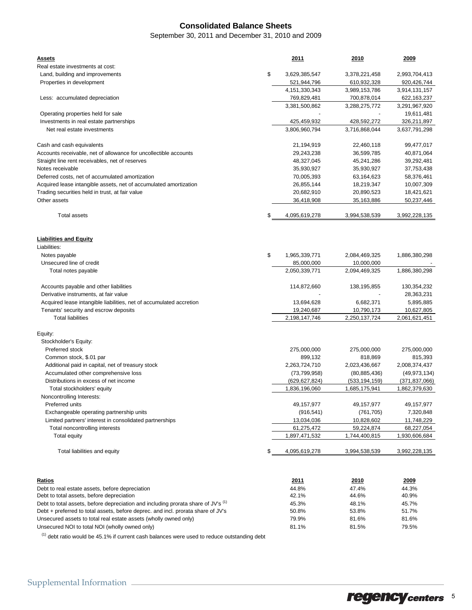### **Consolidated Balance Sheets**

September 30, 2011 and December 31, 2010 and 2009

| <u>Assets</u><br>Real estate investments at cost:                                 | 2011                | 2010            | 2009            |
|-----------------------------------------------------------------------------------|---------------------|-----------------|-----------------|
| Land, building and improvements                                                   | \$<br>3,629,385,547 | 3,378,221,458   | 2,993,704,413   |
| Properties in development                                                         | 521,944,796         | 610,932,328     | 920,426,744     |
|                                                                                   | 4, 151, 330, 343    | 3,989,153,786   | 3,914,131,157   |
| Less: accumulated depreciation                                                    | 769,829,481         | 700,878,014     | 622,163,237     |
|                                                                                   | 3,381,500,862       | 3,288,275,772   | 3,291,967,920   |
| Operating properties held for sale                                                |                     |                 | 19,611,481      |
| Investments in real estate partnerships                                           | 425,459,932         | 428,592,272     | 326,211,897     |
| Net real estate investments                                                       | 3,806,960,794       | 3,716,868,044   | 3,637,791,298   |
| Cash and cash equivalents                                                         | 21,194,919          | 22,460,118      | 99,477,017      |
| Accounts receivable, net of allowance for uncollectible accounts                  | 29,243,238          | 36,599,785      | 40,871,064      |
| Straight line rent receivables, net of reserves                                   | 48,327,045          | 45,241,286      | 39,292,481      |
| Notes receivable                                                                  | 35,930,927          | 35,930,927      | 37,753,438      |
| Deferred costs, net of accumulated amortization                                   | 70,005,393          | 63,164,623      | 58,376,461      |
| Acquired lease intangible assets, net of accumulated amortization                 | 26,855,144          | 18,219,347      | 10,007,309      |
| Trading securities held in trust, at fair value                                   | 20,682,910          | 20,890,523      | 18,421,621      |
| Other assets                                                                      | 36,418,908          | 35,163,886      | 50,237,446      |
| <b>Total assets</b>                                                               | \$<br>4,095,619,278 | 3,994,538,539   | 3,992,228,135   |
| <b>Liabilities and Equity</b><br>Liabilities:                                     |                     |                 |                 |
| Notes payable                                                                     | \$<br>1,965,339,771 | 2,084,469,325   | 1,886,380,298   |
| Unsecured line of credit                                                          | 85,000,000          | 10,000,000      |                 |
| Total notes payable                                                               | 2,050,339,771       | 2,094,469,325   | 1,886,380,298   |
|                                                                                   |                     |                 |                 |
| Accounts payable and other liabilities                                            | 114,872,660         | 138, 195, 855   | 130,354,232     |
| Derivative instruments, at fair value                                             |                     |                 | 28,363,231      |
| Acquired lease intangible liabilities, net of accumulated accretion               | 13,694,628          | 6,682,371       | 5,895,885       |
| Tenants' security and escrow deposits                                             | 19,240,687          | 10,790,173      | 10,627,805      |
| <b>Total liabilities</b>                                                          | 2,198,147,746       | 2,250,137,724   | 2,061,621,451   |
| Equity:                                                                           |                     |                 |                 |
| Stockholder's Equity:                                                             |                     |                 |                 |
| Preferred stock                                                                   | 275,000,000         | 275,000,000     | 275,000,000     |
| Common stock, \$.01 par                                                           | 899,132             | 818,869         | 815,393         |
| Additional paid in capital, net of treasury stock                                 | 2,263,724,710       | 2,023,436,667   | 2,008,374,437   |
| Accumulated other comprehensive loss                                              | (73, 799, 958)      | (80, 885, 436)  | (49, 973, 134)  |
| Distributions in excess of net income                                             | (629, 627, 824)     | (533, 194, 159) | (371, 837, 066) |
| Total stockholders' equity                                                        | 1,836,196,060       | 1,685,175,941   | 1,862,379,630   |
| Noncontrolling Interests:                                                         |                     |                 |                 |
| Preferred units                                                                   | 49,157,977          | 49, 157, 977    | 49,157,977      |
| Exchangeable operating partnership units                                          | (916, 541)          | (761, 705)      | 7,320,848       |
| Limited partners' interest in consolidated partnerships                           | 13,034,036          | 10,828,602      | 11,748,229      |
| Total noncontrolling interests                                                    | 61,275,472          | 59,224,874      | 68,227,054      |
| Total equity                                                                      | 1,897,471,532       | 1,744,400,815   | 1,930,606,684   |
| Total liabilities and equity                                                      | \$<br>4,095,619,278 | 3,994,538,539   | 3,992,228,135   |
|                                                                                   |                     |                 |                 |
| <b>Ratios</b>                                                                     | 2011                | 2010            | 2009            |
| Debt to real estate assets, before depreciation                                   | 44.8%               | 47.4%           | 44.3%           |
| Debt to total assets, before depreciation                                         | 42.1%               | 44.6%           | 40.9%           |
| Debt to total assets, before depreciation and including prorata share of JV's (1) | 45.3%               | 48.1%           | 45.7%           |
| Debt + preferred to total assets, before deprec. and incl. prorata share of JV's  | 50.8%               | 53.8%           | 51.7%           |
| Unsecured assets to total real estate assets (wholly owned only)                  | 79.9%               | 81.6%           | 81.6%           |
| Unsecured NOI to total NOI (wholly owned only)                                    | 81.1%               | 81.5%           | 79.5%           |

 $<sup>(1)</sup>$  debt ratio would be 45.1% if current cash balances were used to reduce outstanding debt</sup>

regencycenters 5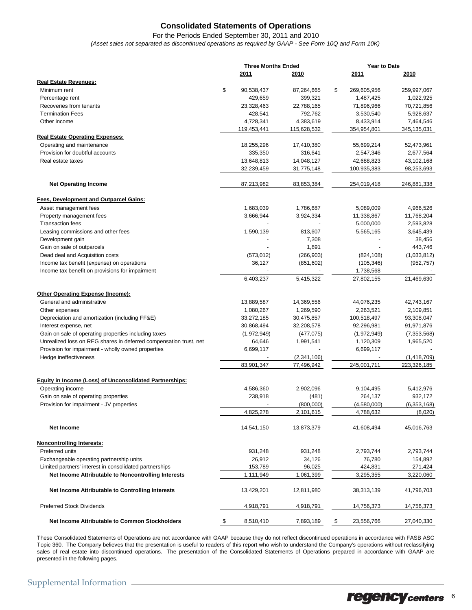### **Consolidated Statements of Operations**

For the Periods Ended September 30, 2011 and 2010 *(Asset sales not separated as discontinued operations as required by GAAP - See Form 10Q and Form 10K)*

|                                                                   | <b>Three Months Ended</b> |             | Year to Date      |               |
|-------------------------------------------------------------------|---------------------------|-------------|-------------------|---------------|
|                                                                   | 2011                      | 2010        | 2011              | 2010          |
| <b>Real Estate Revenues:</b>                                      |                           |             |                   |               |
| Minimum rent                                                      | \$<br>90,538,437          | 87,264,665  | \$<br>269,605,956 | 259,997,067   |
| Percentage rent                                                   | 429,659                   | 399,321     | 1,487,425         | 1,022,925     |
| Recoveries from tenants                                           | 23,328,463                | 22,788,165  | 71,896,966        | 70,721,856    |
| <b>Termination Fees</b>                                           | 428,541                   | 792,762     | 3,530,540         | 5,928,637     |
| Other income                                                      | 4,728,341                 | 4,383,619   | 8,433,914         | 7,464,546     |
|                                                                   | 119,453,441               | 115,628,532 | 354,954,801       | 345,135,031   |
| <b>Real Estate Operating Expenses:</b>                            |                           |             |                   |               |
| Operating and maintenance                                         | 18,255,296                | 17,410,380  | 55,699,214        | 52,473,961    |
| Provision for doubtful accounts                                   | 335,350                   | 316,641     | 2,547,346         | 2,677,564     |
| Real estate taxes                                                 | 13,648,813                | 14,048,127  | 42,688,823        | 43,102,168    |
|                                                                   | 32,239,459                | 31,775,148  | 100,935,383       | 98,253,693    |
| <b>Net Operating Income</b>                                       | 87,213,982                | 83,853,384  | 254,019,418       | 246,881,338   |
| Fees, Development and Outparcel Gains:                            |                           |             |                   |               |
| Asset management fees                                             | 1,683,039                 | 1,786,687   | 5,089,009         | 4,966,526     |
| Property management fees                                          | 3,666,944                 | 3,924,334   | 11,338,867        | 11,768,204    |
| <b>Transaction fees</b>                                           |                           |             | 5,000,000         | 2,593,828     |
| Leasing commissions and other fees                                | 1,590,139                 | 813,607     | 5,565,165         | 3,645,439     |
| Development gain                                                  |                           | 7,308       |                   | 38,456        |
| Gain on sale of outparcels                                        |                           | 1,891       |                   | 443,746       |
| Dead deal and Acquisition costs                                   | (573, 012)                | (266, 903)  | (824, 108)        | (1,033,812)   |
| Income tax benefit (expense) on operations                        | 36,127                    | (851, 602)  | (105, 346)        | (952, 757)    |
| Income tax benefit on provisions for impairment                   |                           |             | 1,738,568         |               |
|                                                                   | 6,403,237                 | 5,415,322   | 27,802,155        | 21,469,630    |
|                                                                   |                           |             |                   |               |
| <b>Other Operating Expense (Income):</b>                          |                           |             |                   |               |
| General and administrative                                        | 13,889,587                | 14,369,556  | 44,076,235        | 42,743,167    |
| Other expenses                                                    | 1,080,267                 | 1,269,590   | 2,263,521         | 2,109,851     |
| Depreciation and amortization (including FF&E)                    | 33,272,185                | 30,475,857  | 100,518,497       | 93,308,047    |
| Interest expense, net                                             | 30,868,494                | 32,208,578  | 92,296,981        | 91,971,876    |
| Gain on sale of operating properties including taxes              | (1,972,949)               | (477, 075)  | (1,972,949)       | (7, 353, 568) |
| Unrealized loss on REG shares in deferred compensation trust, net | 64,646                    | 1,991,541   | 1,120,309         | 1,965,520     |
| Provision for impairment - wholly owned properties                | 6,699,117                 |             | 6,699,117         |               |
| Hedge ineffectiveness                                             |                           | (2,341,106) |                   | (1,418,709)   |
|                                                                   | 83,901,347                | 77,496,942  | 245,001,711       | 223,326,185   |
| Equity in Income (Loss) of Unconsolidated Partnerships:           |                           |             |                   |               |
| Operating income                                                  | 4,586,360                 | 2,902,096   | 9,104,495         | 5,412,976     |
| Gain on sale of operating properties                              | 238,918                   | (481)       | 264,137           | 932,172       |
| Provision for impairment - JV properties                          |                           | (800,000)   | (4,580,000)       | (6, 353, 168) |
|                                                                   | 4,825,278                 | 2,101,615   | 4,788,632         | (8,020)       |
|                                                                   |                           |             |                   |               |
| <b>Net Income</b>                                                 | 14,541,150                | 13,873,379  | 41,608,494        | 45,016,763    |
| <b>Noncontrolling Interests:</b>                                  |                           |             |                   |               |
| Preferred units                                                   | 931,248                   | 931,248     | 2,793,744         | 2,793,744     |
| Exchangeable operating partnership units                          | 26,912                    | 34,126      | 76,780            | 154,892       |
| Limited partners' interest in consolidated partnerships           | 153,789                   | 96,025      | 424,831           | 271,424       |
| Net Income Attributable to Noncontrolling Interests               | 1,111,949                 | 1,061,399   | 3,295,355         | 3,220,060     |
| Net Income Attributable to Controlling Interests                  | 13,429,201                | 12,811,980  | 38,313,139        | 41,796,703    |
| <b>Preferred Stock Dividends</b>                                  | 4,918,791                 | 4,918,791   | 14,756,373        | 14,756,373    |
| Net Income Attributable to Common Stockholders                    | 8,510,410<br>\$           | 7,893,189   | \$<br>23,556,766  | 27,040,330    |

These Consolidated Statements of Operations are not accordance with GAAP because they do not reflect discontinued operations in accordance with FASB ASC Topic 360. The Company believes that the presentation is useful to readers of this report who wish to understand the Company's operations without reclassifying sales of real estate into discontinued operations. The presentation of the Consolidated Statements of Operations prepared in accordance with GAAP are presented in the following pages.

## regency centers 6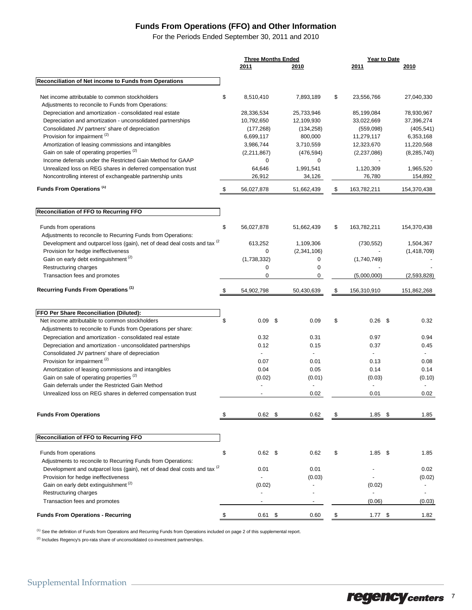### **Funds From Operations (FFO) and Other Information**

For the Periods Ended September 30, 2011 and 2010

|                                                                                                            | <b>Three Months Ended</b> |                 | Year to Date |                |  |                          |
|------------------------------------------------------------------------------------------------------------|---------------------------|-----------------|--------------|----------------|--|--------------------------|
|                                                                                                            | 2011                      | 2010            |              | 2011           |  | 2010                     |
| Reconciliation of Net income to Funds from Operations                                                      |                           |                 |              |                |  |                          |
| Net income attributable to common stockholders                                                             | \$<br>8,510,410           | 7,893,189       | \$           | 23,556,766     |  | 27,040,330               |
| Adjustments to reconcile to Funds from Operations:                                                         |                           |                 |              |                |  |                          |
| Depreciation and amortization - consolidated real estate                                                   | 28,336,534                | 25,733,946      |              | 85,199,084     |  | 78,930,967               |
| Depreciation and amortization - unconsolidated partnerships                                                | 10,792,650                | 12,109,930      |              | 33,022,669     |  | 37,396,274               |
| Consolidated JV partners' share of depreciation                                                            | (177, 268)                | (134, 258)      |              | (559,098)      |  | (405, 541)               |
| Provision for impairment <sup>(2)</sup>                                                                    | 6,699,117                 | 800,000         |              | 11,279,117     |  | 6,353,168                |
| Amortization of leasing commissions and intangibles<br>Gain on sale of operating properties <sup>(2)</sup> | 3,986,744                 | 3,710,559       |              | 12,323,670     |  | 11,220,568               |
| Income deferrals under the Restricted Gain Method for GAAP                                                 | (2,211,867)<br>0          | (476, 594)<br>0 |              | (2, 237, 086)  |  | (8, 285, 740)            |
| Unrealized loss on REG shares in deferred compensation trust                                               | 64,646                    | 1,991,541       |              | 1,120,309      |  | 1,965,520                |
| Noncontrolling interest of exchangeable partnership units                                                  | 26,912                    | 34,126          |              | 76,780         |  | 154,892                  |
| Funds From Operations <sup>(1)</sup>                                                                       | \$<br>56,027,878          | 51,662,439      | \$           | 163,782,211    |  | 154,370,438              |
|                                                                                                            |                           |                 |              |                |  |                          |
| Reconciliation of FFO to Recurring FFO                                                                     |                           |                 |              |                |  |                          |
| Funds from operations                                                                                      | \$<br>56,027,878          | 51,662,439      | \$           | 163,782,211    |  | 154,370,438              |
| Adjustments to reconcile to Recurring Funds from Operations:                                               |                           |                 |              |                |  |                          |
| Development and outparcel loss (gain), net of dead deal costs and tax <sup>(2</sup> )                      | 613,252                   | 1,109,306       |              | (730, 552)     |  | 1,504,367                |
| Provision for hedge ineffectiveness<br>Gain on early debt extinguishment <sup>(2)</sup>                    | 0                         | (2,341,106)     |              |                |  | (1,418,709)              |
| Restructuring charges                                                                                      | (1,738,332)               | 0               |              | (1,740,749)    |  |                          |
| Transaction fees and promotes                                                                              | 0<br>0                    | 0<br>0          |              | (5,000,000)    |  | (2,593,828)              |
|                                                                                                            |                           |                 |              |                |  |                          |
| Recurring Funds From Operations <sup>(1)</sup>                                                             | \$<br>54,902,798          | 50,430,639      | \$           | 156,310,910    |  | 151,862,268              |
|                                                                                                            |                           |                 |              |                |  |                          |
| FFO Per Share Reconciliation (Diluted):<br>Net income attributable to common stockholders                  | \$<br>0.09<br>- \$        | 0.09            | \$           | $0.26$ \$      |  | 0.32                     |
| Adjustments to reconcile to Funds from Operations per share:                                               |                           |                 |              |                |  |                          |
| Depreciation and amortization - consolidated real estate                                                   | 0.32                      | 0.31            |              | 0.97           |  | 0.94                     |
| Depreciation and amortization - unconsolidated partnerships                                                | 0.12                      | 0.15            |              | 0.37           |  | 0.45                     |
| Consolidated JV partners' share of depreciation                                                            | $\overline{a}$            | $\overline{a}$  |              | $\blacksquare$ |  |                          |
| Provision for impairment <sup>(2)</sup>                                                                    | 0.07                      | 0.01            |              | 0.13           |  | 0.08                     |
| Amortization of leasing commissions and intangibles                                                        | 0.04                      | 0.05            |              | 0.14           |  | 0.14                     |
| Gain on sale of operating properties <sup>(2)</sup>                                                        | (0.02)                    | (0.01)          |              | (0.03)         |  | (0.10)                   |
| Gain deferrals under the Restricted Gain Method                                                            |                           |                 |              | $\blacksquare$ |  |                          |
| Unrealized loss on REG shares in deferred compensation trust                                               | $\blacksquare$            | 0.02            |              | 0.01           |  | 0.02                     |
| <b>Funds From Operations</b>                                                                               | $0.62$ \$                 | 0.62            |              | $1.85$ \$      |  | 1.85                     |
|                                                                                                            |                           |                 |              |                |  |                          |
| Reconciliation of FFO to Recurring FFO                                                                     |                           |                 |              |                |  |                          |
| Funds from operations                                                                                      | \$<br>$0.62$ \$           | 0.62            | \$           | $1.85$ \$      |  | 1.85                     |
| Adjustments to reconcile to Recurring Funds from Operations:                                               |                           |                 |              |                |  |                          |
| Development and outparcel loss (gain), net of dead deal costs and tax <sup>(2</sup> )                      | 0.01                      | 0.01            |              |                |  | 0.02                     |
| Provision for hedge ineffectiveness                                                                        | $\overline{a}$            | (0.03)          |              |                |  | (0.02)                   |
| Gain on early debt extinguishment <sup>(2)</sup>                                                           | (0.02)                    |                 |              | (0.02)         |  | $\overline{\phantom{a}}$ |
| Restructuring charges                                                                                      |                           |                 |              |                |  |                          |
| Transaction fees and promotes                                                                              |                           |                 |              | (0.06)         |  | (0.03)                   |
| <b>Funds From Operations - Recurring</b>                                                                   | \$<br>$0.61$ \$           | 0.60            | \$           | $1.77$ \$      |  | 1.82                     |

(1) See the definition of Funds from Operations and Recurring Funds from Operations included on page 2 of this supplemental report.

<sup>(2)</sup> Includes Regency's pro-rata share of unconsolidated co-investment partnerships.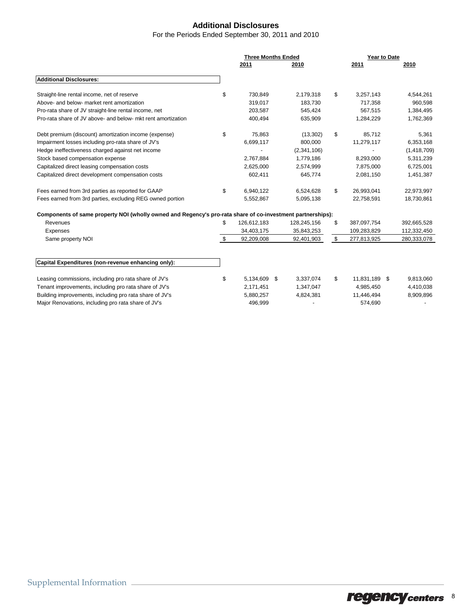### **Additional Disclosures**

#### For the Periods Ended September 30, 2011 and 2010

|                                                                                                            | <b>Three Months Ended</b> |             |    | Year to Date  |             |  |
|------------------------------------------------------------------------------------------------------------|---------------------------|-------------|----|---------------|-------------|--|
|                                                                                                            | 2011                      | 2010        |    | 2011          | 2010        |  |
| <b>Additional Disclosures:</b>                                                                             |                           |             |    |               |             |  |
| Straight-line rental income, net of reserve                                                                | \$<br>730,849             | 2,179,318   | \$ | 3,257,143     | 4,544,261   |  |
| Above- and below- market rent amortization                                                                 | 319,017                   | 183,730     |    | 717,358       | 960,598     |  |
| Pro-rata share of JV straight-line rental income, net                                                      | 203.587                   | 545,424     |    | 567,515       | 1,384,495   |  |
| Pro-rata share of JV above- and below- mkt rent amortization                                               | 400,494                   | 635,909     |    | 1,284,229     | 1,762,369   |  |
| Debt premium (discount) amortization income (expense)                                                      | \$<br>75,863              | (13, 302)   | \$ | 85,712        | 5,361       |  |
| Impairment losses including pro-rata share of JV's                                                         | 6,699,117                 | 800,000     |    | 11,279,117    | 6,353,168   |  |
| Hedge ineffectiveness charged against net income                                                           |                           | (2,341,106) |    |               | (1,418,709) |  |
| Stock based compensation expense                                                                           | 2.767.884                 | 1,779,186   |    | 8,293,000     | 5,311,239   |  |
| Capitalized direct leasing compensation costs                                                              | 2,625,000                 | 2,574,999   |    | 7,875,000     | 6,725,001   |  |
| Capitalized direct development compensation costs                                                          | 602,411                   | 645,774     |    | 2,081,150     | 1,451,387   |  |
| Fees earned from 3rd parties as reported for GAAP                                                          | \$<br>6,940,122           | 6,524,628   | \$ | 26,993,041    | 22,973,997  |  |
| Fees earned from 3rd parties, excluding REG owned portion                                                  | 5,552,867                 | 5,095,138   |    | 22,758,591    | 18,730,861  |  |
| Components of same property NOI (wholly owned and Regency's pro-rata share of co-investment partnerships): |                           |             |    |               |             |  |
| Revenues                                                                                                   | \$<br>126,612,183         | 128,245,156 | \$ | 387,097,754   | 392,665,528 |  |
| Expenses                                                                                                   | 34,403,175                | 35,843,253  |    | 109,283,829   | 112,332,450 |  |
| Same property NOI                                                                                          | \$<br>92,209,008          | 92,401,903  | \$ | 277,813,925   | 280,333,078 |  |
| Capital Expenditures (non-revenue enhancing only):                                                         |                           |             |    |               |             |  |
| Leasing commissions, including pro rata share of JV's                                                      | \$<br>5,134,609 \$        | 3,337,074   | \$ | 11,831,189 \$ | 9,813,060   |  |
| Tenant improvements, including pro rata share of JV's                                                      | 2,171,451                 | 1,347,047   |    | 4,985,450     | 4,410,038   |  |
| Building improvements, including pro rata share of JV's                                                    | 5,880,257                 | 4,824,381   |    | 11,446,494    | 8,909,896   |  |
| Major Renovations, including pro rata share of JV's                                                        | 496.999                   |             |    | 574.690       |             |  |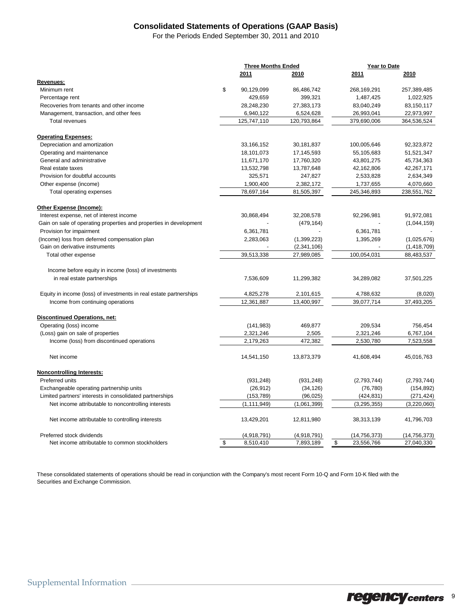### **Consolidated Statements of Operations (GAAP Basis)**

For the Periods Ended September 30, 2011 and 2010

|                                                                    |      | <b>Three Months Ended</b> |             |    | Year to Date   |                |  |
|--------------------------------------------------------------------|------|---------------------------|-------------|----|----------------|----------------|--|
|                                                                    | 2011 |                           | 2010        |    | 2011           | 2010           |  |
| Revenues:                                                          |      |                           |             |    |                |                |  |
| Minimum rent                                                       | \$   | 90,129,099                | 86,486,742  |    | 268,169,291    | 257,389,485    |  |
| Percentage rent                                                    |      | 429,659                   | 399,321     |    | 1,487,425      | 1,022,925      |  |
| Recoveries from tenants and other income                           |      | 28,248,230                | 27,383,173  |    | 83,040,249     | 83,150,117     |  |
| Management, transaction, and other fees                            |      | 6,940,122                 | 6,524,628   |    | 26,993,041     | 22,973,997     |  |
| <b>Total revenues</b>                                              |      | 125,747,110               | 120,793,864 |    | 379,690,006    | 364,536,524    |  |
| <b>Operating Expenses:</b>                                         |      |                           |             |    |                |                |  |
| Depreciation and amortization                                      |      | 33,166,152                | 30,181,837  |    | 100,005,646    | 92,323,872     |  |
| Operating and maintenance                                          |      | 18,101,073                | 17,145,593  |    | 55,105,683     | 51,521,347     |  |
| General and administrative                                         |      | 11,671,170                | 17,760,320  |    | 43,801,275     | 45,734,363     |  |
| Real estate taxes                                                  |      | 13,532,798                | 13,787,648  |    | 42,162,806     | 42,267,171     |  |
| Provision for doubtful accounts                                    |      | 325,571                   | 247,827     |    | 2,533,828      | 2,634,349      |  |
| Other expense (income)                                             |      | 1,900,400                 | 2,382,172   |    | 1,737,655      | 4,070,660      |  |
| Total operating expenses                                           |      | 78,697,164                | 81,505,397  |    | 245,346,893    | 238,551,762    |  |
| Other Expense (Income):                                            |      |                           |             |    |                |                |  |
| Interest expense, net of interest income                           |      | 30,868,494                | 32,208,578  |    | 92,296,981     | 91,972,081     |  |
| Gain on sale of operating properties and properties in development |      |                           | (479, 164)  |    |                | (1,044,159)    |  |
| Provision for impairment                                           |      | 6,361,781                 |             |    | 6,361,781      |                |  |
| (Income) loss from deferred compensation plan                      |      | 2,283,063                 | (1,399,223) |    | 1,395,269      | (1,025,676)    |  |
| Gain on derivative instruments                                     |      |                           | (2,341,106) |    |                | (1,418,709)    |  |
| Total other expense                                                |      | 39,513,338                | 27,989,085  |    | 100,054,031    | 88,483,537     |  |
|                                                                    |      |                           |             |    |                |                |  |
| Income before equity in income (loss) of investments               |      |                           |             |    |                |                |  |
| in real estate partnerships                                        |      | 7,536,609                 | 11,299,382  |    | 34,289,082     | 37,501,225     |  |
| Equity in income (loss) of investments in real estate partnerships |      | 4,825,278                 | 2,101,615   |    | 4,788,632      | (8,020)        |  |
| Income from continuing operations                                  |      | 12,361,887                | 13,400,997  |    | 39,077,714     | 37,493,205     |  |
| <b>Discontinued Operations, net:</b>                               |      |                           |             |    |                |                |  |
| Operating (loss) income                                            |      | (141, 983)                | 469,877     |    | 209,534        | 756,454        |  |
| (Loss) gain on sale of properties                                  |      | 2,321,246                 | 2,505       |    | 2,321,246      | 6,767,104      |  |
| Income (loss) from discontinued operations                         |      | 2,179,263                 | 472,382     |    | 2,530,780      | 7,523,558      |  |
| Net income                                                         |      | 14,541,150                | 13,873,379  |    | 41,608,494     | 45,016,763     |  |
| <b>Noncontrolling Interests:</b>                                   |      |                           |             |    |                |                |  |
| Preferred units                                                    |      | (931, 248)                | (931, 248)  |    | (2,793,744)    | (2,793,744)    |  |
| Exchangeable operating partnership units                           |      | (26, 912)                 | (34, 126)   |    | (76, 780)      | (154, 892)     |  |
| Limited partners' interests in consolidated partnerships           |      | (153, 789)                | (96, 025)   |    | (424, 831)     | (271, 424)     |  |
| Net income attributable to noncontrolling interests                |      | (1, 111, 949)             | (1,061,399) |    | (3, 295, 355)  | (3,220,060)    |  |
| Net income attributable to controlling interests                   |      | 13,429,201                | 12,811,980  |    | 38,313,139     | 41,796,703     |  |
| Preferred stock dividends                                          |      | (4,918,791)               | (4,918,791) |    | (14, 756, 373) | (14, 756, 373) |  |
| Net income attributable to common stockholders                     | \$   | 8,510,410                 | 7,893,189   | \$ | 23,556,766     | 27,040,330     |  |

These consolidated statements of operations should be read in conjunction with the Company's most recent Form 10-Q and Form 10-K filed with the Securities and Exchange Commission.

regency centers<sup>9</sup>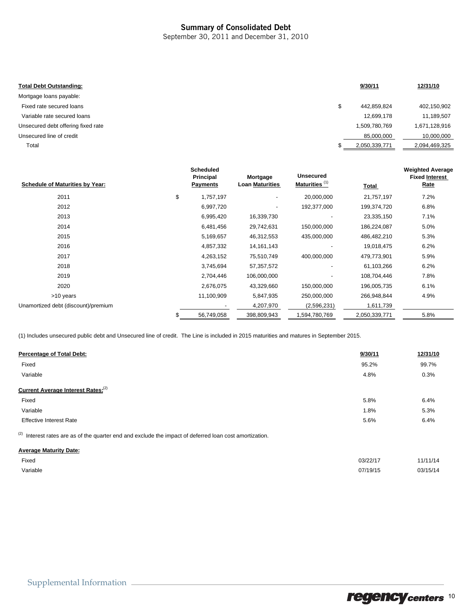### Summary of Consolidated Debt

September 30, 2011 and December 31, 2010

| <b>Total Debt Outstanding:</b>     | 9/30/11           | 12/31/10      |
|------------------------------------|-------------------|---------------|
| Mortgage loans payable:            |                   |               |
| Fixed rate secured loans           | \$<br>442,859,824 | 402,150,902   |
| Variable rate secured loans        | 12,699,178        | 11,189,507    |
| Unsecured debt offering fixed rate | 1,509,780,769     | 1,671,128,916 |
| Unsecured line of credit           | 85,000,000        | 10,000,000    |
| Total                              | 2,050,339,771     | 2,094,469,325 |
|                                    |                   |               |

| <b>Schedule of Maturities by Year:</b> | <b>Scheduled</b><br>Principal<br><b>Payments</b> | Mortgage<br><b>Loan Maturities</b> | <b>Unsecured</b><br>Maturities <sup>(1)</sup> | Total         | <b>Weighted Average</b><br><b>Fixed Interest</b><br>Rate |
|----------------------------------------|--------------------------------------------------|------------------------------------|-----------------------------------------------|---------------|----------------------------------------------------------|
| 2011                                   | \$<br>1,757,197                                  | $\overline{\phantom{a}}$           | 20,000,000                                    | 21,757,197    | 7.2%                                                     |
| 2012                                   | 6,997,720                                        | $\overline{\phantom{a}}$           | 192,377,000                                   | 199,374,720   | 6.8%                                                     |
| 2013                                   | 6,995,420                                        | 16,339,730                         |                                               | 23,335,150    | 7.1%                                                     |
| 2014                                   | 6,481,456                                        | 29,742,631                         | 150,000,000                                   | 186,224,087   | 5.0%                                                     |
| 2015                                   | 5,169,657                                        | 46,312,553                         | 435,000,000                                   | 486,482,210   | 5.3%                                                     |
| 2016                                   | 4,857,332                                        | 14, 161, 143                       |                                               | 19,018,475    | 6.2%                                                     |
| 2017                                   | 4,263,152                                        | 75,510,749                         | 400,000,000                                   | 479,773,901   | 5.9%                                                     |
| 2018                                   | 3,745,694                                        | 57,357,572                         |                                               | 61,103,266    | 6.2%                                                     |
| 2019                                   | 2,704,446                                        | 106,000,000                        |                                               | 108,704,446   | 7.8%                                                     |
| 2020                                   | 2,676,075                                        | 43,329,660                         | 150,000,000                                   | 196,005,735   | 6.1%                                                     |
| >10 years                              | 11,100,909                                       | 5,847,935                          | 250,000,000                                   | 266,948,844   | 4.9%                                                     |
| Unamortized debt (discount)/premium    |                                                  | 4,207,970                          | (2,596,231)                                   | 1,611,739     |                                                          |
|                                        | 56,749,058                                       | 398,809,943                        | 1,594,780,769                                 | 2,050,339,771 | 5.8%                                                     |

(1) Includes unsecured public debt and Unsecured line of credit. The Line is included in 2015 maturities and matures in September 2015.

| <b>Percentage of Total Debt:</b>                                                                        | 9/30/11 | 12/31/10 |
|---------------------------------------------------------------------------------------------------------|---------|----------|
| Fixed                                                                                                   | 95.2%   | 99.7%    |
| Variable                                                                                                | 4.8%    | 0.3%     |
| <b>Current Average Interest Rates:</b> <sup>(2)</sup>                                                   |         |          |
| Fixed                                                                                                   | 5.8%    | 6.4%     |
| Variable                                                                                                | 1.8%    | 5.3%     |
| <b>Effective Interest Rate</b>                                                                          | 5.6%    | 6.4%     |
| (2) Interest rates are as of the quarter end and exclude the impact of deferred loan cost amortization. |         |          |
| <b>Average Maturity Date:</b>                                                                           |         |          |

| Fixed    | 03/22/17 | 11/11/14 |
|----------|----------|----------|
| Variable | 07/19/15 | 03/15/14 |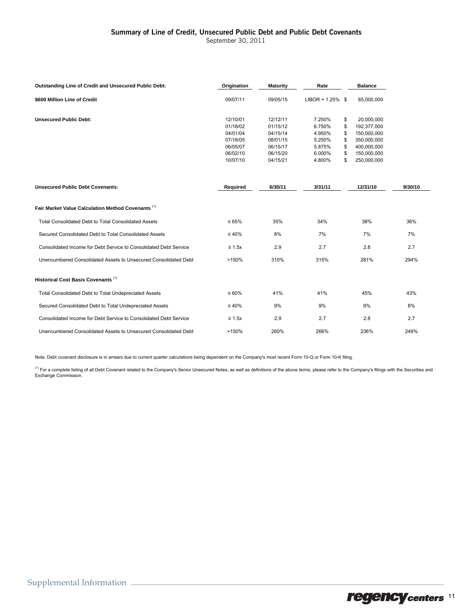#### Summary of Line of Credit, Unsecured Public Debt and Public Debt Covenants

September 30, 2011

| <b>Outstanding Line of Credit and Unsecured Public Debt:</b>      | Origination | <b>Maturity</b> | Rate                | <b>Balance</b>    |         |
|-------------------------------------------------------------------|-------------|-----------------|---------------------|-------------------|---------|
| \$600 Million Line of Credit                                      | 09/07/11    | 09/05/15        | $LIBOR + 1.25\%$ \$ | 85,000,000        |         |
| <b>Unsecured Public Debt:</b>                                     | 12/10/01    | 12/12/11        | 7.250%              | \$<br>20,000,000  |         |
|                                                                   | 01/18/02    | 01/15/12        | 6.750%              | \$<br>192,377,000 |         |
|                                                                   | 04/01/04    | 04/15/14        | 4.950%              | \$<br>150,000,000 |         |
|                                                                   | 07/18/05    | 08/01/15        | 5.250%              | \$<br>350,000,000 |         |
|                                                                   | 06/05/07    | 06/15/17        | 5.875%              | \$<br>400,000,000 |         |
|                                                                   | 06/02/10    | 06/15/20        | 6.000%              | \$<br>150,000,000 |         |
|                                                                   | 10/07/10    | 04/15/21        | 4.800%              | \$<br>250,000,000 |         |
| <b>Unsecured Public Debt Covenants:</b>                           | Required    | 6/30/11         | 3/31/11             | 12/31/10          | 9/30/10 |
| Fair Market Value Calculation Method Covenants (1)                |             |                 |                     |                   |         |
| <b>Total Consolidated Debt to Total Consolidated Assets</b>       | $\leq 65\%$ | 35%             | 34%                 | 38%               | 36%     |
| Secured Consolidated Debt to Total Consolidated Assets            | $\leq 40\%$ | 8%              | 7%                  | 7%                | 7%      |
| Consolidated Income for Debt Service to Consolidated Debt Service | $\geq 1.5x$ | 2.9             | 2.7                 | 2.8               | 2.7     |
| Unencumbered Consolidated Assets to Unsecured Consolidated Debt   | >150%       | 310%            | 315%                | 281%              | 294%    |
| Historical Cost Basis Covenants <sup>(1)</sup>                    |             |                 |                     |                   |         |
| Total Consolidated Debt to Total Undepreciated Assets             | $\leq 60\%$ | 41%             | 41%                 | 45%               | 43%     |
| Secured Consolidated Debt to Total Undepreciated Assets           | $\leq 40\%$ | 9%              | 9%                  | 9%                | 8%      |
| Consolidated Income for Debt Service to Consolidated Debt Service | $\geq 1.5x$ | 2.9             | 2.7                 | 2.8               | 2.7     |
| Unencumbered Consolidated Assets to Unsecured Consolidated Debt   | >150%       | 260%            | 266%                | 236%              | 249%    |

Note: Debt covenant disclosure is in arrears due to current quarter calculations being dependent on the Company's most recent Form 10-Q or Form 10-K filing.

<sup>(1)</sup> For a complete listing of all Debt Covenant related to the Company's Senior Unsecured Notes, as well as definitions of the above terms, please refer to the Company's filings with the Securities and Exchange Commission.

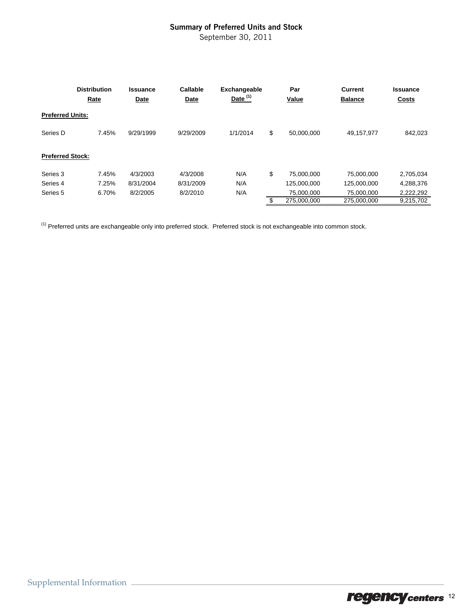### Summary of Preferred Units and Stock

September 30, 2011

|                         | <b>Distribution</b><br>Rate | <b>Issuance</b><br>Date | Callable<br>Date | Exchangeable<br>Date $(1)$ | Par<br>Value     | <b>Current</b><br><b>Balance</b> | <b>Issuance</b><br>Costs |
|-------------------------|-----------------------------|-------------------------|------------------|----------------------------|------------------|----------------------------------|--------------------------|
| <b>Preferred Units:</b> |                             |                         |                  |                            |                  |                                  |                          |
| Series D                | 7.45%                       | 9/29/1999               | 9/29/2009        | 1/1/2014                   | \$<br>50.000.000 | 49,157,977                       | 842,023                  |
| <b>Preferred Stock:</b> |                             |                         |                  |                            |                  |                                  |                          |
| Series 3                | 7.45%                       | 4/3/2003                | 4/3/2008         | N/A                        | \$<br>75,000,000 | 75,000,000                       | 2,705,034                |
| Series 4                | 7.25%                       | 8/31/2004               | 8/31/2009        | N/A                        | 125,000,000      | 125.000.000                      | 4,288,376                |
| Series 5                | 6.70%                       | 8/2/2005                | 8/2/2010         | N/A                        | 75.000.000       | 75.000.000                       | 2,222,292                |
|                         |                             |                         |                  |                            | 275.000.000      | 275.000.000                      | 9.215.702                |

 $(1)$  Preferred units are exchangeable only into preferred stock. Preferred stock is not exchangeable into common stock.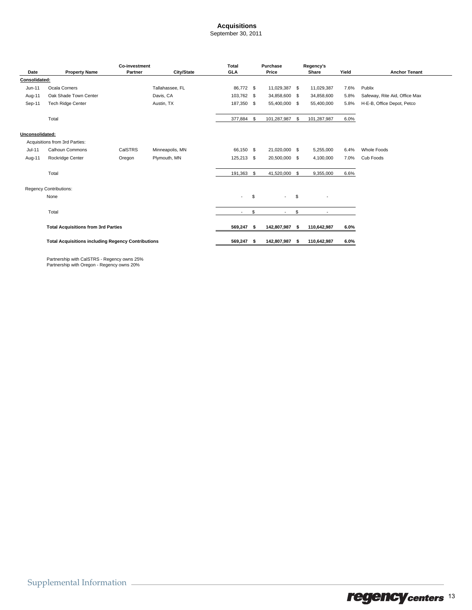#### **Acquisitions**

September 30, 2011

|                 | <b>Co-investment</b>                                      |                | <b>Total</b><br>Purchase |                | Regency's |                |      |                |       |                               |
|-----------------|-----------------------------------------------------------|----------------|--------------------------|----------------|-----------|----------------|------|----------------|-------|-------------------------------|
| Date            | <b>Property Name</b>                                      | <b>Partner</b> | City/State               | GLA            |           | Price          |      | Share          | Yield | <b>Anchor Tenant</b>          |
| Consolidated:   |                                                           |                |                          |                |           |                |      |                |       |                               |
| Jun-11          | Ocala Corners                                             |                | Tallahassee, FL          | 86,772 \$      |           | 11,029,387 \$  |      | 11,029,387     | 7.6%  | Publix                        |
| Aug-11          | Oak Shade Town Center                                     |                | Davis, CA                | 103,762 \$     |           | 34,858,600 \$  |      | 34,858,600     | 5.8%  | Safeway, Rite Aid, Office Max |
| Sep-11          | <b>Tech Ridge Center</b>                                  |                | Austin, TX               | 187,350 \$     |           | 55,400,000 \$  |      | 55,400,000     | 5.8%  | H-E-B, Office Depot, Petco    |
|                 | Total                                                     |                |                          | 377,884 \$     |           | 101,287,987 \$ |      | 101,287,987    | 6.0%  |                               |
| Unconsolidated: |                                                           |                |                          |                |           |                |      |                |       |                               |
|                 | Acquisitions from 3rd Parties:                            |                |                          |                |           |                |      |                |       |                               |
| Jul-11          | <b>Calhoun Commons</b>                                    | CalSTRS        | Minneapolis, MN          | 66,150 \$      |           | 21,020,000 \$  |      | 5,255,000      | 6.4%  | Whole Foods                   |
| Aug-11          | Rockridge Center                                          | Oregon         | Plymouth, MN             | 125,213 \$     |           | 20,500,000 \$  |      | 4,100,000      | 7.0%  | Cub Foods                     |
|                 | Total                                                     |                |                          | 191,363 \$     |           | 41,520,000 \$  |      | 9,355,000      | 6.6%  |                               |
|                 | <b>Regency Contributions:</b>                             |                |                          |                |           |                |      |                |       |                               |
|                 | None                                                      |                |                          | $\blacksquare$ | \$        | $\sim$         | \$   |                |       |                               |
|                 | Total                                                     |                |                          | $\sim$         | \$        | $\sim$         | \$   | $\blacksquare$ |       |                               |
|                 |                                                           |                |                          |                |           |                |      |                |       |                               |
|                 | <b>Total Acquisitions from 3rd Parties</b>                |                |                          | 569,247 \$     |           | 142,807,987    | - \$ | 110,642,987    | 6.0%  |                               |
|                 | <b>Total Acquisitions including Regency Contributions</b> |                |                          | 569,247        | - \$      | 142,807,987    | - 56 | 110,642,987    | 6.0%  |                               |

Partnership with CalSTRS - Regency owns 25% Partnership with Oregon - Regency owns 20%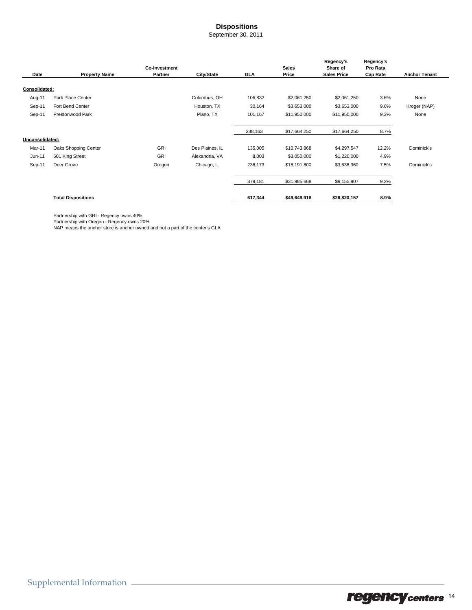### **Dispositions**

September 30, 2011

|                 |                           | Co-investment |                 |            | <b>Sales</b> | Regency's<br>Share of | Regency's<br>Pro Rata |                      |
|-----------------|---------------------------|---------------|-----------------|------------|--------------|-----------------------|-----------------------|----------------------|
| Date            | <b>Property Name</b>      | Partner       | City/State      | <b>GLA</b> | Price        | <b>Sales Price</b>    | Cap Rate              | <b>Anchor Tenant</b> |
| Consolidated:   |                           |               |                 |            |              |                       |                       |                      |
| Aug-11          | Park Place Center         |               | Columbus, OH    | 106,832    | \$2,061,250  | \$2,061,250           | 3.6%                  | None                 |
| Sep-11          | Fort Bend Center          |               | Houston, TX     | 30,164     | \$3,653,000  | \$3,653,000           | 9.6%                  | Kroger (NAP)         |
| Sep-11          | Prestonwood Park          |               | Plano, TX       | 101,167    | \$11,950,000 | \$11,950,000          | 9.3%                  | None                 |
|                 |                           |               |                 | 238,163    | \$17,664,250 | \$17,664,250          | 8.7%                  |                      |
| Unconsolidated: |                           |               |                 |            |              |                       |                       |                      |
| Mar-11          | Oaks Shopping Center      | GRI           | Des Plaines, IL | 135,005    | \$10,743,868 | \$4,297,547           | 12.2%                 | Dominick's           |
| $Jun-11$        | 601 King Street           | GRI           | Alexandria, VA  | 8,003      | \$3,050,000  | \$1,220,000           | 4.9%                  |                      |
| Sep-11          | Deer Grove                | Oregon        | Chicago, IL     | 236,173    | \$18,191,800 | \$3,638,360           | 7.5%                  | Dominick's           |
|                 |                           |               |                 | 379,181    | \$31,985,668 | \$9,155,907           | 9.3%                  |                      |
|                 | <b>Total Dispositions</b> |               |                 | 617,344    | \$49,649,918 | \$26,820,157          | 8.9%                  |                      |

Partnership with GRI - Regency owns 40%

Partnership with Oregon - Regency owns 20% NAP means the anchor store is anchor owned and not a part of the center's GLA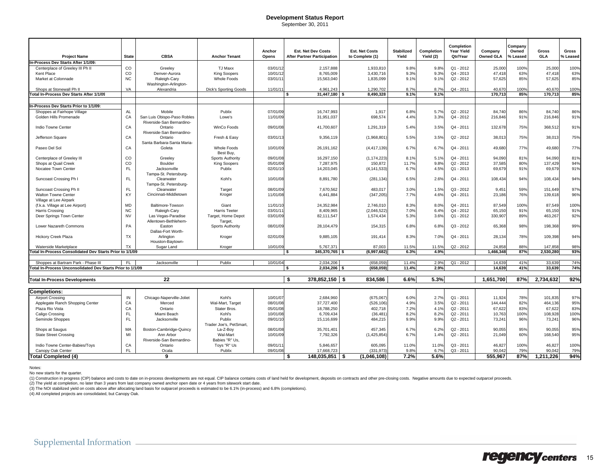#### **Development Status Report**

September 30, 2011

|                                                            |              |                                                          |                                   |                 |                                                                 |                                          |                            |                         | Completion                    |                             | Company           |                     |                   |
|------------------------------------------------------------|--------------|----------------------------------------------------------|-----------------------------------|-----------------|-----------------------------------------------------------------|------------------------------------------|----------------------------|-------------------------|-------------------------------|-----------------------------|-------------------|---------------------|-------------------|
| <b>Project Name</b>                                        | <b>State</b> | <b>CBSA</b>                                              | <b>Anchor Tenant</b>              | Anchor<br>Opens | <b>Est. Net Dev Costs</b><br><b>After Partner Participation</b> | <b>Est. Net Costs</b><br>to Complete (1) | <b>Stabilized</b><br>Yield | Completion<br>Yield (2) | <b>Year Yield</b><br>Qtr/Year | Company<br><b>Owned GLA</b> | Owned<br>% Leased | <b>Gross</b><br>GLA | Gross<br>% Leased |
| In-Process Dev Starts After 1/1/09:                        |              |                                                          |                                   |                 |                                                                 |                                          |                            |                         |                               |                             |                   |                     |                   |
| Centerplace of Greeley III Ph II                           | $_{\rm CO}$  | Greeley                                                  | TJ Maxx                           | 03/01/12        | 2,157,888                                                       | 1,933,810                                | 9.8%                       | 9.8%                    | $Q1 - 2012$                   | 25,000                      | 100%              | 25,000              | 100%              |
| Kent Place                                                 | $_{\rm CO}$  | Denver-Aurora                                            | <b>King Soopers</b>               | 10/01/12        | 8,765,009                                                       | 3,430,716                                | 9.3%                       | 9.3%                    | Q4 - 2013                     | 47,418                      | 63%               | 47,418              | 63%               |
| Market at Colonnade                                        | NC           | Raleigh-Cary<br>Washington-Arlington-                    | <b>Whole Foods</b>                | 03/01/11        | 15,563,040                                                      | 1,835,099                                | 9.1%                       | 9.1%                    | $Q2 - 2012$                   | 57.625                      | 85%               | 57.625              | 85%               |
| Shops at Stonewall Ph II                                   | VA           | Alexandria                                               | <b>Dick's Sporting Goods</b>      | 11/01/1         | 4,961,243                                                       | 1,290,702                                | 8.7%                       | 8.7%                    | Q4 - 2011                     | 40,670                      | 100%              | 40,670              | 100%              |
| <b>Total In-Process Dev Starts After 1/1/09</b>            |              |                                                          |                                   |                 | 31,447,180                                                      | 8.490.328                                | 9.1%                       | 9.1%                    |                               | 170.713                     | 85%               | 170.713             | 85%               |
|                                                            |              |                                                          |                                   |                 |                                                                 |                                          |                            |                         |                               |                             |                   |                     |                   |
| In-Process Dev Starts Prior to 1/1/09:                     |              |                                                          |                                   |                 |                                                                 |                                          |                            |                         |                               |                             |                   |                     |                   |
| Shoppes at Fairhope Village                                | AL           | Mobile                                                   | Publix                            | 07/01/09        | 16,747,993                                                      | 1,917                                    | 6.8%                       | 5.7%                    | Q2 - 2012                     | 84,740                      | 86%               | 84,740              | 86%               |
| Golden Hills Promenade                                     | CA           | San Luis Obispo-Paso Robles<br>Riverside-San Bernardino- | Lowe's                            | 11/01/09        | 31,951,037                                                      | 698,574                                  | 4.4%                       | 3.3%                    | $Q4 - 2012$                   | 216,846                     | 91%               | 216,846             | 91%               |
| Indio Towne Center                                         | CA           | Ontario<br>Riverside-San Bernardino-                     | WinCo Foods                       | 09/01/08        | 41,700,607                                                      | 1,291,319                                | 5.4%                       | 3.5%                    | Q4 - 2011                     | 132,678                     | 75%               | 368,512             | 91%               |
| Jefferson Square                                           | CA           | Ontario<br>Santa Barbara-Santa Maria-                    | Fresh & Easy                      | 03/01/13        | 9,356,119                                                       | (1,968,801)                              | 5.5%                       | 3.5%                    | Q2 - 2012                     | 38,013                      | 75%               | 38,013              | 75%               |
| Paseo Del Sol                                              | CA           | Goleta                                                   | <b>Whole Foods</b><br>Best Buy,   | 10/01/09        | 26,191,162                                                      | (4, 417, 139)                            | 6.7%                       | 6.7%                    | Q4 - 2011                     | 49.680                      | 77%               | 49,680              | 77%               |
| Centerplace of Greeley III                                 | $_{\rm CO}$  | Greeley                                                  | Sports Authority                  | 09/01/08        | 16,297,150                                                      | (1, 174, 223)                            | 8.1%                       | 5.1%                    | Q4 - 2011                     | 94,090                      | 81%               | 94,090              | 81%               |
| Shops at Quail Creek                                       | $_{\rm CO}$  | Boulder                                                  | <b>King Soopers</b>               | 05/01/09        | 7,287,975                                                       | 150,872                                  | 11.7%                      | 9.8%                    | Q2 - 2012                     | 37,585                      | 80%               | 137,429             | 94%               |
| Nocatee Town Center                                        | <b>FL</b>    | Jacksonville<br>Tampa-St. Petersburg-                    | Publix                            | 02/01/10        | 14,203,045                                                      | (4, 141, 533)                            | 6.7%                       | 4.5%                    | Q1 - 2013                     | 69,679                      | 91%               | 69,679              | 91%               |
| Suncoast Crossing Ph I                                     | <b>FL</b>    | Clearwater<br>Tampa-St. Petersburg-                      | Kohl's                            | 10/01/08        | 8,891,780                                                       | (281, 134)                               | 6.5%                       | 2.6%                    | Q4 - 2011                     | 108,434                     | 94%               | 108,434             | 94%               |
| Suncoast Crossing Ph II                                    | FL           | Clearwater                                               | Target                            | 08/01/09        | 7,670,562                                                       | 483,017                                  | 3.0%                       | 1.5%                    | $Q3 - 2012$                   | 9,451                       | 59%               | 151,649             | 97%               |
| Walton Towne Center                                        | KY           | Cincinnati-Middletown                                    | Kroger                            | 11/01/08        | 6,441,884                                                       | (347, 205)                               | 7.7%                       | 4.6%                    | $Q4 - 2011$                   | 23,186                      | 76%               | 139,618             | 96%               |
| Village at Lee Airpark                                     |              |                                                          |                                   |                 |                                                                 |                                          |                            |                         |                               |                             |                   |                     |                   |
| (f.k.a. Village at Lee Airport)                            | <b>MD</b>    | Baltimore-Towson                                         | Giant                             | 11/01/10        | 24,352,984                                                      | 2,746,010                                | 8.3%                       | 8.0%                    | $Q4 - 2011$                   | 87,549                      | 100%              | 87,549              | 100%              |
| <b>Harris Crossing</b>                                     | <b>NC</b>    | Raleigh-Cary                                             | <b>Harris Teeter</b>              | 03/01/11        | 8,409,965                                                       | (2,046,522)                              | 7.0%                       | 6.4%                    | Q4 - 2012                     | 65,150                      | 91%               | 65,150              | 91%               |
| Deer Springs Town Center                                   | <b>NV</b>    | Las Vegas-Paradise<br>Allentown-Bethlehem-               | Target, Home Depot<br>Target,     | 03/01/09        | 82,111,547                                                      | 1,574,434                                | 5.3%                       | 3.6%                    | Q1 - 2012                     | 330,907                     | 89%               | 463,267             | 92%               |
| Lower Nazareth Commons                                     | PA           | Easton<br>Dallas-Fort Worth-                             | Sports Authority                  | 08/01/09        | 28,104,479                                                      | 154,315                                  | 6.8%                       | 6.8%                    | Q3 - 2012                     | 65,368                      | 98%               | 198,368             | 99%               |
| <b>Hickory Creek Plaza</b>                                 | TX           | Arlington<br>Houston-Baytown-                            | Kroger                            | 02/01/09        | 9,885,105                                                       | 191,414                                  | 8.3%                       | 7.0%                    | $Q4 - 2011$                   | 28,134                      | 78%               | 109,398             | 94%               |
| Waterside Marketplace                                      | <b>TX</b>    | Sugar Land                                               | Kroger                            | 10/01/09        | 5.767.371                                                       | 87.003                                   | 11.5%                      | 11.5%                   | $Q2 - 2012$                   | 24.858                      | 88%               | 147.858             | 98%               |
| Total In-Process Consolidated Dev Starts Prior to 1/1/09   |              |                                                          |                                   |                 | 345,370,765                                                     | (6,997,682)                              | 6.3%                       | 4.9%                    |                               | 1.466.348                   | 87%               | 2.530.280           | 93%               |
| Shoppes at Bartram Park - Phase III                        | FL.          | Jacksonville                                             | Publix                            | 10/01/04        | 2.034.206                                                       | (658,059)                                | 11.4%                      | 2.9%                    | Q1 - 2012                     | 14.639                      | 41%               | 33,639              | 74%               |
| Total In-Process Unconsolidated Dev Starts Prior to 1/1/09 |              |                                                          |                                   |                 | $2.034.206$ \$<br>\$.                                           | (658.059)                                | 11.4%                      | 2.9%                    |                               | 14.639                      | 41%               | 33.639              | 74%               |
|                                                            |              |                                                          |                                   |                 |                                                                 |                                          |                            |                         |                               |                             |                   |                     |                   |
| <b>Total In-Process Developments</b>                       |              | 22                                                       |                                   |                 | 378,852,150 \$<br>Ŝ.                                            | 834.586                                  | 6.6%                       | 5.3%                    |                               | 1,651,700                   | 87%               | 2,734,632           | 92%               |
| <b>Completions:</b>                                        |              |                                                          |                                   |                 |                                                                 |                                          |                            |                         |                               |                             |                   |                     |                   |
| <b>Airport Crossing</b>                                    | IN           | Chicago-Naperville-Joliet                                | Kohl's                            | 10/01/07        | 2,684,960                                                       | (675,067                                 | 6.0%                       | 2.7%                    | $Q1 - 2011$                   | 11,924                      | 78%               | 101,835             | 97%               |
| Applegate Ranch Shopping Center                            | CA           | Merced                                                   | Wal-Mart, Target                  | 08/01/08        | 37,727,400                                                      | (526, 106)                               | 4.9%                       | 3.5%                    | Q2 - 2011                     | 144,444                     | 82%               | 464,136             | 95%               |
| Plaza Rio Vista                                            | CA           | Ontario                                                  | Stater Bros.                      | 05/01/08        | 18,788,250                                                      | 402,718                                  | 7.2%                       | 4.1%                    | $Q2 - 2011$                   | 67,622                      | 83%               | 67,622              | 83%               |
| Caligo Crossing                                            | <b>FL</b>    | Miami Beach                                              | Kohl's                            | 10/01/08        | 6,709,434                                                       | (36, 481)                                | 8.2%                       | 8.2%                    | Q2 - 2011                     | 10,763                      | 100%              | 108,928             | 100%              |
| Seminole Shoppes                                           | <b>FL</b>    | Jacksonville                                             | Publix<br>Trader Joe's, PetSmart, | 09/01/10        | 15,116,699                                                      | 484,215                                  | 9.9%                       | 9.9%                    | $Q2 - 2011$                   | 73,241                      | 96%               | 73,241              | 96%               |
| Shops at Saugus                                            | MA           | Boston-Cambridge-Quincy                                  | La-Z-Boy                          | 08/01/08        | 35,701,401                                                      | 457,345                                  | 6.7%                       | 6.2%                    | Q2 - 2011                     | 90,055                      | 95%               | 90,055              | 95%               |
| <b>State Street Crossing</b>                               | MI           | Ann Arbor<br>Riverside-San Bernardino-                   | Wal-Mart<br>Babies "R" Us,        | 10/01/09        | 7,792,326                                                       | (1,425,854)                              | 6.7%                       | 1.4%                    | Q2 - 2011                     | 21,049                      | 60%               | 168,540             | 95%               |
| Indio Towne Center-Babies/Toys                             | CA           | Ontario                                                  | Toys "R" Us                       | 09/01/11        | 5,846,657                                                       | 605,095                                  | 11.0%                      | 11.0%                   | Q3 - 2011                     | 46,827                      | 100%              | 46,827              | 100%              |
| Canopy Oak Center                                          | FL           | Ocala                                                    | Publix                            | 09/01/08        | 17.668.723                                                      | (331.973)                                | 9.8%                       | 6.7%                    | $Q3 - 2011$                   | 90.042                      | 79%               | 90.042              | 79%               |
| <b>Total Completed (4)</b>                                 |              | 9                                                        |                                   |                 | Ŝ.<br>148,035,851 \$                                            | (1,046,108)                              | 7.2%                       | 5.6%                    |                               | 555.967                     | 87%               | 1.211.226           | 94%               |

Notes:

No new starts for the quarter.

(1) Construction in progress (CIP) balance and costs to date on in-process developments are not equal. CIP balance contains costs of land held for development, deposits on contracts and other pre-closing costs. Negative am

(2) The yield at completion, no later than 3 years from last company owned anchor open date or 4 years from sitework start date.

(3) The NOI stabilized yield on costs above after allocating land basis for outparcel proceeds is estimated to be 6.1% (in-process) and 6.8% (completions).

(4) All completed projects are consolidated, but Canopy Oak.

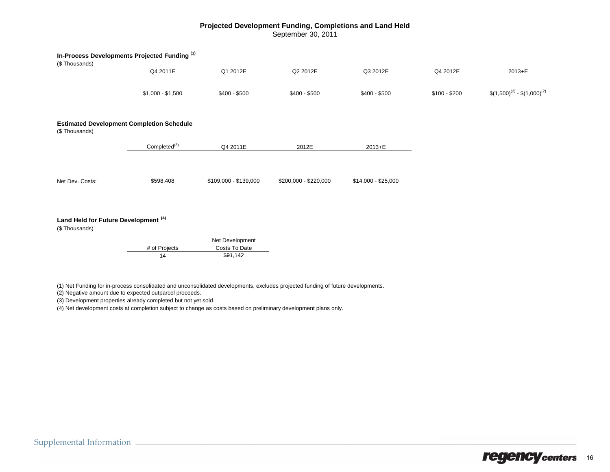#### **Projected Development Funding, Completions and Land Held** September 30, 2011

|                                                                  | In-Process Developments Projected Funding <sup>(1)</sup> |                                  |                       |                     |               |                                    |
|------------------------------------------------------------------|----------------------------------------------------------|----------------------------------|-----------------------|---------------------|---------------|------------------------------------|
| (\$Thousands)                                                    |                                                          |                                  |                       |                     |               |                                    |
|                                                                  | Q4 2011E                                                 | Q1 2012E                         | Q2 2012E              | Q3 2012E            | Q4 2012E      | 2013+E                             |
|                                                                  | $$1,000 - $1,500$                                        | $$400 - $500$                    | $$400 - $500$         | $$400 - $500$       | $$100 - $200$ | $$(1,500)^{(2)} - $(1,000)^{(2)}$$ |
| (\$Thousands)                                                    | <b>Estimated Development Completion Schedule</b>         |                                  |                       |                     |               |                                    |
|                                                                  | Completed <sup>(3)</sup>                                 | Q4 2011E                         | 2012E                 | 2013+E              |               |                                    |
| Net Dev. Costs:                                                  | \$598,408                                                | \$109,000 - \$139,000            | \$200,000 - \$220,000 | $$14,000 - $25,000$ |               |                                    |
| Land Held for Future Development <sup>(4)</sup><br>(\$Thousands) |                                                          |                                  |                       |                     |               |                                    |
|                                                                  | # of Projects                                            | Net Development<br>Costs To Date |                       |                     |               |                                    |

(1) Net Funding for in-process consolidated and unconsolidated developments, excludes projected funding of future developments.

 $$91,142$ 

(2) Negative amount due to expected outparcel proceeds.

(3) Development properties already completed but not yet sold.

14

(4) Net development costs at completion subject to change as costs based on preliminary development plans only.

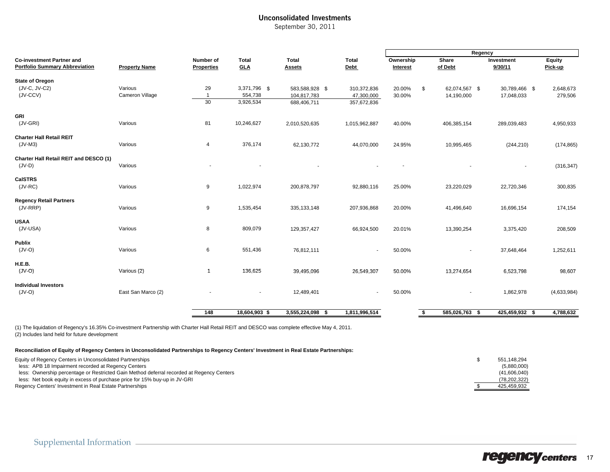### Unconsolidated Investments

September 30, 2011

|                                                                                                                                                                                                |                            |                                |                                      |                                              |                                          | Regency               |     |                             |                             |                      |
|------------------------------------------------------------------------------------------------------------------------------------------------------------------------------------------------|----------------------------|--------------------------------|--------------------------------------|----------------------------------------------|------------------------------------------|-----------------------|-----|-----------------------------|-----------------------------|----------------------|
| <b>Co-investment Partner and</b><br><b>Portfolio Summary Abbreviation</b>                                                                                                                      | <b>Property Name</b>       | Number of<br><b>Properties</b> | <b>Total</b><br><b>GLA</b>           | Total<br>Assets                              | <b>Total</b><br><b>Debt</b>              | Ownership<br>Interest |     | <b>Share</b><br>of Debt     | Investment<br>9/30/11       | Equity<br>Pick-up    |
| <b>State of Oregon</b><br>(JV-C, JV-C2)<br>(JV-CCV)                                                                                                                                            | Various<br>Cameron Village | 29<br>$\overline{1}$<br>30     | 3,371,796 \$<br>554,738<br>3,926,534 | 583,588,928 \$<br>104,817,783<br>688,406,711 | 310,372,836<br>47,300,000<br>357,672,836 | 20.00%<br>30.00%      | \$  | 62,074,567 \$<br>14,190,000 | 30,789,466 \$<br>17,048,033 | 2,648,673<br>279,506 |
| GRI<br>(JV-GRI)                                                                                                                                                                                | Various                    | 81                             | 10,246,627                           | 2,010,520,635                                | 1,015,962,887                            | 40.00%                |     | 406,385,154                 | 289,039,483                 | 4,950,933            |
| <b>Charter Hall Retail REIT</b><br>$(JV-M3)$                                                                                                                                                   | Various                    | 4                              | 376,174                              | 62,130,772                                   | 44,070,000                               | 24.95%                |     | 10,995,465                  | (244, 210)                  | (174, 865)           |
| Charter Hall Retail REIT and DESCO (1)<br>$(JV-D)$                                                                                                                                             | Various                    |                                |                                      |                                              |                                          |                       |     |                             |                             | (316, 347)           |
| <b>CaISTRS</b><br>$(JV-RC)$                                                                                                                                                                    | Various                    | 9                              | 1,022,974                            | 200,878,797                                  | 92,880,116                               | 25.00%                |     | 23,220,029                  | 22,720,346                  | 300,835              |
| <b>Regency Retail Partners</b><br>(JV-RRP)                                                                                                                                                     | Various                    | 9                              | 1,535,454                            | 335, 133, 148                                | 207,936,868                              | 20.00%                |     | 41,496,640                  | 16,696,154                  | 174,154              |
| <b>USAA</b><br>(JV-USA)                                                                                                                                                                        | Various                    | 8                              | 809,079                              | 129,357,427                                  | 66,924,500                               | 20.01%                |     | 13,390,254                  | 3,375,420                   | 208,509              |
| Publix<br>$(JV-O)$                                                                                                                                                                             | Various                    | 6                              | 551,436                              | 76,812,111                                   |                                          | 50.00%                |     |                             | 37,648,464                  | 1,252,611            |
| H.E.B.<br>$(JV-O)$                                                                                                                                                                             | Various (2)                | $\mathbf{1}$                   | 136,625                              | 39,495,096                                   | 26,549,307                               | 50.00%                |     | 13,274,654                  | 6,523,798                   | 98,607               |
| <b>Individual Investors</b><br>$(JV-O)$                                                                                                                                                        | East San Marco (2)         |                                | $\overline{\phantom{m}}$             | 12,489,401                                   |                                          | 50.00%                |     |                             | 1,862,978                   | (4,633,984)          |
|                                                                                                                                                                                                |                            | 148                            | 18,604,903 \$                        | 3,555,224,098 \$                             | 1,811,996,514                            |                       | -\$ | 585,026,763 \$              | 425,459,932 \$              | 4,788,632            |
| (1) The liquidation of Regency's 16.35% Co-investment Partnership with Charter Hall Retail REIT and DESCO was complete effective May 4, 2011.<br>(2) Includes land held for future development |                            |                                |                                      |                                              |                                          |                       |     |                             |                             |                      |

#### **Reconciliation of Equity of Regency Centers in Unconsolidated Partnerships to Regency Centers' Investment in Real Estate Partnerships:**

| Equity of Regency Centers in Unconsolidated Partnerships                                  | 551.148.294  |
|-------------------------------------------------------------------------------------------|--------------|
| less: APB 18 Impairment recorded at Regency Centers                                       | (5,880,000)  |
| less: Ownership percentage or Restricted Gain Method deferral recorded at Regency Centers | (41.606.040) |
| less: Net book equity in excess of purchase price for 15% buy-up in JV-GRI                | (78.202.322) |
| Regency Centers' Investment in Real Estate Partnerships                                   | 425.459.932  |

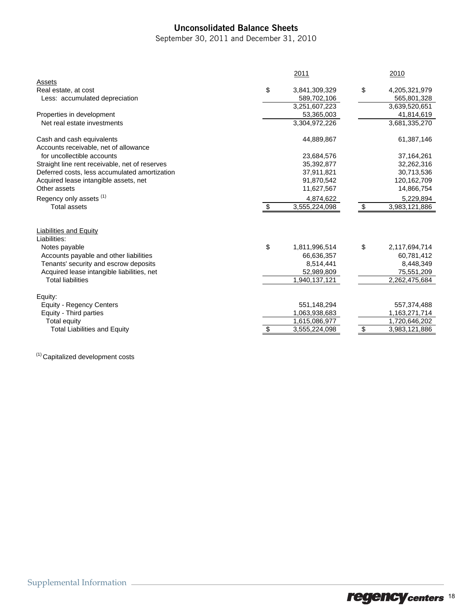### Unconsolidated Balance Sheets

September 30, 2011 and December 31, 2010

|                                                | 2011                | 2010                |
|------------------------------------------------|---------------------|---------------------|
| Assets                                         |                     |                     |
| Real estate, at cost                           | \$<br>3,841,309,329 | \$<br>4,205,321,979 |
| Less: accumulated depreciation                 | 589,702,106         | 565,801,328         |
|                                                | 3,251,607,223       | 3,639,520,651       |
| Properties in development                      | 53,365,003          | 41,814,619          |
| Net real estate investments                    | 3,304,972,226       | 3,681,335,270       |
|                                                |                     |                     |
| Cash and cash equivalents                      | 44,889,867          | 61,387,146          |
| Accounts receivable, net of allowance          |                     |                     |
| for uncollectible accounts                     | 23,684,576          | 37,164,261          |
| Straight line rent receivable, net of reserves | 35,392,877          | 32,262,316          |
| Deferred costs, less accumulated amortization  | 37,911,821          | 30,713,536          |
| Acquired lease intangible assets, net          | 91,870,542          | 120, 162, 709       |
| Other assets                                   | 11,627,567          | 14,866,754          |
| Regency only assets <sup>(1)</sup>             | 4,874,622           | 5,229,894           |
| <b>Total assets</b>                            | \$<br>3,555,224,098 | \$<br>3,983,121,886 |
|                                                |                     |                     |
| <b>Liabilities and Equity</b>                  |                     |                     |
| Liabilities:                                   |                     |                     |
| Notes payable                                  | \$<br>1,811,996,514 | \$<br>2,117,694,714 |
| Accounts payable and other liabilities         | 66,636,357          | 60,781,412          |
| Tenants' security and escrow deposits          | 8,514,441           | 8,448,349           |
| Acquired lease intangible liabilities, net     | 52,989,809          | 75,551,209          |
| <b>Total liabilities</b>                       | 1,940,137,121       | 2,262,475,684       |
| Equity:                                        |                     |                     |
| <b>Equity - Regency Centers</b>                | 551,148,294         | 557,374,488         |
| Equity - Third parties                         | 1,063,938,683       | 1,163,271,714       |
| Total equity                                   | 1,615,086,977       | 1,720,646,202       |
| <b>Total Liabilities and Equity</b>            | \$<br>3,555,224,098 | \$<br>3,983,121,886 |
|                                                |                     |                     |

(1) Capitalized development costs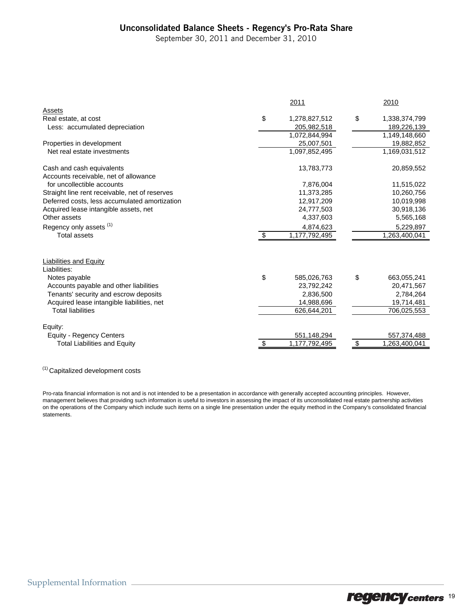### Unconsolidated Balance Sheets - Regency's Pro-Rata Share

September 30, 2011 and December 31, 2010

|                                                |    | 2011          | 2010                |
|------------------------------------------------|----|---------------|---------------------|
| Assets                                         |    |               |                     |
| Real estate, at cost                           | \$ | 1,278,827,512 | \$<br>1,338,374,799 |
| Less: accumulated depreciation                 |    | 205,982,518   | 189,226,139         |
|                                                |    | 1,072,844,994 | 1,149,148,660       |
| Properties in development                      |    | 25,007,501    | 19,882,852          |
| Net real estate investments                    |    | 1,097,852,495 | 1,169,031,512       |
| Cash and cash equivalents                      |    | 13,783,773    | 20,859,552          |
| Accounts receivable, net of allowance          |    |               |                     |
| for uncollectible accounts                     |    | 7,876,004     | 11,515,022          |
| Straight line rent receivable, net of reserves |    | 11,373,285    | 10,260,756          |
| Deferred costs, less accumulated amortization  |    | 12,917,209    | 10,019,998          |
| Acquired lease intangible assets, net          |    | 24,777,503    | 30,918,136          |
| Other assets                                   |    | 4,337,603     | 5,565,168           |
| Regency only assets <sup>(1)</sup>             |    | 4,874,623     | 5,229,897           |
| <b>Total assets</b>                            | -S | 1,177,792,495 | 1,263,400,041       |
| <b>Liabilities and Equity</b>                  |    |               |                     |
| Liabilities:                                   |    |               |                     |
| Notes payable                                  | \$ | 585,026,763   | \$<br>663,055,241   |
| Accounts payable and other liabilities         |    | 23,792,242    | 20,471,567          |
| Tenants' security and escrow deposits          |    | 2,836,500     | 2,784,264           |
| Acquired lease intangible liabilities, net     |    | 14,988,696    | 19,714,481          |
| <b>Total liabilities</b>                       |    | 626,644,201   | 706,025,553         |
| Equity:                                        |    |               |                     |
| <b>Equity - Regency Centers</b>                |    | 551,148,294   | 557,374,488         |
| <b>Total Liabilities and Equity</b>            | \$ | 1,177,792,495 | \$<br>1,263,400,041 |

(1) Capitalized development costs

Pro-rata financial information is not and is not intended to be a presentation in accordance with generally accepted accounting principles. However, management believes that providing such information is useful to investors in assessing the impact of its unconsolidated real estate partnership activities on the operations of the Company which include such items on a single line presentation under the equity method in the Company's consolidated financial statements.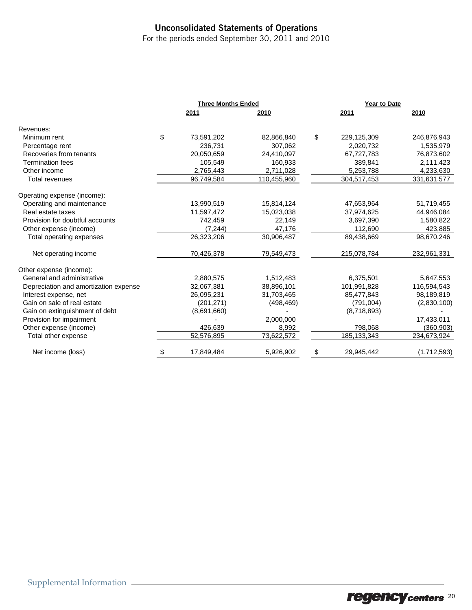### Unconsolidated Statements of Operations

For the periods ended September 30, 2011 and 2010

|                                       | <b>Three Months Ended</b> |             | Year to Date |               |             |  |
|---------------------------------------|---------------------------|-------------|--------------|---------------|-------------|--|
|                                       | 2011                      | 2010        |              | 2011          | 2010        |  |
| Revenues:                             |                           |             |              |               |             |  |
| Minimum rent                          | \$<br>73,591,202          | 82,866,840  | \$           | 229,125,309   | 246,876,943 |  |
| Percentage rent                       | 236,731                   | 307,062     |              | 2,020,732     | 1,535,979   |  |
| Recoveries from tenants               | 20,050,659                | 24,410,097  |              | 67,727,783    | 76,873,602  |  |
| <b>Termination fees</b>               | 105,549                   | 160,933     |              | 389,841       | 2,111,423   |  |
| Other income                          | 2,765,443                 | 2,711,028   |              | 5,253,788     | 4,233,630   |  |
| Total revenues                        | 96,749,584                | 110,455,960 |              | 304,517,453   | 331,631,577 |  |
| Operating expense (income):           |                           |             |              |               |             |  |
| Operating and maintenance             | 13,990,519                | 15,814,124  |              | 47,653,964    | 51,719,455  |  |
| Real estate taxes                     | 11,597,472                | 15,023,038  |              | 37,974,625    | 44,946,084  |  |
| Provision for doubtful accounts       | 742,459                   | 22,149      |              | 3,697,390     | 1,580,822   |  |
| Other expense (income)                | (7, 244)                  | 47,176      |              | 112,690       | 423,885     |  |
| Total operating expenses              | 26,323,206                | 30,906,487  |              | 89,438,669    | 98,670,246  |  |
| Net operating income                  | 70,426,378                | 79,549,473  |              | 215,078,784   | 232,961,331 |  |
| Other expense (income):               |                           |             |              |               |             |  |
| General and administrative            | 2,880,575                 | 1,512,483   |              | 6,375,501     | 5,647,553   |  |
| Depreciation and amortization expense | 32,067,381                | 38,896,101  |              | 101,991,828   | 116,594,543 |  |
| Interest expense, net                 | 26,095,231                | 31,703,465  |              | 85,477,843    | 98,189,819  |  |
| Gain on sale of real estate           | (201, 271)                | (498, 469)  |              | (791,004)     | (2,830,100) |  |
| Gain on extinguishment of debt        | (8,691,660)               |             |              | (8,718,893)   |             |  |
| Provision for impairment              |                           | 2,000,000   |              |               | 17,433,011  |  |
| Other expense (income)                | 426,639                   | 8,992       |              | 798,068       | (360, 903)  |  |
| Total other expense                   | 52,576,895                | 73,622,572  |              | 185, 133, 343 | 234,673,924 |  |
| Net income (loss)                     | \$<br>17,849,484          | 5,926,902   | \$           | 29,945,442    | (1,712,593) |  |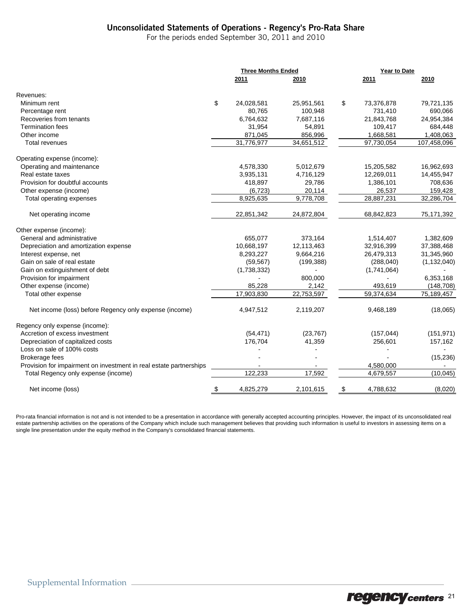### Unconsolidated Statements of Operations - Regency's Pro-Rata Share

For the periods ended September 30, 2011 and 2010

|                                                                    |     | <b>Three Months Ended</b> |            | Year to Date  |             |               |  |
|--------------------------------------------------------------------|-----|---------------------------|------------|---------------|-------------|---------------|--|
|                                                                    |     | 2011                      | 2010       |               | 2011        | 2010          |  |
| Revenues:                                                          |     |                           |            |               |             |               |  |
| Minimum rent                                                       | \$  | 24,028,581                | 25,951,561 | \$            | 73,376,878  | 79,721,135    |  |
| Percentage rent                                                    |     | 80,765                    | 100,948    |               | 731,410     | 690,066       |  |
| Recoveries from tenants                                            |     | 6,764,632                 | 7,687,116  |               | 21,843,768  | 24,954,384    |  |
| <b>Termination fees</b>                                            |     | 31,954                    | 54,891     |               | 109,417     | 684,448       |  |
| Other income                                                       |     | 871,045                   | 856,996    |               | 1,668,581   | 1,408,063     |  |
| <b>Total revenues</b>                                              |     | 31,776,977                | 34,651,512 |               | 97,730,054  | 107,458,096   |  |
| Operating expense (income):                                        |     |                           |            |               |             |               |  |
| Operating and maintenance                                          |     | 4,578,330                 | 5,012,679  |               | 15,205,582  | 16,962,693    |  |
| Real estate taxes                                                  |     | 3,935,131                 | 4,716,129  |               | 12,269,011  | 14,455,947    |  |
| Provision for doubtful accounts                                    |     | 418,897                   | 29,786     |               | 1,386,101   | 708,636       |  |
| Other expense (income)                                             |     | (6, 723)                  | 20,114     |               | 26,537      | 159,428       |  |
| Total operating expenses                                           |     | 8,925,635                 | 9,778,708  |               | 28,887,231  | 32,286,704    |  |
| Net operating income                                               |     | 22,851,342                | 24,872,804 |               | 68,842,823  | 75,171,392    |  |
| Other expense (income):                                            |     |                           |            |               |             |               |  |
| General and administrative                                         |     | 655,077                   | 373,164    |               | 1,514,407   | 1,382,609     |  |
| Depreciation and amortization expense                              |     | 10,668,197                | 12,113,463 |               | 32,916,399  | 37,388,468    |  |
| Interest expense, net                                              |     | 8.293.227                 | 9,664,216  |               | 26,479,313  | 31,345,960    |  |
| Gain on sale of real estate                                        |     | (59, 567)                 | (199, 388) |               | (288,040)   | (1, 132, 040) |  |
| Gain on extinguishment of debt                                     |     | (1,738,332)               |            |               | (1,741,064) |               |  |
| Provision for impairment                                           |     |                           | 800,000    |               |             | 6,353,168     |  |
| Other expense (income)                                             |     | 85,228                    | 2,142      |               | 493,619     | (148, 708)    |  |
| Total other expense                                                |     | 17,903,830                | 22,753,597 |               | 59,374,634  | 75,189,457    |  |
| Net income (loss) before Regency only expense (income)             |     | 4,947,512                 | 2,119,207  |               | 9,468,189   | (18,065)      |  |
| Regency only expense (income):                                     |     |                           |            |               |             |               |  |
| Accretion of excess investment                                     |     | (54, 471)                 | (23, 767)  |               | (157, 044)  | (151, 971)    |  |
| Depreciation of capitalized costs                                  |     | 176,704                   | 41,359     |               | 256,601     | 157,162       |  |
| Loss on sale of 100% costs                                         |     |                           |            |               |             |               |  |
| <b>Brokerage fees</b>                                              |     |                           |            |               |             | (15, 236)     |  |
| Provision for impairment on investment in real estate partnerships |     |                           |            |               | 4,580,000   |               |  |
| Total Regency only expense (income)                                |     | 122,233                   | 17,592     |               | 4,679,557   | (10, 045)     |  |
| Net income (loss)                                                  | -\$ | 4,825,279                 | 2,101,615  | $\frac{3}{2}$ | 4,788,632   | (8,020)       |  |

Pro-rata financial information is not and is not intended to be a presentation in accordance with generally accepted accounting principles. However, the impact of its unconsolidated real estate partnership activities on the operations of the Company which include such management believes that providing such information is useful to investors in assessing items on a single line presentation under the equity method in the Company's consolidated financial statements.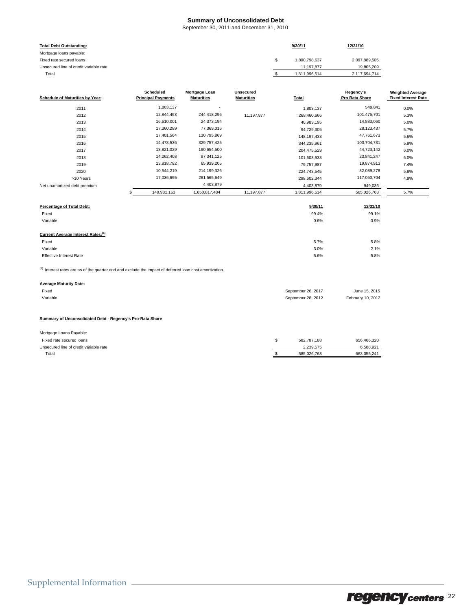#### **Summary of Unconsolidated Debt**

September 30, 2011 and December 31, 2010

| <b>Total Debt Outstanding:</b>                                                                            |                                               |                                    |                                       | 9/30/11             | 12/31/10                    |                                                       |
|-----------------------------------------------------------------------------------------------------------|-----------------------------------------------|------------------------------------|---------------------------------------|---------------------|-----------------------------|-------------------------------------------------------|
| Mortgage loans payable:                                                                                   |                                               |                                    |                                       |                     |                             |                                                       |
| Fixed rate secured loans                                                                                  |                                               |                                    |                                       | \$<br>1,800,798,637 | 2,097,889,505               |                                                       |
| Unsecured line of credit variable rate                                                                    |                                               |                                    |                                       | 11,197,877          | 19,805,209                  |                                                       |
| Total                                                                                                     |                                               |                                    |                                       | \$<br>1,811,996,514 | 2,117,694,714               |                                                       |
|                                                                                                           |                                               |                                    |                                       |                     |                             |                                                       |
| <b>Schedule of Maturities by Year:</b>                                                                    | <b>Scheduled</b><br><b>Principal Payments</b> | Mortgage Loan<br><b>Maturities</b> | <b>Unsecured</b><br><b>Maturities</b> | <b>Total</b>        | Regency's<br>Pro Rata Share | <b>Weighted Average</b><br><b>Fixed Interest Rate</b> |
| 2011                                                                                                      | 1,803,137                                     |                                    |                                       | 1,803,137           | 549,841                     | 0.0%                                                  |
| 2012                                                                                                      | 12,844,493                                    | 244,418,296                        | 11,197,877                            | 268,460,666         | 101,475,701                 | 5.3%                                                  |
| 2013                                                                                                      | 16,610,001                                    | 24,373,194                         |                                       | 40,983,195          | 14,883,060                  | 5.0%                                                  |
| 2014                                                                                                      | 17,360,289                                    | 77,369,016                         |                                       | 94,729,305          | 28,123,437                  | 5.7%                                                  |
| 2015                                                                                                      | 17,401,564                                    | 130,795,869                        |                                       | 148, 197, 433       | 47,761,673                  | 5.6%                                                  |
| 2016                                                                                                      | 14,478,536                                    | 329,757,425                        |                                       | 344,235,961         | 103,704,731                 | 5.9%                                                  |
| 2017                                                                                                      | 13,821,029                                    | 190,654,500                        |                                       | 204,475,529         | 44,723,142                  | 6.0%                                                  |
| 2018                                                                                                      | 14,262,408                                    | 87,341,125                         |                                       | 101,603,533         | 23,841,247                  | 6.0%                                                  |
| 2019                                                                                                      | 13,818,782                                    | 65,939,205                         |                                       | 79,757,987          | 19,874,913                  | 7.4%                                                  |
| 2020                                                                                                      | 10,544,219                                    | 214,199,326                        |                                       | 224,743,545         | 82,089,278                  | 5.8%                                                  |
| >10 Years                                                                                                 | 17,036,695                                    | 281,565,649                        |                                       | 298,602,344         | 117,050,704                 | 4.9%                                                  |
| Net unamortized debt premium                                                                              |                                               | 4,403,879                          |                                       | 4,403,879           | 949,036                     |                                                       |
|                                                                                                           | 149,981,153<br>\$                             | 1,650,817,484                      | 11,197,877                            | 1,811,996,514       | 585,026,763                 | 5.7%                                                  |
|                                                                                                           |                                               |                                    |                                       |                     |                             |                                                       |
| Percentage of Total Debt:                                                                                 |                                               |                                    |                                       | 9/30/11             | 12/31/10                    |                                                       |
| Fixed                                                                                                     |                                               |                                    |                                       | 99.4%               | 99.1%                       |                                                       |
| Variable                                                                                                  |                                               |                                    |                                       | 0.6%                | 0.9%                        |                                                       |
| Current Average Interest Rates: <sup>(1)</sup>                                                            |                                               |                                    |                                       |                     |                             |                                                       |
| Fixed                                                                                                     |                                               |                                    |                                       | 5.7%                | 5.8%                        |                                                       |
| Variable                                                                                                  |                                               |                                    |                                       | 3.0%                | 2.1%                        |                                                       |
| <b>Effective Interest Rate</b>                                                                            |                                               |                                    |                                       | 5.6%                | 5.8%                        |                                                       |
| $(1)$ Interest rates are as of the quarter end and exclude the impact of deferred loan cost amortization. |                                               |                                    |                                       |                     |                             |                                                       |
| <b>Average Maturity Date:</b>                                                                             |                                               |                                    |                                       |                     |                             |                                                       |
| Fixed                                                                                                     |                                               |                                    |                                       | September 26, 2017  | June 15, 2015               |                                                       |
| Variable                                                                                                  |                                               |                                    |                                       | September 28, 2012  | February 10, 2012           |                                                       |
|                                                                                                           |                                               |                                    |                                       |                     |                             |                                                       |
| Summary of Unconsolidated Debt - Regency's Pro-Rata Share                                                 |                                               |                                    |                                       |                     |                             |                                                       |
| Mortgage Loans Payable:                                                                                   |                                               |                                    |                                       |                     |                             |                                                       |
| Fixed rate secured loans                                                                                  |                                               |                                    |                                       | \$<br>582,787,188   | 656,466,320                 |                                                       |
| Unsecured line of credit variable rate                                                                    |                                               |                                    |                                       | 2,239,575           | 6,588,921                   |                                                       |
| Total                                                                                                     |                                               |                                    |                                       | \$<br>585,026,763   | 663,055,241                 |                                                       |

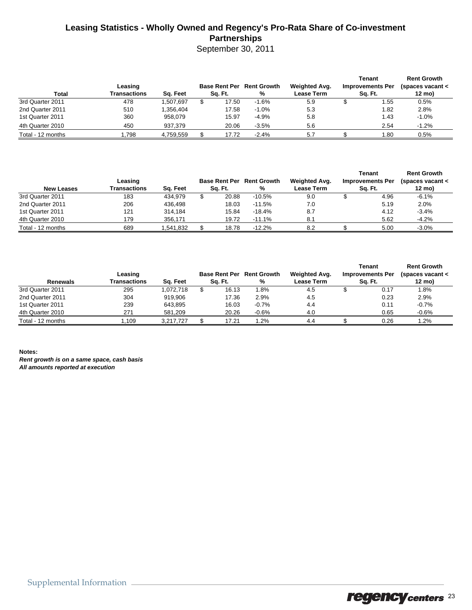### **Leasing Statistics - Wholly Owned and Regency's Pro-Rata Share of Co-investment Partnerships**

September 30, 2011

| <b>Total</b>      | Leasing<br>Transactions | Sa. Feet  | <b>Base Rent Per</b><br>Sa. Ft. |       | <b>Rent Growth</b><br>% | Weighted Avg.<br><b>Lease Term</b> | Tenant<br><b>Improvements Per</b><br>Sq. Ft. | <b>Rent Growth</b><br>(spaces vacant $\lt$<br>12 mo) |  |
|-------------------|-------------------------|-----------|---------------------------------|-------|-------------------------|------------------------------------|----------------------------------------------|------------------------------------------------------|--|
| 3rd Quarter 2011  | 478                     | 1.507.697 |                                 | 17.50 | $-1.6%$                 | 5.9                                | 1.55                                         | 0.5%                                                 |  |
| 2nd Quarter 2011  | 510                     | 1.356.404 |                                 | 17.58 | $-1.0%$                 | 5.3                                | 1.82                                         | 2.8%                                                 |  |
| 1st Quarter 2011  | 360                     | 958.079   |                                 | 15.97 | $-4.9%$                 | 5.8                                | 1.43                                         | $-1.0%$                                              |  |
| 4th Quarter 2010  | 450                     | 937.379   |                                 | 20.06 | $-3.5%$                 | 5.6                                | 2.54                                         | $-1.2%$                                              |  |
| Total - 12 months | .798                    | 4.759.559 |                                 | 17.72 | $-2.4%$                 | 5.7                                | 1.80                                         | 0.5%                                                 |  |

| <b>New Leases</b> | Leasing<br>Transactions<br>Sa. Feet |           | <b>Base Rent Per</b><br>Sq. Ft. | <b>Rent Growth</b><br>% | Weighted Avg.<br><b>Lease Term</b> | Tenant<br><b>Improvements Per</b><br>Sa. Ft. | <b>Rent Growth</b><br>(spaces vacant $\lt$<br>12 mo) |  |
|-------------------|-------------------------------------|-----------|---------------------------------|-------------------------|------------------------------------|----------------------------------------------|------------------------------------------------------|--|
| 3rd Quarter 2011  | 183                                 | 434.979   | 20.88                           | $-10.5%$                | 9.0                                | 4.96                                         | $-6.1%$                                              |  |
| 2nd Quarter 2011  | 206                                 | 436.498   | 18.03                           | $-11.5%$                | 7.0                                | 5.19                                         | 2.0%                                                 |  |
| 1st Quarter 2011  | 121                                 | 314.184   | 15.84                           | $-18.4%$                | 8.7                                | 4.12                                         | $-3.4%$                                              |  |
| 4th Quarter 2010  | 179                                 | 356.171   | 19.72                           | $-11.1%$                | 8.1                                | 5.62                                         | $-4.2%$                                              |  |
| Total - 12 months | 689                                 | 1,541,832 | 18.78                           | $-12.2%$                | 8.2                                | 5.00                                         | $-3.0%$                                              |  |

| Renewals          | Leasing<br>Transactions<br>Sq. Feet |           | <b>Base Rent Per</b><br>Sq. Ft. | <b>Rent Growth</b><br>% | Weighted Avg.<br><b>Lease Term</b> | Tenant<br><b>Improvements Per</b><br>Sq. Ft. | <b>Rent Growth</b><br>(spaces vacant <<br>12 mo) |  |
|-------------------|-------------------------------------|-----------|---------------------------------|-------------------------|------------------------------------|----------------------------------------------|--------------------------------------------------|--|
| 3rd Quarter 2011  | 295                                 | 1.072.718 | 16.13                           | .8%                     | 4.5                                | 0.17                                         | 1.8%                                             |  |
| 2nd Quarter 2011  | 304                                 | 919.906   | 17.36                           | 2.9%                    | 4.5                                | 0.23                                         | 2.9%                                             |  |
| 1st Quarter 2011  | 239                                 | 643.895   | 16.03                           | $-0.7%$                 | 4.4                                | 0.11                                         | $-0.7%$                                          |  |
| 4th Quarter 2010  | 271                                 | 581.209   | 20.26                           | $-0.6%$                 | 4.0                                | 0.65                                         | $-0.6%$                                          |  |
| Total - 12 months | 109.ا                               | 3.217.727 | 17.21                           | .2%                     | 4.4                                | 0.26                                         | $1.2\%$                                          |  |

**Notes:** *Rent growth is on a same space, cash basis All amounts reported at execution*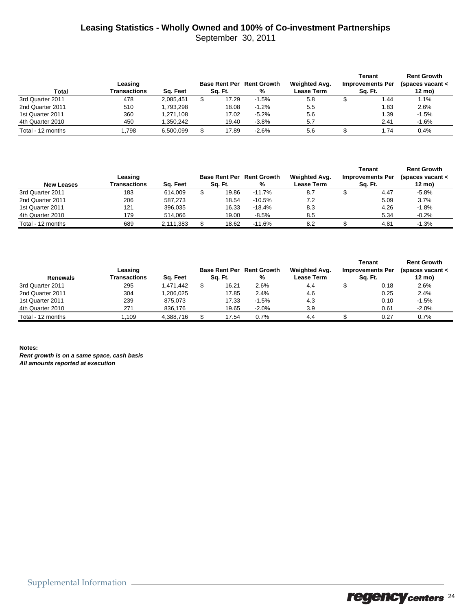# **Leasing Statistics - Wholly Owned and 100% of Co-investment Partnerships**

September 30, 2011

| Total             | Leasing<br>Transactions | Sq. Feet  | <b>Base Rent Per Rent Growth</b><br>%<br>Sq. Ft. |       |         | Weighted Avg.<br><b>Lease Term</b> | Tenant<br><b>Improvements Per</b><br>Sq. Ft. | <b>Rent Growth</b><br>(spaces vacant $\lt$<br>12 mo) |  |
|-------------------|-------------------------|-----------|--------------------------------------------------|-------|---------|------------------------------------|----------------------------------------------|------------------------------------------------------|--|
|                   |                         |           |                                                  |       |         |                                    |                                              |                                                      |  |
| 3rd Quarter 2011  | 478                     | 2.085.451 |                                                  | 17.29 | $-1.5%$ | 5.8                                | 1.44                                         | 1.1%                                                 |  |
| 2nd Quarter 2011  | 510                     | 1.793.298 |                                                  | 18.08 | $-1.2%$ | 5.5                                | 1.83                                         | 2.6%                                                 |  |
| 1st Quarter 2011  | 360                     | 1.271.108 |                                                  | 17.02 | $-5.2%$ | 5.6                                | 1.39                                         | $-1.5%$                                              |  |
| 4th Quarter 2010  | 450                     | 1.350.242 |                                                  | 19.40 | $-3.8%$ | 5.7                                | 2.41                                         | $-1.6%$                                              |  |
| Total - 12 months | .798                    | 6.500.099 |                                                  | 17.89 | $-2.6%$ | 5.6                                | 1.74                                         | 0.4%                                                 |  |

| Leasing           |              |           | <b>Base Rent Per</b> | <b>Rent Growth</b> | Weighted Avg.          |  | Tenant<br><b>Improvements Per</b> | <b>Rent Growth</b><br>(spaces vacant $\lt$ |
|-------------------|--------------|-----------|----------------------|--------------------|------------------------|--|-----------------------------------|--------------------------------------------|
| <b>New Leases</b> | Transactions | Sa. Feet  | Sa. Ft.              |                    | %<br><b>Lease Term</b> |  | Sa. Ft.                           | 12 mo)                                     |
| 3rd Quarter 2011  | 183          | 614.009   | 19.86                | $-11.7%$           | 8.7                    |  | 4.47                              | $-5.8%$                                    |
| 2nd Quarter 2011  | 206          | 587.273   | 18.54                | $-10.5%$           | 7.2                    |  | 5.09                              | 3.7%                                       |
| 1st Quarter 2011  | 121          | 396.035   | 16.33                | $-18.4%$           | 8.3                    |  | 4.26                              | $-1.8%$                                    |
| 4th Quarter 2010  | 179          | 514.066   | 19.00                | $-8.5%$            | 8.5                    |  | 5.34                              | $-0.2%$                                    |
| Total - 12 months | 689          | 2.111.383 | 18.62                | $-11.6%$           | 8.2                    |  | 4.81                              | $-1.3%$                                    |

| Renewals          | Leasing<br>Transactions<br>Sa. Feet |           | <b>Base Rent Per</b><br>Sa. Ft. | <b>Rent Growth</b><br>% | Weighted Avg.<br><b>Lease Term</b> | Tenant<br><b>Improvements Per</b><br>Sa. Ft. | <b>Rent Growth</b><br>(spaces vacant $\lt$<br>12 mo) |  |
|-------------------|-------------------------------------|-----------|---------------------------------|-------------------------|------------------------------------|----------------------------------------------|------------------------------------------------------|--|
| 3rd Quarter 2011  | 295                                 | 1,471,442 | 16.21                           | 2.6%                    | 4.4                                | 0.18                                         | 2.6%                                                 |  |
| 2nd Quarter 2011  | 304                                 | 1.206.025 | 17.85                           | 2.4%                    | 4.6                                | 0.25                                         | 2.4%                                                 |  |
| 1st Quarter 2011  | 239                                 | 875.073   | 17.33                           | $-1.5%$                 | 4.3                                | 0.10                                         | $-1.5%$                                              |  |
| 4th Quarter 2010  | 271                                 | 836.176   | 19.65                           | $-2.0%$                 | 3.9                                | 0.61                                         | $-2.0%$                                              |  |
| Total - 12 months | .109                                | 4.388.716 | 17.54                           | 0.7%                    | 4.4                                | 0.27                                         | 0.7%                                                 |  |

**Notes:**

*Rent growth is on a same space, cash basis All amounts reported at execution*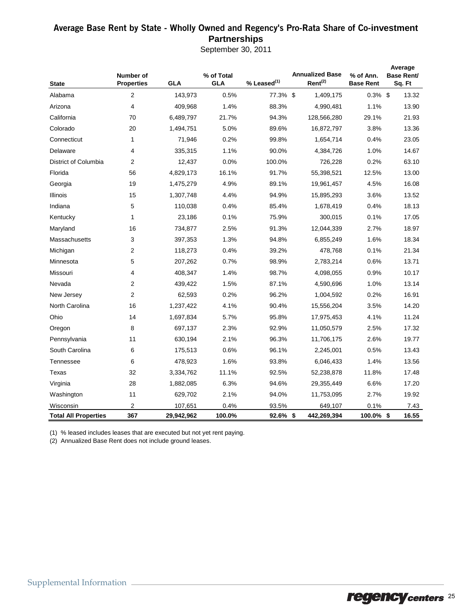### Average Base Rent by State - Wholly Owned and Regency's Pro-Rata Share of Co-**investment Partnerships**

September 30, 2011

|                             | Number of         |            | % of Total |                  | <b>Annualized Base</b> | % of Ann.        | Average<br>Base Rent/ |  |  |
|-----------------------------|-------------------|------------|------------|------------------|------------------------|------------------|-----------------------|--|--|
| <b>State</b>                | <b>Properties</b> | <b>GLA</b> | <b>GLA</b> | $%$ Leased $(1)$ | $Rent^{(2)}$           | <b>Base Rent</b> | Sq. Ft                |  |  |
| Alabama                     | $\overline{2}$    | 143,973    | 0.5%       | 77.3% \$         | 1,409,175              | $0.3\%$ \$       | 13.32                 |  |  |
| Arizona                     | 4                 | 409,968    | 1.4%       | 88.3%            | 4,990,481              | 1.1%             | 13.90                 |  |  |
| California                  | 70                | 6,489,797  | 21.7%      | 94.3%            | 128,566,280            | 29.1%            | 21.93                 |  |  |
| Colorado                    | 20                | 1,494,751  | 5.0%       | 89.6%            | 16,872,797             | 3.8%             | 13.36                 |  |  |
| Connecticut                 | 1                 | 71,946     | 0.2%       | 99.8%            | 1,654,714              | 0.4%             | 23.05                 |  |  |
| Delaware                    | 4                 | 335,315    | 1.1%       | 90.0%            | 4,384,726              | 1.0%             | 14.67                 |  |  |
| District of Columbia        | $\overline{2}$    | 12,437     | 0.0%       | 100.0%           | 726,228                | 0.2%             | 63.10                 |  |  |
| Florida                     | 56                | 4,829,173  | 16.1%      | 91.7%            | 55,398,521             | 12.5%            | 13.00                 |  |  |
| Georgia                     | 19                | 1,475,279  | 4.9%       | 89.1%            | 19,961,457             | 4.5%             | 16.08                 |  |  |
| Illinois                    | 15                | 1,307,748  | 4.4%       | 94.9%            | 15,895,293             | 3.6%             | 13.52                 |  |  |
| Indiana                     | 5                 | 110,038    | 0.4%       | 85.4%            | 1,678,419              | 0.4%             | 18.13                 |  |  |
| Kentucky                    | 1                 | 23,186     | 0.1%       | 75.9%            | 300,015                | 0.1%             | 17.05                 |  |  |
| Maryland                    | 16                | 734,877    | 2.5%       | 91.3%            | 12,044,339             | 2.7%             | 18.97                 |  |  |
| Massachusetts               | 3                 | 397,353    | 1.3%       | 94.8%            | 6,855,249              | 1.6%             | 18.34                 |  |  |
| Michigan                    | 2                 | 118,273    | 0.4%       | 39.2%            | 478,768                | 0.1%             | 21.34                 |  |  |
| Minnesota                   | 5                 | 207,262    | 0.7%       | 98.9%            | 2,783,214              | 0.6%             | 13.71                 |  |  |
| Missouri                    | 4                 | 408,347    | 1.4%       | 98.7%            | 4,098,055              | 0.9%             | 10.17                 |  |  |
| Nevada                      | $\overline{2}$    | 439,422    | 1.5%       | 87.1%            | 4,590,696              | 1.0%             | 13.14                 |  |  |
| New Jersey                  | $\overline{2}$    | 62,593     | 0.2%       | 96.2%            | 1,004,592              | 0.2%             | 16.91                 |  |  |
| North Carolina              | 16                | 1,237,422  | 4.1%       | 90.4%            | 15,556,204             | 3.5%             | 14.20                 |  |  |
| Ohio                        | 14                | 1,697,834  | 5.7%       | 95.8%            | 17,975,453             | 4.1%             | 11.24                 |  |  |
| Oregon                      | 8                 | 697,137    | 2.3%       | 92.9%            | 11,050,579             | 2.5%             | 17.32                 |  |  |
| Pennsylvania                | 11                | 630,194    | 2.1%       | 96.3%            | 11,706,175             | 2.6%             | 19.77                 |  |  |
| South Carolina              | 6                 | 175,513    | 0.6%       | 96.1%            | 2,245,001              | 0.5%             | 13.43                 |  |  |
| Tennessee                   | 6                 | 478,923    | 1.6%       | 93.8%            | 6,046,433              | 1.4%             | 13.56                 |  |  |
| Texas                       | 32                | 3,334,762  | 11.1%      | 92.5%            | 52,238,878             | 11.8%            | 17.48                 |  |  |
| Virginia                    | 28                | 1,882,085  | 6.3%       | 94.6%            | 29,355,449             | 6.6%             | 17.20                 |  |  |
| Washington                  | 11                | 629,702    | 2.1%       | 94.0%            | 11,753,095             | 2.7%             | 19.92                 |  |  |
| Wisconsin                   | 2                 | 107,651    | 0.4%       | 93.5%            | 649,107                | 0.1%             | 7.43                  |  |  |
| <b>Total All Properties</b> | 367               | 29,942,962 | 100.0%     | $92.6\%$ \$      | 442,269,394            | 100.0% \$        | 16.55                 |  |  |

(1) % leased includes leases that are executed but not yet rent paying.

(2) Annualized Base Rent does not include ground leases.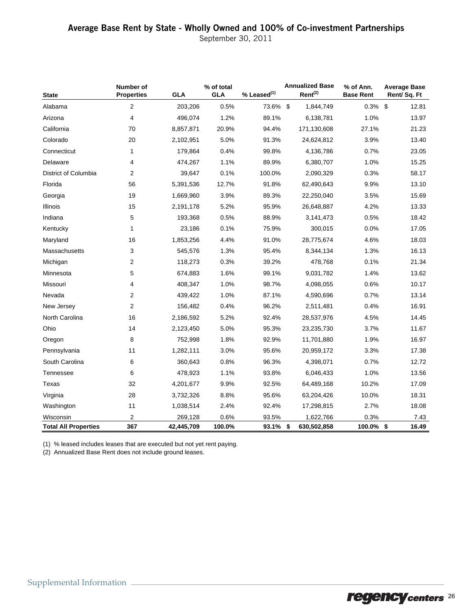September 30, 2011

| <b>State</b>                | Number of<br><b>Properties</b> | <b>GLA</b> | % of total<br><b>GLA</b> | % Leased <sup>(1)</sup> | <b>Annualized Base</b><br>Rent <sup>(2)</sup> | % of Ann.<br><b>Base Rent</b> | <b>Average Base</b><br>Rent/Sq. Ft |
|-----------------------------|--------------------------------|------------|--------------------------|-------------------------|-----------------------------------------------|-------------------------------|------------------------------------|
| Alabama                     | 2                              | 203,206    | 0.5%                     | 73.6% \$                | 1,844,749                                     | 0.3%                          | \$<br>12.81                        |
| Arizona                     | 4                              | 496,074    | 1.2%                     | 89.1%                   | 6,138,781                                     | 1.0%                          | 13.97                              |
| California                  | 70                             | 8,857,871  | 20.9%                    | 94.4%                   | 171,130,608                                   | 27.1%                         | 21.23                              |
| Colorado                    | 20                             | 2,102,951  | 5.0%                     | 91.3%                   | 24,624,812                                    | 3.9%                          | 13.40                              |
| Connecticut                 | 1                              | 179,864    | 0.4%                     | 99.8%                   | 4,136,786                                     | 0.7%                          | 23.05                              |
| Delaware                    | 4                              | 474,267    | 1.1%                     | 89.9%                   | 6,380,707                                     | 1.0%                          | 15.25                              |
| District of Columbia        | $\overline{2}$                 | 39,647     | 0.1%                     | 100.0%                  | 2,090,329                                     | 0.3%                          | 58.17                              |
| Florida                     | 56                             | 5,391,536  | 12.7%                    | 91.8%                   | 62,490,643                                    | 9.9%                          | 13.10                              |
| Georgia                     | 19                             | 1,669,960  | 3.9%                     | 89.3%                   | 22,250,040                                    | 3.5%                          | 15.69                              |
| <b>Illinois</b>             | 15                             | 2,191,178  | 5.2%                     | 95.9%                   | 26,648,887                                    | 4.2%                          | 13.33                              |
| Indiana                     | 5                              | 193,368    | 0.5%                     | 88.9%                   | 3,141,473                                     | 0.5%                          | 18.42                              |
| Kentucky                    | 1                              | 23,186     | 0.1%                     | 75.9%                   | 300,015                                       | 0.0%                          | 17.05                              |
| Maryland                    | 16                             | 1,853,256  | 4.4%                     | 91.0%                   | 28,775,674                                    | 4.6%                          | 18.03                              |
| Massachusetts               | 3                              | 545,576    | 1.3%                     | 95.4%                   | 8,344,134                                     | 1.3%                          | 16.13                              |
| Michigan                    | 2                              | 118,273    | 0.3%                     | 39.2%                   | 478,768                                       | 0.1%                          | 21.34                              |
| Minnesota                   | 5                              | 674,883    | 1.6%                     | 99.1%                   | 9,031,782                                     | 1.4%                          | 13.62                              |
| Missouri                    | 4                              | 408,347    | 1.0%                     | 98.7%                   | 4,098,055                                     | 0.6%                          | 10.17                              |
| Nevada                      | $\overline{2}$                 | 439,422    | 1.0%                     | 87.1%                   | 4,590,696                                     | 0.7%                          | 13.14                              |
| New Jersey                  | 2                              | 156,482    | 0.4%                     | 96.2%                   | 2,511,481                                     | 0.4%                          | 16.91                              |
| North Carolina              | 16                             | 2,186,592  | 5.2%                     | 92.4%                   | 28,537,976                                    | 4.5%                          | 14.45                              |
| Ohio                        | 14                             | 2,123,450  | 5.0%                     | 95.3%                   | 23,235,730                                    | 3.7%                          | 11.67                              |
| Oregon                      | 8                              | 752,998    | 1.8%                     | 92.9%                   | 11,701,880                                    | 1.9%                          | 16.97                              |
| Pennsylvania                | 11                             | 1,282,111  | 3.0%                     | 95.6%                   | 20,959,172                                    | 3.3%                          | 17.38                              |
| South Carolina              | 6                              | 360,643    | 0.8%                     | 96.3%                   | 4,398,071                                     | 0.7%                          | 12.72                              |
| Tennessee                   | 6                              | 478,923    | 1.1%                     | 93.8%                   | 6,046,433                                     | 1.0%                          | 13.56                              |
| Texas                       | 32                             | 4,201,677  | 9.9%                     | 92.5%                   | 64,489,168                                    | 10.2%                         | 17.09                              |
| Virginia                    | 28                             | 3,732,326  | 8.8%                     | 95.6%                   | 63,204,426                                    | 10.0%                         | 18.31                              |
| Washington                  | 11                             | 1,038,514  | 2.4%                     | 92.4%                   | 17,298,815                                    | 2.7%                          | 18.08                              |
| Wisconsin                   | $\overline{2}$                 | 269,128    | 0.6%                     | 93.5%                   | 1,622,766                                     | 0.3%                          | 7.43                               |
| <b>Total All Properties</b> | 367                            | 42,445,709 | 100.0%                   | 93.1% \$                | 630,502,858                                   | 100.0% \$                     | 16.49                              |

(1) % leased includes leases that are executed but not yet rent paying.

(2) Annualized Base Rent does not include ground leases.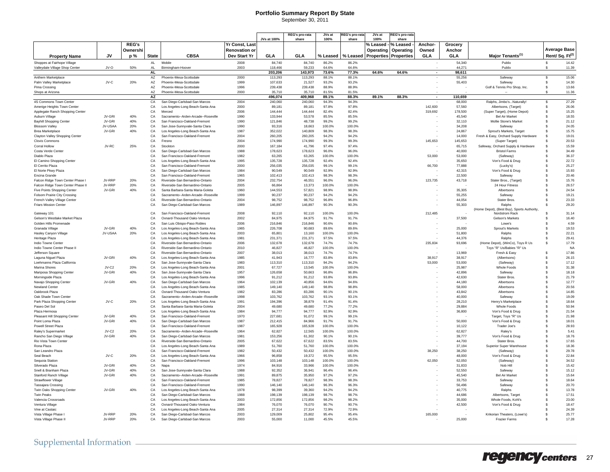### **Portfolio Summary Report By State**

September 30, 2011

|                                                             |                   |              |              |                                                                         |                | JVs at 100%        | <b>REG's pro-rata</b><br>share | JVs a<br>100%    | REG's pro-ra<br>share | JVs a<br>100% | REG's pro-rat<br>share       |            |                   |                                                      |                    |                            |
|-------------------------------------------------------------|-------------------|--------------|--------------|-------------------------------------------------------------------------|----------------|--------------------|--------------------------------|------------------|-----------------------|---------------|------------------------------|------------|-------------------|------------------------------------------------------|--------------------|----------------------------|
|                                                             |                   | <b>REG's</b> |              |                                                                         | Yr Const, Last |                    |                                |                  |                       | % Leased      | % Leased                     | Anchor-    | Grocery           |                                                      |                    |                            |
|                                                             |                   | Ownershi     |              |                                                                         | Renovation or  |                    |                                |                  |                       | Operating     | Operating                    | Owned      | Anchor            |                                                      |                    | <b>Average Base</b>        |
| <b>Property Name</b>                                        | <b>JV</b>         | p%           | <b>State</b> | <b>CBSA</b>                                                             | Dev Start Yr   | <b>GLA</b>         | GLA                            | % Leased         | % Leased              |               | <b>Properties Properties</b> | <b>GLA</b> | GLA               | Major Tenants <sup>(1)</sup>                         |                    | Rent/Sq. Ft <sup>(2)</sup> |
| Shoppes at Fairhope Village                                 |                   |              | AL.          | Mobile                                                                  | 2008           | 84.740             | 84.740                         | 86.2%            | 86.2%                 |               |                              |            | 54,340            | Publix                                               | $\mathbf{s}$       | 14.42                      |
| Valleydale Village Shop Center                              | JV-O              | 50%          | AL.          | Birmingham-Hoover                                                       | 2003           | 118,466            | 59,233                         | 64.6%            | 64.6%                 |               |                              |            | 44,271            | Publix                                               | \$                 | 11.39                      |
|                                                             |                   |              | AL           |                                                                         |                | 203,206            | 143,973                        | 73.6%            | 77.3%                 | 64.6%         | 64.6%                        |            | 98,611            |                                                      |                    |                            |
| Anthem Marketplace                                          |                   |              | AZ           | Phoenix-Mesa-Scottsdale                                                 | 2000           | 113,293            | 113,293                        | 88.1%            | 88.1%                 |               |                              |            | 55.256            | Safeway                                              | \$                 | 15.06                      |
| Palm Valley Marketplace                                     | JV-C              | 20%          | AZ           | Phoenix-Mesa-Scottsdale                                                 | 1999           | 107,633            | 21,527                         | 93.2%            | 93.2%                 |               |                              |            | 55,403            | <b>Safeway</b>                                       | \$                 | 14.30                      |
| Pima Crossing                                               |                   |              | AZ           | Phoenix-Mesa-Scottsdale                                                 | 1996           | 239,438            | 239.438                        | 88.9%            | 88.9%                 |               |                              |            |                   | Golf & Tennis Pro Shop, Inc.                         | £.                 | 13.66                      |
| Shops at Arizona                                            |                   |              | A7           | Phoenix-Mesa-Scottsdale                                                 | 2000           | 35.710             | 35.710                         | 81.5%            | 81.5%                 |               |                              |            |                   |                                                      |                    | 11.36                      |
| 4S Commons Town Center                                      |                   |              | AZ<br>CA     | San Diego-Carlsbad-San Marcos                                           | 2004           | 496,074<br>240,060 | 409,968<br>240,060             | 89.1%<br>94.3%   | 88.3%<br>94.3%        | 89.1%         | 88.3%                        | $\sim$     | 110,659<br>68,000 | Ralphs, Jimbo'sNaturally!                            | \$                 | 27.29                      |
| Amerige Heights Town Center                                 |                   |              | C.A          | Los Angeles-Long Beach-Santa Ana                                        | 2000           | 89.181             | 89.181                         | 97.8%            | 97.8%                 |               |                              | 142,600    | 57.560            | Albertsons, (Target)                                 | \$.                | 26.06                      |
| Applegate Ranch Shopping Center                             |                   |              | CA           | Merced                                                                  | 2006           | 144,444            | 144.444                        | 82.4%            | 82.4%                 |               |                              | 319,692    | 178,500           | (Super Target), (Home Depot)                         | \$                 | 15.25                      |
| Auburn Village                                              | JV-GRI            | 40%          | CA           | Sacramento--Arden-Arcade--Roseville                                     | 1990           | 133.944            | 53.578                         | 85.5%            | 85.5%                 |               |                              |            | 45.540            | <b>Bel Air Market</b>                                | \$                 | 18.55                      |
| <b>Bayhill Shopping Center</b>                              | JV-GRI            | 40%          | CA           | San Francisco-Oakland-Fremont                                           | 1990           | 121,846            | 48,738                         | 99.2%            | 99.2%                 |               |                              |            | 32,110            | Mollie Stone's Market                                | \$                 | 21.12                      |
| <b>Blossom Valley</b>                                       | JV-USAA           | 20%          | CA           | San Jose-Sunnyvale-Santa Clara                                          | 1990           | 93,316             | 18,663                         | 100.0%           | 100.0%                |               |                              |            | 34.208            | Safeway                                              | \$                 | 24.05                      |
| Brea Marketplace                                            | JV-GRI            | 40%          | CA           | Los Angeles-Long Beach-Santa Ana                                        | 1987           | 352.022            | 140.809                        | 98.3%            | 98.3%                 |               |                              |            | 24.867            | Sprout's Markets, Target                             | £.                 | 15.75                      |
| Clayton Valley Shopping Center                              |                   |              | CA           | San Francisco-Oakland-Fremont                                           | 2004           | 260,205            | 260,205                        | 94.2%            | 94.2%                 |               |                              |            | 14,000            | Fresh & Easy, Orchard Supply Hardware                | \$                 | 19.01                      |
| Clovis Commons<br>Corral Hollow                             | JV-RC             | 25%          | CA<br>CA     | Fresno<br>Stockton                                                      | 2004<br>2000   | 174,990<br>167.184 | 174,990<br>41.796              | 99.3%<br>97.4%   | 99.3%<br>97.4%        |               |                              | 145,653    | 145.653<br>65,715 | (Super Target)<br>Safeway, Orchard Supply & Hardware | Ŝ<br>\$            | 20.53<br>15.59             |
| Costa Verde Center                                          |                   |              | C.A          | San Diego-Carlsbad-San Marcos                                           | 1988           | 178.623            | 178.623                        | 96.0%            | 96.0%                 |               |                              |            | 40,000            | <b>Bristol Farms</b>                                 | \$.                | 34.49                      |
| Diablo Plaza                                                |                   |              | CA           | San Francisco-Oakland-Fremont                                           | 1982           | 63,265             | 63.265                         | 100.0%           | 100.0%                |               |                              | 53,000     | 53,000            | (Safeway)                                            | \$.                | 36.37                      |
| El Camino Shopping Center                                   |                   |              | CA           | Los Angeles-Long Beach-Santa Ana                                        | 1995           | 135.728            | 135,728                        | 92.4%            | 92.4%                 |               |                              |            | 35.650            | Von's Food & Drug                                    | \$                 | 22.72                      |
| El Cerrito Plaza                                            |                   |              | CA           | San Francisco-Oakland-Fremont                                           | 2000           | 256,035            | 256,035                        | 99.1%            | 99.1%                 |               |                              | 66,700     | 77,888            | (Lucky's)                                            | \$                 | 25.27                      |
| El Norte Pkwy Plaza                                         |                   |              | C.A          | San Diego-Carlsbad-San Marcos                                           | 1984           | 90,549             | 90,549                         | 92.9%            | 92.9%                 |               |                              |            | 42.315            | Von's Food & Drug                                    | \$                 | 15.93                      |
| Encina Grande                                               |                   |              | CA           | San Francisco-Oakland-Fremont                                           | 1965           | 102,413            | 102,413                        | 98.3%            | 98.3%                 |               |                              |            | 22,500            | Safeway                                              | \$                 | 20.46                      |
| Falcon Ridge Town Center Phase I                            | JV-RRP            | 20%          | CA           | Riverside-San Bernardino-Ontario                                        | 2004           | 232.754            | 46.551                         | 96.0%            | 96.0%                 |               |                              | 123,735    | 43.718            | Stater Bros., (Target)                               | \$                 | 15.76                      |
| Falcon Ridge Town Center Phase II                           | JV-RRP<br>JV-GRI  | 20%<br>40%   | CA<br>CA     | Riverside-San Bernardino-Ontario                                        | 2005<br>1960   | 66,864             | 13,373                         | 100.0%<br>98.9%  | 100.0%<br>98.9%       |               |                              |            |                   | 24 Hour Fitness                                      | \$                 | 26.57<br>24.54             |
| Five Points Shopping Center<br>Folsom Prairie City Crossing |                   |              | CA           | Santa Barbara-Santa Maria-Goleta<br>Sacramento--Arden-Arcade--Roseville | 1999           | 144.553<br>90.237  | 57.821<br>90.237               | 94.2%            | 94.2%                 |               |                              |            | 35,305<br>55,255  | Albertsons<br>Safeway                                | \$<br>\$           | 19.21                      |
| French Valley Village Center                                |                   |              | CA           | Riverside-San Bernardino-Ontario                                        | 2004           | 98.752             | 98.752                         | 96.8%            | 96.8%                 |               |                              |            | 44.054            | <b>Stater Bros</b>                                   | \$                 | 23.33                      |
| <b>Friars Mission Cente</b>                                 |                   |              | CA           | San Diego-Carlsbad-San Marcos                                           | 1989           | 146,897            | 146,897                        | 90.3%            | 90.3%                 |               |                              |            | 55,303            | Ralphs                                               | \$                 | 29.20                      |
|                                                             |                   |              |              |                                                                         |                |                    |                                |                  |                       |               |                              |            |                   | (Home Depot), (Best Buy), Sports Authority,          |                    |                            |
| Gateway 101                                                 |                   |              | CA           | San Francisco-Oakland-Fremont                                           | 2008           | 92.110             | 92.110                         | 100.0%           | 100.0%                |               |                              | 212,485    |                   | Nordstrom Rack                                       | S                  | 31.14                      |
| Gelson's Westlake Market Plaza                              |                   |              | CA           | Oxnard-Thousand Oaks-Ventura                                            | 2002           | 84.975             | 84,975                         | 91.7%            | 91.7%                 |               |                              |            | 37,500            | Gelson's Markets                                     | \$.                | 16.40                      |
| Golden Hills Promenade                                      |                   |              | CA           | San Luis Obispo-Paso Robles                                             | 2006           | 216,846            | 216,846                        | 90.6%            | 90.6%                 |               |                              |            |                   | Lowe's                                               | s                  | 4.59                       |
| Granada Village<br>Hasley Canyon Village                    | JV-GRI<br>JV-USAA | 40%<br>20%   | CA<br>CA     | Los Angeles-Long Beach-Santa Ana<br>Los Angeles-Long Beach-Santa Ana    | 1965<br>2003   | 226,708<br>65,801  | 90.683<br>13,160               | 89.6%<br>100.0%  | 89.6%<br>100.0%       |               |                              |            | 25,000<br>51,800  | Sprout's Markets<br>Ralphs                           | \$<br>\$           | 19.53<br>22.21             |
| Heritage Plaza                                              |                   |              | CA           | Los Angeles-Long Beach-Santa Ana                                        | 1981           | 231.371            | 231.371                        | 97.5%            | 97.5%                 |               |                              |            | 44.376            | Ralphs                                               | \$.                | 29.41                      |
| Indio Towne Center                                          |                   |              | CA           | Riverside-San Bernardino-Ontario                                        | 2006           | 132,678            | 132.678                        | 74.7%            | 74.7%                 |               |                              | 235,834    | 93,696            | (Home Depot), (WinCo), Toys R Us                     | \$                 | 17.79                      |
| Indio Towne Center Phase II                                 |                   |              | CA           | Riverside-San Bernardino-Ontario                                        | 2010           | 46.827             | 46.827                         | 100.0%           | 100.0%                |               |                              |            |                   | Toys "R" Us/Babies "R" Us                            |                    | <b>NA</b>                  |
| Jefferson Square                                            |                   |              | CA           | Riverside-San Bernardino-Ontario                                        | 2007           | 38,013             | 38,013                         | 74.7%            | 74.7%                 |               |                              |            | 13,969            | Fresh & Easy                                         | \$                 | 17.86                      |
| Laguna Niguel Plaza                                         | JV-GRI            | 40%          | CA           | Los Angeles-Long Beach-Santa Ana                                        | 1985           | 41.943             | 16,777                         | 83.8%            | 83.8%                 |               |                              | 38,917     | 38.917            | (Albertsons)                                         | \$                 | 26.15                      |
| Loehmanns Plaza California                                  |                   |              | CA           | San Jose-Sunnyvale-Santa Clara                                          | 1983           | 113.310            | 113,310                        | 94.2%            | 94.2%                 |               |                              | 53,000     | 53,000            | (Safeway)                                            | \$                 | 17.12                      |
| Marina Shores                                               | $JV-C2$           | 20%          | CA           | Los Angeles-Long Beach-Santa Ana                                        | 2001           | 67,727             | 13.545                         | 100.0%           | 100.0%                |               |                              |            | 25.987            | Whole Foods                                          | $\mathbf{\hat{s}}$ | 31.38                      |
| Mariposa Shopping Center<br>Morningside Plaza               | JV-GRI            | 40%          | CA<br>CA     | San Jose-Sunnvvale-Santa Clara<br>Los Angeles-Long Beach-Santa Ana      | 1957<br>1996   | 126,658<br>91.212  | 50,663<br>91,212               | 96.8%<br>93.8%   | 96.8%<br>93.8%        |               |                              |            | 42,896<br>42.630  | Safeway<br>Stater Bros.                              | \$<br>\$           | 18.18<br>21.79             |
| Navajo Shopping Center                                      | JV-GRI            | 40%          | CA           | San Diego-Carlsbad-San Marcos                                           | 1964           | 102.139            | 40.856                         | 94.6%            | 94.6%                 |               |                              |            | 44.180            | Albertsons                                           | \$.                | 12.77                      |
| Newland Center                                              |                   |              | CA           | Los Angeles-Long Beach-Santa Ana                                        | 1985           | 149,140            | 149,140                        | 98.8%            | 98.8%                 |               |                              |            | 58,000            | Albertsons                                           | \$                 | 20.56                      |
| Oakbrook Plaza                                              |                   |              | CA           | Oxnard-Thousand Oaks-Ventura                                            | 1982           | 83.286             | 83.286                         | 90.1%            | 90.1%                 |               |                              |            | 43.842            | Albertsons                                           | \$                 | 14.85                      |
| Oak Shade Town Center                                       |                   |              | CA           | Sacramento--Arden-Arcade--Roseville                                     | 1998           | 103,762            | 103,762                        | 93.1%            | 93.1%                 |               |                              |            | 40,000            | Safeway                                              | \$                 | 19.09                      |
| Park Plaza Shopping Center                                  | JV-C              | 20%          | CA           | Los Angeles-Long Beach-Santa Ana                                        | 1991           | 194.396            | 38,879                         | 91 4%            | 91 4%                 |               |                              |            | 28.210            | Henry's Marketplace                                  | \$                 | 18.64                      |
| Paseo Del Sol                                               |                   |              | CA           | Santa Barbara-Santa Maria-Goleta                                        | 2004           | 49.680             | 49.680                         | 77.2%            | 77.2%                 |               |                              |            | 29.884            | Whole Foods                                          | £.                 | 50.94                      |
| Plaza Hermosa                                               | JV-GRI            | 40%          | CA           | Los Angeles-Long Beach-Santa Ana                                        | 1984<br>1970   | 94.777<br>227.681  | 94.777                         | 92.9%<br>99.1%   | 92.9%<br>99.1%        |               |                              |            | 36,800            | Von's Food & Drug                                    | $\mathbf{\hat{s}}$ | 21.54                      |
| Pleasant Hill Shopping Center<br>Point Loma Plaza           | JV-GRI            | 40%          | CA<br>CA     | San Francisco-Oakland-Fremont<br>San Diego-Carlsbad-San Marcos          | 1987           | 212.415            | 91,072<br>84.966               | 91.7%            | 91.7%                 |               |                              |            | 50.000            | Target, Toys "R" Us<br>Von's Food & Drug             | \$<br>\$           | 21.98<br>18.01             |
| Powell Street Plaza                                         |                   |              | CA           | San Francisco-Oakland-Fremont                                           | 1987           | 165.928            | 165,928                        | 100.0%           | 100.0%                |               |                              |            | 10.122            | Trader Joe's                                         | \$                 | 28.93                      |
| Raley's Supermarket                                         | $JV-C2$           | 20%          | CA           | Sacramento--Arden-Arcade--Roseville                                     | 1964           | 62.827             | 12,565                         | 100.0%           | 100.0%                |               |                              |            | 62.827            | Raley's                                              | \$                 | 5.41                       |
| Rancho San Diego Village                                    | JV-GRI            | 40%          | CA           | San Diego-Carlsbad-San Marcos                                           | 1981           | 153,256            | 61,302                         | 90.1%            | 90.1%                 |               |                              |            | 39,777            | Von's Food & Drug                                    | \$                 | 18.76                      |
| Rio Vista Town Center                                       |                   |              | C.A          | Riverside-San Bernardino-Ontario                                        | 2005           | 67,622             | 67,622                         | 83.5%            | 83.5%                 |               |                              |            | 44,700            | Stater Bros.                                         | \$                 | 17.65                      |
| Rona Plaza                                                  |                   |              | C.A          | Los Angeles-Long Beach-Santa Ana                                        | 1989           | 51.760             | 51.760                         | 100.0%           | 100.0%                |               |                              |            | 37.194            | Superior Super Warehouse                             | $\mathbf{\hat{s}}$ | 18.36                      |
| San Leandro Plaza                                           |                   |              | CA           | San Francisco-Oakland-Fremont                                           | 1982           | 50,432             | 50,432                         | 100.0%           | 100.0%                |               |                              | 38,250     | 38,250            | (Safeway)                                            | $\mathbf{\hat{s}}$ | 29.78                      |
| Seal Beach                                                  | JV-C              | 20%          | CA           | Los Angeles-Long Beach-Santa Ana                                        | 1966           | 96.858             | 19,372                         | 95.5%            | 95.5%                 |               |                              |            | 48,000            | Von's Food & Drug                                    | \$                 | 22.84                      |
| Sequoia Station<br>Silverado Plaza                          | .IV-GRI           | 40%          | CA<br>CA     | San Francisco-Oakland-Fremont<br>Nana                                   | 1996<br>1974   | 103,148<br>84.916  | 103,148<br>33,966              | 100.0%<br>100.0% | 100.0%<br>100.0%      |               |                              | 62,050     | 62.050<br>31.833  | (Safeway<br>Nob Hill                                 | \$<br>\$           | 34.52<br>15.42             |
| Snell & Branham Plaza                                       | JV-GRI            | 40%          | CA           | San Jose-Sunnvyale-Santa Clara                                          | 1988           | 92.352             | 36.941                         | 96.4%            | 96.4%                 |               |                              |            | 52,550            | Safeway                                              | \$                 | 15.12                      |
| <b>Stanford Ranch Village</b>                               | JV-GRI            | 40%          | CA           | Sacramento--Arden-Arcade--Roseville                                     | 1991           | 89.875             | 35,950                         | 97.2%            | 97.2%                 |               |                              |            | 45,540            | <b>Bel Air Market</b>                                | \$                 | 15.64                      |
| Strawflower Village                                         |                   |              | CA           | San Francisco-Oakland-Fremont                                           | 1985           | 78,827             | 78,827                         | 98.3%            | 98.3%                 |               |                              |            | 33,753            | Safeway                                              | \$                 | 18.64                      |
| Tassaiara Crossing                                          |                   |              | C.A          | San Francisco-Oakland-Fremont                                           | 1990           | 146.140            | 146.140                        | 96.3%            | 96.3%                 |               |                              |            | 56.496            | Safeway                                              | $\mathbf{\hat{s}}$ | 20.70                      |
| Twin Oaks Shopping Center                                   | JV-GRI            | 40%          | C.A          | Los Angeles-Long Beach-Santa Ana                                        | 1978           | 98.399             | 39.360                         | 94.2%            | 94.2%                 |               |                              |            | 40.775            | Ralphs                                               | \$.                | 13.78                      |
| <b>Twin Peaks</b>                                           |                   |              | CA           | San Diego-Carlsbad-San Marcos                                           | 1988           | 198,139            | 198,139                        | 98.7%            | 98.7%                 |               |                              |            | 44,686            | Albertsons, Target                                   | $\mathbf{\hat{s}}$ | 17.51                      |
| Valencia Crossroads                                         |                   |              | CA           | Los Angeles-Long Beach-Santa Ana                                        | 2003           | 172.856            | 172.856                        | 98.2%            | 98.2%                 |               |                              |            | 35,000            | Whole Foods, Kohl's                                  | Ŝ                  | 23.00                      |
| Ventura Village<br>Vine at Castaic                          |                   |              | CA<br>CA     | Oxnard-Thousand Oaks-Ventura                                            | 1984<br>2005   | 76,070<br>27.314   | 76,070<br>27.314               | 90.7%<br>72.9%   | 90.7%<br>72.9%        |               |                              |            | 42,500            | Von's Food & Drug                                    | \$<br>\$           | 18.47<br>24.39             |
| Vista Village Phase                                         | JV-RRP            | 20%          | CA           | Los Angeles-Long Beach-Santa Ana<br>San Diego-Carlsbad-San Marcos       | 2003           | 129,009            | 25,802                         | 95.4%            | 95.4%                 |               |                              | 165,000    |                   | Krikorian Theaters, (Lowe's)                         | s.                 | 25.77                      |
| Vista Village Phase II                                      | JV-RRP            | 20%          | CA           | San Diego-Carlsbad-San Marcos                                           | 2003           | 55,000             | 11,000                         | 45.5%            | 45.5%                 |               |                              |            | 25,000            | <b>Frazier Farms</b>                                 | s                  | 17.28                      |
|                                                             |                   |              |              |                                                                         |                |                    |                                |                  |                       |               |                              |            |                   |                                                      |                    |                            |

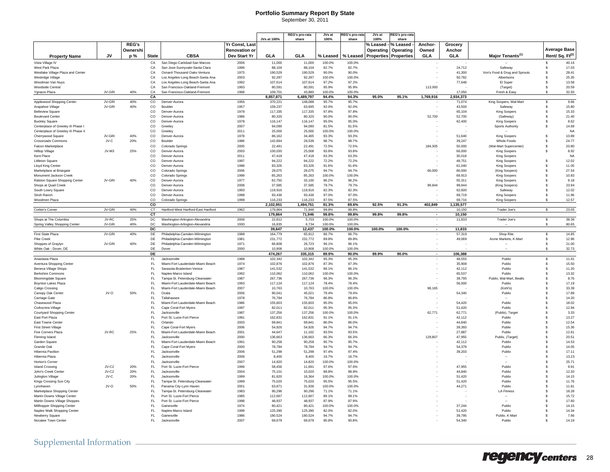#### **Portfolio Summary Report By State** September 30, 2011

|                                   |        |              |       |                                  |                       |             | REG's pro-rata | JVs at | REG's pro-rata | JVs at              | REG's pro-rata                                |         |            |                               |                            |
|-----------------------------------|--------|--------------|-------|----------------------------------|-----------------------|-------------|----------------|--------|----------------|---------------------|-----------------------------------------------|---------|------------|-------------------------------|----------------------------|
|                                   |        |              |       |                                  |                       | JVs at 100% | share          | 100%   | share          | 100%                | share                                         |         |            |                               |                            |
|                                   |        | <b>REG's</b> |       |                                  | <b>Yr Const. Last</b> |             |                |        |                | % Leased - % Leased |                                               | Anchor- | Grocery    |                               |                            |
|                                   |        | Ownershi     |       |                                  | <b>Renovation or</b>  |             |                |        |                |                     | <b>Operating   Operating  </b>                | Owned   | Anchor     |                               | Average Base               |
| <b>Property Name</b>              | JV     |              | State | <b>CBSA</b>                      | Dev Start Yr          | GLA         | GLA            |        |                |                     | % Leased   % Leased   Properties   Properties | GLA     | <b>GLA</b> | Major Tenants <sup>(1)</sup>  | Rent/Sq. Ft <sup>(2)</sup> |
| Vista Village IV                  |        |              | CA    | San Diego-Carlsbad-San Marcos    | 2006                  | 11.000      | 11.000         | 100.0% | 100.0%         |                     |                                               |         |            | $\sim$                        | 40.16                      |
| West Park Plaza                   |        |              | CA    | San Jose-Sunnyvale-Santa Clara   | 1996                  | 88.104      | 88.104         | 82.7%  | 82.7%          |                     |                                               |         | 24.712     | Safeway                       | 17.03                      |
| Westlake Village Plaza and Center |        |              | CA    | Oxnard-Thousand Oaks-Ventura     | 1975                  | 190.529     | 190,529        | 90.0%  | 90.0%          |                     |                                               |         | 41.300     | Von's Food & Drug and Sprouts | 28.41                      |
| Westridge Village                 |        |              | CA    | Los Angeles-Long Beach-Santa Ana | 2003                  | 92.287      | 92.287         | 100.0% | 100.0%         |                     |                                               |         | 50.782     | Albertsons                    | 25.35                      |
| Woodman Van Nuys                  |        |              | CA    | Los Angeles-Long Beach-Santa Ana | 1992                  | 107.614     | 107.614        | 97.2%  | 97.2%          |                     |                                               |         | 77.648     | El Super                      | 13.58                      |
| Woodside Central                  |        |              | CА    | San Francisco-Oakland-Fremont    | 1993                  | 80.591      | 80.591         | 95.9%  | 95.9%          |                     |                                               | 113,000 |            | (Target)                      | 20.59                      |
| Ygnacio Plaza                     | JV-GRI | 40%          | CA    | San Francisco-Oakland-Fremont    | 1968                  | 109.701     | 43.880         | 100.0% | 100.0%         |                     |                                               |         | 17.050     | Fresh & Easy                  | 32.93                      |
|                                   |        |              | - -   |                                  |                       | ------      | .              |        | $\cdots$       | $- - - - -$         |                                               | .       | -------    |                               |                            |

| <b>Property Name</b>                                        | JV       | p%  | <b>State</b>                   | <b>CBSA</b>                                                       | Dev Start Yr | <b>GLA</b>           | GLA                | % Leased        | % Leased        | <b>Properties Properties</b> |        | GLA                      | <b>GLA</b>          | Major Tenants <sup>(1)</sup>                   |                              | Rent/Sq. Ft <sup>(2)</sup> |
|-------------------------------------------------------------|----------|-----|--------------------------------|-------------------------------------------------------------------|--------------|----------------------|--------------------|-----------------|-----------------|------------------------------|--------|--------------------------|---------------------|------------------------------------------------|------------------------------|----------------------------|
| Vista Village IV                                            |          |     | CA                             | San Diego-Carlsbad-San Marcos                                     | 2006         | 11.000               | 11,000             | 100.0%          | 100.0%          |                              |        |                          |                     | $\sim$                                         | s.                           | 40.16                      |
| West Park Plaza                                             |          |     | CA                             | San Jose-Sunnyvale-Santa Clara                                    | 1996         | 88.104               | 88.104             | 82.7%           | 82.7%           |                              |        |                          | 24,712              | Safeway                                        | s.                           | 17.03                      |
| Westlake Village Plaza and Center                           |          |     | CA                             | Oxnard-Thousand Oaks-Ventura                                      | 1975         | 190,529              | 190.529            | 90.0%           | 90.0%           |                              |        |                          | 41.300              | Von's Food & Drug and Sprouts                  | s.                           | 28.41                      |
| Westridge Village                                           |          |     | CA<br>CA                       | Los Angeles-Long Beach-Santa Ana                                  | 2003         | 92,287<br>107.614    | 92,287             | 100.0%<br>97.2% | 100.0%<br>97.2% |                              |        |                          | 50,782              | Albertsons                                     | $\mathbf{\hat{s}}$           | 25.35<br>13.58             |
| Woodman Van Nuys<br>Woodside Central                        |          |     | CA                             | Los Angeles-Long Beach-Santa Ana<br>San Francisco-Oakland-Fremont | 1992<br>1993 | 80.591               | 107.614<br>80.591  | 95.9%           | 95.9%           |                              |        | 113,000                  | 77,648              | El Super<br>(Target)                           | s.<br>s.                     | 20.59                      |
| Ygnacio Plaza                                               | JV-GRI   | 40% | CA                             | San Francisco-Oakland-Fremont                                     | 1968         | 109.701              | 43.880             | 100.0%          | 100.0%          |                              |        |                          | 17.050              | Fresh & Easy                                   | s.                           | 32.93                      |
|                                                             |          |     | CA                             |                                                                   |              | 8.857.871            | 6.489.797          | 94.4%           | 94.3%           | 95.0%                        | 95.1%  | 1,769,916                | 2.934.373           |                                                |                              |                            |
| Applewood Shopping Center                                   | JV-GRI   | 40% | $\overline{c}$                 | Denver-Aurora                                                     | 1956         | 370.221              | 148.088            | 95.7%           | 95.7%           |                              |        |                          | 71.074              | King Soopers, Wal-Mart                         | s.                           | 9.66                       |
| Arapahoe Village                                            | JV-GRI   | 40% | co                             | <b>Boulder</b>                                                    | 1957         | 159.237              | 63.695             | 92.0%           | 92.0%           |                              |        |                          | 43,500              | Safeway                                        | $\mathbf{s}$                 | 15.80                      |
| <b>Belleview Square</b>                                     |          |     | co                             | Denver-Aurora                                                     | 1978         | 117.335              | 117,335            | 97.8%           | 97.8%           |                              |        |                          | 65.104              | King Soopers                                   | £.                           | 15.33                      |
| <b>Boulevard Center</b>                                     |          |     | CO<br>CO                       | Denver-Aurora<br>Denver-Aurora                                    | 1986<br>1978 | 80.320<br>116.147    | 80.320<br>116.147  | 90.0%<br>95.0%  | 90.0%<br>95.0%  |                              |        | 52,700                   | 52.700<br>62.400    | (Safeway)                                      | $\mathbf{s}$<br>$\mathbf{s}$ | 21.40<br>8.62              |
| <b>Buckley Square</b><br>Centerplace of Greeley III Phase I |          |     | $_{\rm CO}$                    | Greeley                                                           | 2007         | 94.090               | 94.090             | 81.5%           | 81.5%           |                              |        |                          |                     | <b>King Soopers</b><br><b>Sports Authority</b> | $\mathbf{s}$                 | 14.69                      |
| Centerplace of Greeley III Phase II                         |          |     | $_{\rm CO}$                    | Greeley                                                           | 2011         | 25.000               | 25,000             | 100.0%          | 100.0%          |                              |        |                          |                     |                                                |                              | <b>NA</b>                  |
| Cherrywood Square                                           | JV-GRI   | 40% | $_{\rm CO}$                    | Denver-Aurora                                                     | 1978         | 86.162               | 34,465             | 93.3%           | 93.3%           |                              |        |                          | 51,640              | King Soopers                                   | \$                           | 10.89                      |
| <b>Crossroads Commons</b>                                   | JV-C     | 20% | $_{\rm CO}$                    | Boulder                                                           | 1986         | 142,694              | 28,539             | 98.7%           | 98.7%           |                              |        |                          | 39,247              | <b>Whole Foods</b>                             | s.                           | 24.77                      |
| Falcon Marketplace                                          |          |     | $_{\rm CO}$                    | Colorado Springs                                                  | 2005         | 22,491               | 22,491             | 72.5%           | 72.5%           |                              |        | 184,305                  | 50,000              | (Wal-Mart Supercenter)                         | \$                           | 20.80                      |
| <b>Hilltop Village</b>                                      | $JV-M3$  | 25% | $_{\rm CO}$                    | Denver-Aurora                                                     | 2003         | 100,030              | 25,008             | 93.8%           | 93.8%           |                              |        |                          | 66,000              | King Soopers                                   | s                            | 8.92                       |
| Kent Place                                                  |          |     | $_{\rm CO}$                    | Denver-Aurora                                                     | 2011         | 47,418               | 47,418             | 63.3%           | 63.3%           |                              |        |                          | 30,018              | <b>King Soopers</b>                            | \$                           | <b>NA</b>                  |
| <b>Littleton Square</b><br><b>Lloyd King Center</b>         |          |     | $_{\rm CO}$<br>$_{\rm CO}$     | Denver-Aurora<br>Denver-Aurora                                    | 1997<br>1998 | 94,222<br>83.326     | 94,222<br>83,326   | 72.2%<br>91.6%  | 72.2%<br>91.6%  |                              |        |                          | 49,751<br>61,040    | <b>King Soopers</b><br><b>King Soopers</b>     | s.                           | 12.02<br>11.05             |
| Marketplace at Briargate                                    |          |     | $_{\rm CO}$                    | Colorado Springs                                                  | 2006         | 29,075               | 29,075             | 94.7%           | 94.7%           |                              |        | 66,000                   | 66,000              | (King Soopers)                                 | $\mathbf{\hat{s}}$           | 27.54                      |
| Monument Jackson Creek                                      |          |     | $_{\rm CO}$                    | Colorado Springs                                                  | 1999         | 85,263               | 85,263             | 100.0%          | 100.0%          |                              |        |                          | 69,913              | King Soopers                                   | s.                           | 10.83                      |
| Ralston Square Shopping Center                              | JV-GRI   | 40% | $_{\rm CO}$                    | Denver-Aurora                                                     | 1977         | 82,750               | 33,100             | 96.2%           | 96.2%           |                              |        |                          | 55,311              | King Soopers                                   | \$                           | 9.18                       |
| Shops at Quail Creek                                        |          |     | $_{\rm CO}$                    | Denver-Aurora                                                     | 2008         | 37,585               | 37,585             | 79.7%           | 79.7%           |                              |        | 99,844                   | 99,844              | (King Soopers)                                 | \$                           | 23.94                      |
| South Lowry Square                                          |          |     | $_{\rm CO}$                    | Denver-Aurora                                                     | 1993         | 119,916              | 119,916            | 82.3%           | 82.3%           |                              |        |                          | 62,600              | Safeway                                        | \$                           | 12.02                      |
| Stroh Ranch                                                 |          |     | $_{\rm CO}$<br>CO              | Denver-Aurora                                                     | 1998         | 93,436               | 93,436<br>116.233  | 97.0%<br>87.5%  | 97.0%<br>87.5%  |                              |        |                          | 69,719              | King Soopers                                   | \$<br>\$                     | 11.96                      |
| Woodmen Plaza                                               |          |     | co                             | Colorado Springs                                                  | 1998         | 116,233<br>2,102,951 | 1,494,751          | 91.3%           | 89.6%           | 92.5%                        | 91.3%  | 402,849                  | 69,716<br>1,135,577 | King Soopers                                   |                              | 12.57                      |
| Corbin's Corner                                             | JV-GRI   | 40% | CT                             | Hartford-West Hartford-East Hartford                              | 1962         | 179.864              | 71.94F             | 99.8%           | 99.8%           |                              |        |                          | 10.150              | Trader Joe's                                   | $\mathbf{s}$                 | 23.05                      |
|                                                             |          |     | CT                             |                                                                   |              | 179,864              | 71,946             | 99.8%           | 99.8%           | 99.8%                        | 99.8%  | $\overline{\phantom{a}}$ | 10,150              |                                                |                              |                            |
| Shops at The Columbia                                       | $JV-RC$  | 25% | DC                             | Washington-Arlington-Alexandria                                   | 2006         | 22,812               | 5,703              | 100.0%          | 100.0%          |                              |        |                          | 11,833              | Trader Joe's                                   | $\mathbf{s}$                 | 38.36                      |
| Spring Valley Shopping Center                               | $IV-GRI$ | 40% | D <sub>C</sub>                 | Washington-Arlington-Alexandria                                   | 1930         | 16.835               | 6.734              | 100.0%          | 100.0%          |                              |        |                          |                     |                                                | - 53                         | 80.65                      |
|                                                             |          |     | $_{\text{DC}}$                 |                                                                   |              | 39,647               | 12,437             | 100.0%          | 100.0%          | 100.0%                       | 100.0% |                          | 11,833              |                                                |                              |                            |
| First State Plaza<br><b>Pike Creek</b>                      | JV-GRI   | 40% | DE<br>DE                       | Philadelphia-Camden-Wilmington<br>Philadelphia-Camden-Wilmington  | 1988<br>1981 | 164,779<br>231,772   | 65,912<br>231,772  | 86.7%<br>89.8%  | 86.7%<br>89.8%  |                              |        |                          | 57,319<br>49,069    | Shop Rite<br>Acme Markets, K-Mart              | Ŝ.<br>s.                     | 14.85<br>12.96             |
| Shoppes of Graylyn                                          | JV-GRI   | 40% | DE                             | Philadelphia-Camden-Wilmington                                    | 1971         | 66,808               | 26,723             | 96.1%           | 96.1%           |                              |        |                          |                     |                                                | s.                           | 21.00                      |
| White Oak - Dover, DE                                       |          |     | DF                             | Dove                                                              | 2000         | 10.908               | 10.908             | 100.0%          | 100.0%          |                              |        |                          |                     |                                                | $\mathbf{\hat{s}}$           | 32.73                      |
|                                                             |          |     | <b>DE</b>                      |                                                                   |              | 474.267              | 335,315            | 89.9%           | 90.0%           | 89.9%                        | 90.0%  |                          | 106.388             |                                                |                              |                            |
| Anastasia Plaza                                             |          |     | $\mathsf{FL}$                  | Jacksonville                                                      | 1988         | 102,342              | 102,342            | 95.3%           | 95.3%           |                              |        |                          | 48.555              | Publix                                         | $\mathbf{s}$                 | 11.41                      |
| Aventura Shopping Center                                    |          |     | FL.                            | Miami-Fort Lauderdale-Miami Beach                                 | 1974         | 102,876              | 102.876            | 87.3%           | 87.3%           |                              |        |                          | 35,908              | Publix                                         | -S.                          | 15.50                      |
| Beneva Village Shops<br><b>Berkshire Commons</b>            |          |     | FL.<br>FL.                     | Sarasota-Bradenton-Venice<br>Naples-Marco Island                  | 1987<br>1992 | 141.532<br>110.062   | 141.532<br>110.062 | 86.1%<br>100.0% | 86.1%<br>100.0% |                              |        |                          | 42.112<br>65.537    | Publix<br>Publix                               | -S<br>$\mathbf{s}$           | 11.20<br>13.32             |
| <b>Bloomingdale Square</b>                                  |          |     | FL                             | Tampa-St. Petersburg-Clearwater                                   | 1987         | 267,736              | 267,736            | 96.3%           | 96.3%           |                              |        |                          | 39,795              | Publix, Wal-Mart, Bealls                       | £.                           | 8.76                       |
| <b>Boynton Lakes Plaza</b>                                  |          |     | $\mathsf{FL}$                  | Miami-Fort Lauderdale-Miami Beach                                 | 1993         | 117,124              | 117,124            | 78.4%           | 78.4%           |                              |        |                          | 56,000              | Publix                                         | s.                           | 17.19                      |
| Caligo Crossing                                             |          |     | FL                             | Miami-Fort Lauderdale-Miami Beach                                 | 2007         | 10,763               | 10.763             | 100.0%          | 100.0%          |                              |        | 98,165                   |                     | (Kohl's)                                       | s.                           | 33.39                      |
| Canopy Oak Center                                           | JV-O     | 50% | FL.                            | Ocala                                                             | 2006         | 90.041               | 45,021             | 79.4%           | 79.4%           |                              |        |                          | 54,340              | Publix                                         | s.                           | 17.89                      |
| Carriage Gate                                               |          |     | FL                             | Tallahassee                                                       | 1978         | 76.784               | 76,784             | 86.8%           | 86.8%           |                              |        |                          |                     |                                                | \$                           | 14.20                      |
| Chasewood Plaza                                             |          |     | $\mathsf{FL}$                  | Miami-Fort Lauderdale-Miami Beach                                 | 1986         | 155,603              | 155.603            | 95.0%           | 95.0%           |                              |        |                          | 54,420              | Publix                                         | \$                           | 18.02                      |
| Corkscrew Village<br>Courtyard Shopping Center              |          |     | $\mathsf{FL}$<br>$\mathsf{FL}$ | Cape Coral-Fort Myers<br>Jacksonville                             | 1997<br>1987 | 82.011<br>137,256    | 82.011<br>137,256  | 95.3%<br>100.0% | 95.3%<br>100.0% |                              |        | 62,771                   | 51,420<br>62,771    | Publix<br>(Publix), Target                     | \$<br>s.                     | 12.94<br>3.33              |
| East Port Plaza                                             |          |     | FL.                            | Port St. Lucie-Fort Pierce                                        | 1991         | 162,831              | 162,831            | 91.1%           | 91.1%           |                              |        |                          | 42,112              | Publix                                         | s.                           | 13.27                      |
| East Towne Center                                           |          |     | FL.                            | Orlando                                                           | 2003         | 69,841               | 69,841             | 86.0%           | 86.0%           |                              |        |                          | 44,840              | Publix                                         | s.                           | 12.54                      |
| <b>First Street Village</b>                                 |          |     | FL                             | Cape Coral-Fort Myers                                             | 2006         | 54,926               | 54,926             | 94.7%           | 94.7%           |                              |        |                          | 39,393              | Publix                                         | \$                           | 15.36                      |
| Five Corners Plaza                                          | JV-RC    | 25% | FL                             | Miami-Fort Lauderdale-Miami Beach                                 | 2001         | 44,647               | 11,162             | 93.5%           | 93.5%           |                              |        |                          | 27,887              | Publix                                         | \$                           | 12.61                      |
| Fleming Island                                              |          |     | FL                             | Jacksonville                                                      | 2000         | 136,663              | 136,663            | 66.3%           | 66.3%           |                              |        | 129,807                  | 47,955              | Publix, (Target)                               | \$                           | 20.51                      |
| Garden Square                                               |          |     | FL                             | Miami-Fort Lauderdale-Miami Beach                                 | 1991         | 90,258               | 90,258             | 95.7%           | 95.7%           |                              |        |                          | 42,112              | Publix                                         | \$                           | 14.53                      |
| Grande Oak<br><b>Hibernia Pavilion</b>                      |          |     | FL<br>FL                       | Cape Coral-Fort Myers<br>Jacksonville                             | 2000<br>2006 | 78,784<br>51,298     | 78,784<br>51,298   | 94.7%<br>97.4%  | 94.7%<br>97.4%  |                              |        |                          | 54,379<br>39,203    | Publix<br>Publix                               | \$<br>\$                     | 14.05<br>17.11             |
| Hibernia Plaza                                              |          |     | FL                             | Jacksonville                                                      | 2006         | 8.400                | 8,400              | 16.7%           | 16.7%           |                              |        |                          |                     | $\sim$                                         | \$                           | 13.23                      |
| Horton's Corner                                             |          |     | FL                             | Jacksonville                                                      | 2007         | 14,820               | 14,820             | 100.0%          | 100.0%          |                              |        |                          |                     | $\sim$                                         | s.                           | 25.71                      |
| <b>Island Crossing</b>                                      | JV-C2    | 20% | FL.                            | Port St. Lucie-Fort Pierce                                        | 1996         | 58,456               | 11,691             | 97.6%           | 97.6%           |                              |        |                          | 47.955              | Publix                                         | s.                           | 9.91                       |
| John's Creek Center                                         | JV-C2    | 20% | FL.                            | Jacksonville                                                      | 2004         | 75.101               | 15,020             | 88.8%           | 88.8%           |                              |        |                          | 44.840              | Publix                                         | s.                           | 12.33                      |
| Julington Village                                           | JV-C     | 20% | FL.                            | Jacksonville                                                      | 1999         | 81.820               | 16.364             | 100.0%          | 100.0%          |                              |        |                          | 51.420              | Publix                                         | $\mathbf{s}$                 | 14.15                      |
| Kings Crossing Sun City                                     |          | 50% | FL.                            | Tampa-St. Petersburg-Clearwater                                   | 1999         | 75.020<br>63.871     | 75,020             | 95.5%           | 95.5%<br>100.0% |                              |        |                          | 51.420              | Publix<br>Publix                               | s.                           | 11.76                      |
| Lynnhaven<br>Marketplace Shopping Center                    | JV-O     |     | FL.<br>FL                      | Panama City-Lynn Haven<br>Tampa-St. Petersburg-Clearwater         | 2001<br>1983 | 90.296               | 31,936<br>90,296   | 100.0%<br>71.1% | 71.1%           |                              |        |                          | 44,271              | <b>LA Fitness</b>                              | s.<br>s.                     | 11.81<br>18.28             |
| Martin Downs Village Center                                 |          |     | $\mathsf{FL}$                  | Port St. Lucie-Fort Pierce                                        | 1985         | 112.667              | 112,667            | 89.1%           | 89.1%           |                              |        |                          |                     | $\sim$                                         | $\mathbf{s}$                 | 15.72                      |
| Martin Downs Village Shoppes                                |          |     | FL                             | Port St. Lucie-Fort Pierce                                        | 1998         | 48.937               | 48.937             | 87.9%           | 87.9%           |                              |        |                          |                     | $\ddot{\phantom{1}}$                           | $\mathbf{s}$                 | 17.60                      |
| Millhopper Shopping Center                                  |          |     | FI.                            | Gainesville                                                       | 1974         | 80.421               | 80.421             | 100.0%          | 100.0%          |                              |        |                          | 37.244              | Publix                                         | $\mathbf{s}$                 | 14.15                      |
| Naples Walk Shopping Center                                 |          |     | $\mathsf{FL}$                  | Naples-Marco Island                                               | 1999         | 125.390              | 125.390            | 82.0%           | 82.0%           |                              |        |                          | 51.420              | Publix                                         | -S.                          | 14.34                      |
| Newberry Square                                             |          |     | FL.                            | Gainesville                                                       | 1986         | 180.524              | 180.524            | 94.7%           | 94.7%           |                              |        |                          | 39.795              | Publix, K-Mar                                  | £.                           | 7.66                       |
| Nocatee Town Center                                         |          |     | FL.                            | Jacksonville                                                      | 2007         | 69.679               | 69.679             | 90.8%           | 90.8%           |                              |        |                          | 54.340              | Publix                                         | -S                           | 14.19                      |

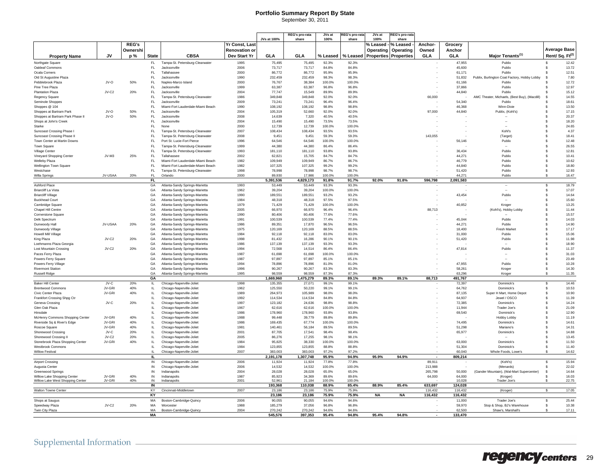### **Portfolio Summary Report By State**

| September 30, 2011 |  |
|--------------------|--|
|                    |  |

|                                                       |         |              |                  |                                                                    |                | JVs at 100%          | <b>REG's pro-rata</b><br>share | JVs at<br>100%  | REG's pro-ra<br>share | JVs at<br>100% | रEG's pro-ra।<br>share       |                          |                     |                                                        |                                   |
|-------------------------------------------------------|---------|--------------|------------------|--------------------------------------------------------------------|----------------|----------------------|--------------------------------|-----------------|-----------------------|----------------|------------------------------|--------------------------|---------------------|--------------------------------------------------------|-----------------------------------|
|                                                       |         | <b>REG's</b> |                  |                                                                    | Yr Const, Last |                      |                                |                 |                       | % Leased ·     | % Leased                     | <b>Anchor-</b>           | Grocery             |                                                        |                                   |
|                                                       |         | Ownershi     |                  |                                                                    | Renovation or  |                      |                                |                 |                       | Operating      | Operating                    | Owned                    | Anchor              |                                                        | <b>Average Base</b>               |
| <b>Property Name</b>                                  | JV      | p%           | <b>State</b>     | <b>CBSA</b>                                                        | Dev Start Yr   | GLA                  | GLA                            | % Leased        | % Leased              |                | <b>Properties Properties</b> | <b>GLA</b>               | GLA                 | Major Tenants <sup>(1)</sup>                           | Rent/Sq. Ft <sup>(2)</sup>        |
| Northgate Square                                      |         |              | FL.              | Tampa-St. Petersburg-Clearwater                                    | 1995           | 75,495               | 75,495                         | 92.3%           | 92.3%                 |                |                              |                          | 47,955              | Publix                                                 | \$<br>12.42                       |
| Oakleaf Commons                                       |         |              | FL.              | Jacksonville                                                       | 2006           | 73.717               | 73,717                         | 84.8%           | 84.8%                 |                |                              |                          | 45,600              | Publix                                                 | 13.72<br>\$                       |
| Ocala Comers                                          |         |              | FI.              | Tallahassee                                                        | 2000           | 86.772               | 86.772                         | 95.9%           | 95.9%                 |                |                              |                          | 61,171              | Publix                                                 | 12.51<br>\$                       |
| Old St Augustine Plaza                                |         |              | FL.              | Jacksonville                                                       | 1990           | 232,459              | 232,459                        | 98.3%           | 98.3%                 |                |                              |                          | 51.832              | Publix, Burlington Coat Factory, Hobby Lobby           | 7.80<br>\$.                       |
| Pebblebrook Plaza                                     | JV-O    | 50%          | FL.              | Naples-Marco Island                                                | 2000           | 76,767               | 38,384                         | 100.0%          | 100.0%                |                |                              |                          | 61,166              | Publix                                                 | 12.72                             |
| Pine Tree Plaza                                       |         |              | FL.              | Jacksonville                                                       | 1999           | 63.387               | 63.387                         | 96.8%           | 96.8%                 |                |                              |                          | 37,866              | Publix                                                 | 12.97                             |
| <b>Plantation Plaza</b><br>Regency Square             | $JV-C2$ | 20%          | FL.<br>FL.       | Jacksonville<br>Tampa-St. Petersburg-Clearwater                    | 2004<br>1986   | 77,747<br>349.848    | 15,549<br>349,848              | 89.9%<br>92.0%  | 89.9%<br>92.0%        |                |                              | 66,000                   | 44,840              | Publix<br>AMC Theater, Michaels, (Best Buy), (Macdill) | 15.12<br>14.55<br>S               |
| Seminole Shoppes                                      |         |              | FL.              | Jacksonville                                                       | 2009           | 73,241               | 73,241                         | 96.4%           | 96.4%                 |                |                              |                          | 54.340              | Publix                                                 | 18.61                             |
| Shoppes @ 104                                         |         |              | FL.              | Miami-Fort Lauderdale-Miami Beach                                  | 1990           | 108.192              | 108.192                        | 98.8%           | 98.8%                 |                |                              |                          | 46.368              | Winn-Dixie                                             | 13.50<br>s.                       |
| Shoppes at Bartram Park                               | JV-O    | 50%          | FL.              | Jacksonville                                                       | 2004           | 105,319              | 52,660                         | 92.0%           | 92.0%                 |                |                              | 97,000                   | 44,840              | Publix, (Kohl's)                                       | 17.15<br>\$                       |
| Shoppes at Bartram Park Phase II                      | JV-O    | 50%          | FL.              | Jacksonville                                                       | 2008           | 14,639               | 7,320                          | 40.5%           | 40.5%                 |                |                              |                          |                     |                                                        | \$<br>20.37                       |
| Shops at John's Creek                                 |         |              | FL.              | Jacksonville                                                       | 2004           | 15,490               | 15,490                         | 73.5%           | 73.5%                 |                |                              |                          |                     |                                                        | 18.20<br>\$                       |
| Starke                                                |         |              | FL.<br>FL.       | None                                                               | 2000           | 12,739               | 12.739                         | 100.0%<br>93.5% | 100.0%<br>93.5%       |                |                              |                          |                     | Kohľs                                                  | \$<br>24.65<br>\$.                |
| Suncoast Crossing Phase<br>Suncoast Crossing Phase II |         |              | FL               | Tampa-St. Petersburg-Clearwater<br>Tampa-St. Petersburg-Clearwater | 2007<br>2008   | 108,434<br>9.45      | 108.434<br>9.451               | 59.3%           | 59.3%                 |                |                              | 143.055                  |                     | (Target)                                               | 4.37<br>18.41<br>\$.              |
| Town Center at Martin Downs                           |         |              | FL.              | Port St. Lucie-Fort Pierce                                         | 1996           | 64,546               | 64,546                         | 100.0%          | 100.0%                |                |                              |                          | 56,146              | Publix                                                 | 12.48<br>$\mathbf{\hat{s}}$       |
| Town Square                                           |         |              | FL.              | Tampa-St. Petersburg-Clearwater                                    | 1999           | 44.380               | 44.380                         | 86.4%           | 86.4%                 |                |                              |                          |                     |                                                        | \$<br>26.55                       |
| Village Cente                                         |         |              | FL               | Tampa-St. Petersburg-Clearwater                                    | 1993           | 181,110              | 181,110                        | 93.8%           | 93.8%                 |                |                              |                          | 36,434              | Publix                                                 | 12.81<br>\$                       |
| Vineyard Shopping Center                              | $JV-M3$ | 25%          | FL.              | Tallahasser                                                        | 2002           | 62.821               | 15,705                         | 84.7%           | 84.7%                 |                |                              |                          | 44.271              | Publix                                                 | 10.41<br>\$                       |
| Welleby Plaza                                         |         |              | FL.              | Miami-Fort Lauderdale-Miami Beach                                  | 1982           | 109.949              | 109,949                        | 86.7%           | 86.7%                 |                |                              |                          | 46.779              | Publix                                                 | 10.62<br>\$                       |
| Wellington Town Square                                |         |              | FI.              | Miami-Fort Lauderdale-Miami Beach                                  | 1982           | 107.325              | 107.325                        | 99.2%           | 99.2%                 |                |                              |                          | 44.840              | Publix                                                 | 18.80<br>£.                       |
| Westchase                                             |         |              | FL               | Tampa-St. Petersburg-Clearwater                                    | 1998           | 78,998               | 78,998                         | 98.7%           | 98.7%                 |                |                              |                          | 51,420              | Publix                                                 | 12.93<br>\$                       |
| Willa Springs                                         | JV-USAA | 20%          | FL<br><b>FL</b>  | Orlando                                                            | 2000           | 89.930<br>5,391,536  | 17,986<br>4,829,173            | 100.0%<br>91.8% | 100.0%<br>91.7%       | 92.0%          | 91.8%                        | 596,798                  | 44.271<br>2,091,583 | Publix                                                 | 16.47                             |
| <b>Ashford Place</b>                                  |         |              | GA               | Atlanta-Sandy Springs-Marietta                                     | 1993           | 53.449               | 53.449                         | 93.3%           | 93.3%                 |                |                              |                          |                     | $\sim$                                                 | 18.79<br>\$                       |
| <b>Briarcliff La Vista</b>                            |         |              | GA               | Atlanta-Sandy Springs-Marietta                                     | 1962           | 39.204               | 39.204                         | 100.0%          | 100.0%                |                |                              |                          |                     |                                                        | 17.07<br>\$.                      |
| <b>Briarcliff Village</b>                             |         |              | GA               | Atlanta-Sandy Springs-Marietta                                     | 1990           | 189,551              | 189,551                        | 93.2%           | 93.2%                 |                |                              |                          | 43,454              | Publix                                                 | 14.64<br>$\mathbf{\hat{s}}$       |
| <b>Buckhead Court</b>                                 |         |              | GA               | Atlanta-Sandy Springs-Marietta                                     | 1984           | 48.318               | 48.318                         | 97.5%           | 97.5%                 |                |                              |                          |                     |                                                        | 15.60<br>Ŝ                        |
| Cambridge Square                                      |         |              | GA               | Atlanta-Sandy Springs-Marietta                                     | 1979           | 71,429               | 71,429                         | 100.0%          | 100.0%                |                |                              |                          | 40,852              | Kroge                                                  | 13.25<br>\$                       |
| Chapel Hill Centre                                    |         |              | GA               | Atlanta-Sandy Springs-Marietta                                     | 2005           | 66.970               | 66,970                         | 96.4%           | 96.4%                 |                |                              | 88.713                   |                     | (Kohl's), Hobby Lobby                                  | 11.44<br>\$                       |
| Cornerstone Square                                    |         |              | GA               | Atlanta-Sandy Springs-Marietta                                     | 1990           | 80,406               | 80.406                         | 77.6%           | 77.6%                 |                |                              |                          |                     |                                                        | 15.57<br>s.                       |
| Delk Spectrum<br>Dunwoody Hall                        | JV-USAA | 20%          | GA<br>GA         | Atlanta-Sandy Springs-Marietta<br>Atlanta-Sandy Springs-Marietta   | 1991<br>1986   | 100.539<br>89,351    | 100.539<br>17,870              | 77.4%<br>96.5%  | 77.4%<br>96.5%        |                |                              |                          | 45.044<br>44,271    | Publix<br>Publix                                       | 14.03<br>£.<br>14.90<br>\$        |
| Dunwoody Village                                      |         |              | GA               | Atlanta-Sandy Springs-Marietta                                     | 1975           | 120,169              | 120,169                        | 88.5%           | 88.5%                 |                |                              |                          | 18.400              | Fresh Market                                           | 17.17<br>\$                       |
| Howell Mill Village                                   |         |              | GA               | Atlanta-Sandy Springs-Marietta                                     | 1984           | 92.118               | 92.118                         | 83.0%           | 83.0%                 |                |                              |                          | 31.000              | Publix                                                 | 15.06<br>Ŝ                        |
| King Plaza                                            | JV-C2   | 20%          | GA               | Atlanta-Sandy Springs-Marietta                                     | 1998           | 81,432               | 16,286                         | 90.1%           | 90.1%                 |                |                              |                          | 51,420              | Publix                                                 | 11.98<br>\$                       |
| Loehmanns Plaza Georgia                               |         |              | GA               | Atlanta-Sandy Springs-Marietta                                     | 1986           | 137.139              | 137.139                        | 93.3%           | 93.3%                 |                |                              |                          |                     |                                                        | 18.90<br>\$.                      |
| Lost Mountain Crossing                                | JV-C2   | 20%          | GA               | Atlanta-Sandy Springs-Marietta                                     | 1994           | 72.568               | 14.514                         | 86.4%           | 86.4%                 |                |                              |                          | 47.814              | Publix                                                 | 11.37<br>£.                       |
| Paces Ferry Plaza                                     |         |              | GA               | Atlanta-Sandy Springs-Marietta                                     | 1987           | 61,698               | 61,698                         | 100.0%          | 100.0%                |                |                              |                          |                     |                                                        | 31.03<br>$\mathbf{\hat{s}}$       |
| Powers Ferry Square                                   |         |              | GA               | Atlanta-Sandy Springs-Marietta                                     | 1987           | 97,897               | 97,897                         | 85.1%           | 85.1%                 |                |                              |                          |                     |                                                        | 23.49<br>\$                       |
| Powers Ferry Village                                  |         |              | GA               | Atlanta-Sandy Springs-Marietta                                     | 1994           | 78,896               | 78,896                         | 81.0%           | 81.0%                 |                |                              |                          | 47,955              | Publix                                                 | 10.28<br>s                        |
| <b>Rivermont Station</b><br><b>Russell Ridge</b>      |         |              | GA<br>GA         | Atlanta-Sandy Springs-Marietta<br>Atlanta-Sandy Springs-Marietta   | 1996<br>1995   | 90,267<br>98.550     | 90,267<br>98.559               | 83.3%<br>87.3%  | 83.3%<br>87.3%        |                |                              |                          | 58,261<br>63.296    | Kroger<br>Kroger                                       | \$<br>14.30<br>11.35<br>\$        |
|                                                       |         |              | GA               |                                                                    |                | 1.669.960            | 1.475.279                      | 89.3%           | 89.1%                 | 89.3%          | 89.1%                        | 88.713                   | 491.767             |                                                        |                                   |
| <b>Baker Hill Center</b>                              | JV-C    | 20%          | IL.              | Chicago-Naperville-Joliet                                          | 1998           | 135,355              | 27,071                         | 99.1%           | 99.1%                 |                |                              |                          | 72,397              | Dominick's                                             | \$<br>14.46                       |
| <b>Brentwood Commons</b>                              | JV-GRI  | 40%          | IL.              | Chicago-Naperville-Joliet                                          | 1962           | 125,550              | 50,220                         | 99.1%           | 99.1%                 |                |                              |                          | 64,762              | Dominick's                                             | 10.53<br>\$                       |
| Civic Center Plaza                                    | JV-GRI  | 40%          | IL.              | Chicago-Naperville-Joliet                                          | 1989           | 264,973              | 105,989                        | 98.0%           | 98.0%                 |                |                              |                          | 87.135              | Super H Mart, Home Depot                               | 10.90<br>\$                       |
| Frankfort Crossing Shpg Ctr                           |         |              | IL.              | Chicago-Naperville-Joliet                                          | 1992           | 114,534              | 114,534                        | 84.8%           | 84.8%                 |                |                              |                          | 64,937              | Jewel / OSCO                                           | 11.39<br>\$                       |
| Geneva Crossing                                       | $IV-C$  | 20%          | $\mathbf{H}$     | Chicago-Naperville-Joliet                                          | 1997           | 123.182              | 24.636                         | 98.8%           | 98.8%                 |                |                              |                          | 72.385              | Dominick's                                             | 14.24<br>£.<br>$\mathbf{\hat{s}}$ |
| Glen Oak Plaza<br>Hinsdale                            |         |              | IL.<br><b>IL</b> | Chicago-Naperville-Joliet                                          | 1967           | 62,616               | 62,616                         | 100.0%<br>93.8% | 100.0%<br>93.8%       |                |                              |                          | 11,944              | Trader Joe's<br>Dominick's                             | 21.09<br>\$                       |
| McHenry Commons Shopping Center                       | JV-GRI  | 40%          | IL.              | Chicago-Naperville-Joliet<br>Chicago-Naperville-Joliet             | 1986<br>1988   | 178,960<br>99,448    | 178,960<br>39,779              | 89.8%           | 89.8%                 |                |                              |                          | 69,540              | Hobby Lobby                                            | 12.90<br>11.19<br>Ŝ               |
| Riverside Sq & River's Edge                           | JV-GRI  | 40%          | IL.              | Chicago-Naperville-Joliet                                          | 1986           | 169,435              | 67,774                         | 100.0%          | 100.0%                |                |                              |                          | 74.495              | Dominick's                                             | 14.61<br>s                        |
| Roscoe Square                                         | JV-GRI  | 40%          | <b>IL</b>        | Chicago-Naperville-Joliet                                          | 1981           | 140.461              | 56,184                         | 89.5%           | 89.5%                 |                |                              |                          | 51.298              | Mariano's                                              | 14.31<br>s.                       |
| Shorewood Crossing                                    | $JV-C$  | 20%          | $\mathbf{H}$     | Chicago-Naperville-Joliet                                          | 2001           | 87.705               | 17.541                         | 98.4%           | 98.4%                 |                |                              |                          | 65,977              | Dominick's                                             | 14.88<br>\$.                      |
| Shorewood Crossing II                                 | JV-C2   | 20%          | <b>IL</b>        | Chicago-Naperville-Joliet                                          | 2005           | 86.276               | 17,255                         | 98.1%           | 98.1%                 |                |                              |                          |                     |                                                        | 13.45<br>\$.                      |
| Stonebrook Plaza Shopping Center                      | JV-GRI  | 40%          | IL.              | Chicago-Naperville-Joliet                                          | 1984           | 95,825               | 38,330                         | 100.0%          | 100.0%                |                |                              |                          | 63,000              | Dominick's                                             | 11.50<br>\$                       |
| Westbrook Commons                                     |         |              | IL.              | Chicago-Naperville-Joliet                                          | 1984           | 123,855              | 123,855                        | 88.8%           | 88.8%                 |                |                              |                          | 51,304              | Dominick's                                             | 11.40<br>\$                       |
| Willow Festival                                       |         |              | L                | Chicago-Naperville-Joliet                                          | 2007           | 383.003<br>2,191,178 | 383,003<br>1,307,748           | 97.2%<br>95.9%  | 97.2%<br>94.9%        | 95.9%          | 94.9%                        | $\overline{\phantom{a}}$ | 60,040<br>809,214   | Whole Foods, Lowe's                                    | \$<br>14.62                       |
| Airport Crossing                                      |         |              | IL<br>IN         | Chicago-Naperville-Joliet                                          | 2006           | 11.924               | 11.924                         | 77.8%           | 77.8%                 |                |                              | 89.911                   |                     | (Kohl's)                                               | 15.94<br>$\mathbf{\hat{s}}$       |
| Augusta Center                                        |         |              | IN               | Chicago-Naperville-Joliet                                          | 2006           | 14,532               | 14,532                         | 100.0%          | 100.0%                |                |                              | 213,988                  |                     | (Menards)                                              | 22.02<br>\$                       |
| <b>Greenwood Springs</b>                              |         |              | IN               | Indianapolis                                                       | 2004           | 28,028               | 28,028                         | 65.0%           | 65.0%                 |                |                              | 265.798                  | 50,000              | (Gander Mountain), (Wal-Mart Supercenter)              | $\mathbf{\hat{s}}$<br>14.64       |
| Willow Lake Shopping Center                           | JV-GRI  | 40%          | ${\sf IN}$       | Indianapolis                                                       | 1987           | 85,923               | 34,369                         | 89.6%           | 89.6%                 |                |                              | 64,000                   | 64,000              | (Kroger)                                               | 16.03                             |
| Willow Lake West Shopping Center                      | JV-GRI  | 40%          | IN               | Indianapolis                                                       | 2001           | 52.961               | 21,184                         | 100.0%          | 100.0%                |                |                              |                          | 10,028              | Trader Joe's                                           | 22.75<br>\$                       |
|                                                       |         |              | IN               |                                                                    |                | 193,368              | 110,038                        | 88.9%           | 85.4%                 | 88.9%          | 85.4%                        | 633,697                  | 124,028             |                                                        |                                   |
| <b>Walton Towne Center</b>                            |         |              | KY<br>KY         | Cincinnati-Middletown                                              | 2007           | 23.186<br>23,186     | 23.186<br>23,186               | 75.9%<br>75.9%  | 75.9%<br>75.9%        | NA             | <b>NA</b>                    | 116.432<br>116,432       | 116.432<br>116,432  | (Kroger)                                               | 17.05<br>S.                       |
| Shops at Saugus                                       |         |              | MA               | Boston-Cambridge-Quincy                                            | 2006           | 90,055               | 90,055                         | 94.6%           | 94.6%                 |                |                              |                          | 11,000              | Trader Joe's                                           | 25.44<br>\$                       |
| Speedway Plaza                                        | $IV-C2$ | 20%          | MA               | Worcester                                                          | 1988           | 185.279              | 37.056                         | 96.8%           | 96.8%                 |                |                              |                          | 59,970              | Stop & Shop, BJ's Warehouse                            | 10.38<br>\$.                      |
| Twin City Plaza                                       |         |              | MA               | Boston-Cambridge-Quincy                                            | 2004           | 270,242              | 270,242                        | 94.6%           | 94.6%                 |                |                              |                          | 62,500              | Shaw's, Marshall's                                     | 17.11<br>\$                       |
|                                                       |         |              | <b>MA</b>        |                                                                    |                | 545,576              | 397,353                        | 95.4%           | 94.8%                 | 95.4%          | 94.8%                        |                          | 133,470             |                                                        |                                   |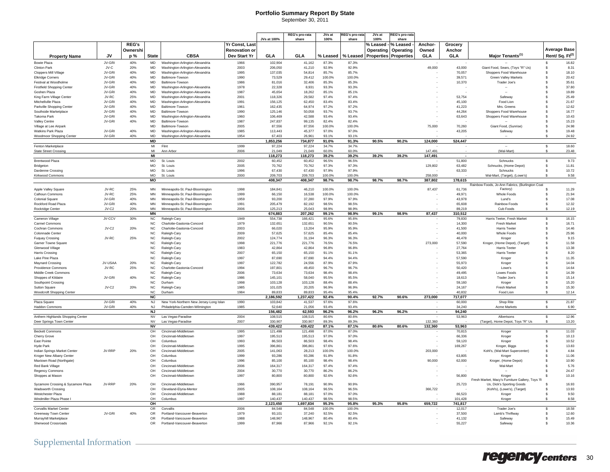#### **Portfolio Summary Report By State** September 30, 2011

|  | OCPICITIVEL JU, ZUTT |        |                       |        |                |
|--|----------------------|--------|-----------------------|--------|----------------|
|  |                      |        |                       |        |                |
|  | REG's pro-rata       | JVs at | <b>REG's pro-rata</b> | JVs at | REG's pro-rata |

|                                    |         |              |                        |                                         |                       | JVs at 100%        | share             | 100%            | share           | 100%      | share                        |                          |                  |                                                 |                             |
|------------------------------------|---------|--------------|------------------------|-----------------------------------------|-----------------------|--------------------|-------------------|-----------------|-----------------|-----------|------------------------------|--------------------------|------------------|-------------------------------------------------|-----------------------------|
|                                    |         | <b>REG's</b> |                        |                                         | <b>Yr Const, Last</b> |                    |                   |                 |                 | % Leased  | % Leased                     | Anchor-                  | Grocery          |                                                 |                             |
|                                    |         | Ownershi     |                        |                                         | <b>Renovation or</b>  |                    |                   |                 |                 | Operating | Operating                    | Owned                    | Anchor           |                                                 | <b>Average Base</b>         |
| <b>Property Name</b>               | JV      | p %          | <b>State</b>           | <b>CBSA</b>                             | Dev Start Yr          | <b>GLA</b>         | <b>GLA</b>        | % Leased        | % Leased        |           | <b>Properties Properties</b> | <b>GLA</b>               | GLA              | Major Tenants <sup>(1)</sup>                    | Rent/Sq. Ft <sup>(2)</sup>  |
| <b>Bowie Plaza</b>                 | JV-GRI  | 40%          | <b>MD</b>              | Washington-Arlington-Alexandria         | 1966                  | 102,904            | 41.162            | 87.3%           | 87.3%           |           |                              |                          |                  |                                                 | 16.82                       |
| Clinton Park                       | $JV-C$  | 20%          | $\mathsf{MD}$          | Washington-Arlington-Alexandria         | 2003                  | 206,050            | 41,210            | 92.9%           | 92.9%           |           |                              | 49,000                   | 43,000           | Giant Food, Sears, (Toys "R" Us)                | 8.31<br>\$                  |
| Cloppers Mill Village              | JV-GRI  | 40%          | <b>MD</b>              | Washington-Arlington-Alexandria         | 1995                  | 137.035            | 54,814            | 85.7%           | 85.7%           |           |                              |                          | 70,057           | Shoppers Food Warehouse                         | 18.10<br>\$                 |
| <b>Elkridge Corners</b>            | JV-GRI  | 40%          | <b>MD</b>              | Baltimore-Towson                        | 1990                  | 73.529             | 29.412            | 100.0%          | 100.0%          |           |                              |                          | 39.571           | <b>Green Valley Markets</b>                     | 20.42<br>$\mathbf{s}$       |
| Festival at Woodholme              | JV-GRI  | 40%          | <b>MD</b>              | Baltimore-Towson                        | 1986                  | 81,016             | 32,406            | 85.3%           | 85.3%           |           |                              |                          | 10,370           | Trader Joe's                                    | 35.61<br>\$                 |
| <b>Firstfield Shopping Center</b>  | JV-GRI  | 40%          | $\sf MD$               | Washington-Arlington-Alexandria         | 1978                  | 22,328             | 8,931             | 93.3%           | 93.3%           |           |                              |                          |                  |                                                 | 37.80<br>\$                 |
| Goshen Plaza                       | .JV-GRI | 40%          | <b>MD</b>              | Washington-Arlington-Alexandria         | 1987                  | 45.654             | 18,262            | 85.1%           | 85.1%           |           |                              |                          |                  | <b>Section</b>                                  | 19.89<br>$\mathbf{\hat{s}}$ |
| King Farm Village Center           | $IV-RC$ | 25%          | <b>MD</b>              | Washington-Arlington-Alexandria         | 2001                  | 118.326            | 29.582            | 97.4%           | 97.4%           |           |                              |                          | 53.754           | Safeway                                         | 25.49<br>$\mathbf{\hat{s}}$ |
| Mitchellville Plaza                | JV-GRI  | 40%          | $\sf MD$               | Washington-Arlington-Alexandria         | 1991                  | 156,125            | 62,450            | 83.4%           | 83.4%           |           |                              |                          | 45,100           | Food Lion                                       | 21.67<br>$\mathbf{\hat{s}}$ |
| Parkville Shopping Cente           | JV-GRI  | 40%          | $\mathsf{MD}$          | Baltimore-Towsor                        | 1961                  | 162,435            | 64,974            | 97.2%           | 97.2%           |           |                              |                          | 41,223           | Mrs. Greens                                     | 12.62<br>\$                 |
| Southside Marketplace              | .JV-GRI | 40%          | <b>MD</b>              | Baltimore-Towsor                        | 1990                  | 125.146            | 50.058            | 93.7%           | 93.7%           |           |                              |                          | 44.264           | Shoppers Food Warehouse                         | \$<br>16.77                 |
| <b>Takoma Park</b>                 | .IV-GRI | 40%          | <b>MD</b>              | Washington-Arlington-Alexandria         | 1960                  | 106.469            | 42.588            | 93.4%           | 93.4%           |           |                              |                          | 63.643           | Shoppers Food Warehouse                         | 10.43<br>$\mathbf{s}$       |
| Valley Centre                      | JV-GRI  | 40%          | $\mathsf{MD}$          | Baltimore-Towson                        | 1987                  | 247,837            | 99,135            | 82.4%           | 82.4%           |           |                              |                          |                  |                                                 | 15.23<br>\$                 |
| Village at Lee Airpark             |         |              | <b>MD</b>              | Baltimore-Towsor                        | 2005                  | 87,556             | 87.556            | 100.0%          | 100.0%          |           |                              | 75,000                   | 70,260           | Giant Food, (Sunrise)                           | 24.98<br>\$                 |
| <b>Watkins Park Plaza</b>          | JV-GRI  | 40%          | <b>MD</b>              | Washington-Arlington-Alexandria         | 1985                  | 113,443            | 45.377            | 97.0%           | 97.0%           |           |                              |                          | 43,205           | Safeway                                         | \$<br>19.48                 |
| Woodmoor Shopping Center           | JV-GRI  | 40%          | <b>MD</b>              | Washington-Arlington-Alexandria         | 1954                  | 67.403             | 26.961            | 93.1%           | 93.1%           |           |                              |                          |                  |                                                 | 24.92<br>$\mathbf{s}$       |
|                                    |         |              | <b>MD</b>              |                                         |                       | 1,853,256          | 734,877           | 91.0%           | 91.3%           | 90.5%     | 90.2%                        | 124,000                  | 524,447          |                                                 |                             |
| Fenton Marketplace                 |         |              | MI                     | Flint                                   | 1999                  | 97.224             | 97.224            | 34.7%           | 34.7%           |           |                              |                          |                  |                                                 | \$<br>18.60                 |
| <b>State Street Crossing</b>       |         |              | MI                     | Ann Arbo                                | 2006                  | 21.049             | 21.049            | 60.0%           | 60.0%           |           |                              | 147.491                  |                  | (Wal-Mart)                                      | 23.48<br>$\hat{\mathbf{x}}$ |
|                                    |         |              | MI                     |                                         |                       | 118.273            | 118.273           | 39.2%           | 39.2%           | 39.2%     | 39.2%                        | 147.491                  |                  |                                                 |                             |
| <b>Brentwood Plaza</b>             |         |              | MO                     | St. Louis                               | 2002                  | 60,452             | 60,452            | 96.5%           | 96.5%           |           |                              |                          | 51,800           | Schnucks                                        | 9.73<br>\$                  |
| Bridgeton                          |         |              | MO                     | St. Louis                               | 2005                  | 70,762             | 70.762            | 97.3%           | 97.3%           |           |                              | 129,802                  | 63.482           | Schnucks, (Home Depot)                          | 11.81<br>\$                 |
| Dardenne Crossing                  |         |              | <b>MO</b><br><b>MO</b> | St. Louis                               | 1996                  | 67,430<br>209.703  | 67.430<br>209.703 | 97.9%<br>100.0% | 97.9%<br>100.0% |           |                              | 258.000                  | 63,333           | Schnucks                                        | \$<br>10.72                 |
| Kirkwood Commons                   |         |              | MO                     | St. Louis                               | 2000                  | 408,347            | 408,347           | 98.7%           | 98.7%           | 98.7%     | 98.7%                        | 387,802                  | 178,615          | Wal-Mart, (Target), (Lowe's)                    | 9.58<br>$\mathbf{\hat{s}}$  |
|                                    |         |              |                        |                                         |                       |                    |                   |                 |                 |           |                              |                          |                  | Rainbow Foods, Jo-Ann Fabrics, (Burlington Coat |                             |
| Apple Valley Square                | JV-RC   | 25%          | <b>MN</b>              | Minneapolis-St. Paul-Bloomington        | 1998                  | 184,841            | 46,210            | 100.0%          | 100.0%          |           |                              | 87,437                   | 61,736           | Factory)                                        | 11.29<br>\$                 |
| Calhoun Commons                    | .JV-RC  | 25%          | MN                     | Minneapolis-St. Paul-Bloomington        | 1999                  | 66.150             | 16.538            | 100.0%          | 100.0%          |           |                              |                          | 49,971           | <b>Whole Foods</b>                              | $\mathbf{\hat{s}}$<br>21.94 |
| Colonial Square                    | JV-GRI  | 40%          | MN                     | Minneapolis-St. Paul-Bloomington        | 1959                  | 93.200             | 37,280            | 97.9%           | 97.9%           |           |                              |                          | 43.978           | I und's                                         | 17.08<br>$\mathbf{s}$       |
| Rockford Road Plaza                | JV-GRI  | 40%          | MN                     | Minneapolis-St. Paul-Bloomington        | 1991                  | 205.479            | 82.192            | 98.5%           | 98.5%           |           |                              |                          | 65,608           | Rainbow Foods                                   | \$<br>12.32                 |
| Rockridge Center                   | JV-C2   | 20%          | <b>MN</b>              | Minneapolis-St. Paul-Bloomington        | 2006                  | 125,213            | 25,043            | 98.9%           | 98.9%           |           |                              |                          | 89,219           | Cub Foods                                       | 12.19<br>$\mathbf{\hat{s}}$ |
|                                    |         |              | <b>MN</b>              |                                         |                       | 674.883            | 207,262           | 99.1%           | 98.9%           | 99.1%     | 98.9%                        | 87,437                   | 310,512          |                                                 |                             |
| Cameron Village                    | JV-CCV  | 30%          | <b>NC</b>              | Raleigh-Cary                            | 1949                  | 554,738            | 166.421           | 95.6%           | 95.6%           |           |                              |                          | 79.830           | Harris Teeter, Fresh Market                     | 16.15<br>$\mathbf{\hat{s}}$ |
| Carmel Commons                     |         |              | $_{\rm NC}$            | Charlotte-Gastonia-Concord              | 1979                  | 132,651            | 132,651           | 90.5%           | 90.5%           |           |                              |                          | 14,300           | Fresh Market                                    | 16.71<br>\$                 |
| Cochran Commons                    | JV-C2   | 20%          | <b>NC</b>              | Charlotte-Gastonia-Concord              | 2003                  | 66,020             | 13,204            | 95.9%           | 95.9%           |           |                              |                          | 41,500           | <b>Harris Teeter</b>                            | 14.46<br>\$                 |
| Colonnade Center                   |         |              | <b>NC</b>              | Raleigh-Cary                            | 2009                  | 57.625             | 57.625            | 85.4%           | 85.4%           |           |                              |                          | 40,000           | <b>Whole Foods</b>                              | 25.96<br>\$                 |
| <b>Fuguay Crossing</b>             | JV-RC   | 25%          | NC                     | Raleigh-Carv                            | 2002                  | 124.774            | 31.194            | 96.3%           | 96.3%           |           |                              |                          | 46.478           | Kroger                                          | 9.15<br>$\mathbf{s}$        |
| <b>Garner Towne Square</b>         |         |              | $_{\rm NC}$            | Raleigh-Cary                            | 1998                  | 221,776            | 221,776           | 76.5%           | 76.5%           |           |                              | 273,000                  | 57,590           | Kroger, (Home Depot), (Target)                  | 11.58<br>\$                 |
| Glenwood Village                   |         |              | $_{\rm NC}$            | Raleigh-Cary                            | 1983                  | 42,864             | 42,864            | 96.8%           | 96.8%           |           |                              |                          | 27,764           | <b>Harris Teete</b>                             | 13.38<br>\$                 |
| Harris Crossing                    |         |              | $_{\rm NC}$            | Raleigh-Cary                            | 2007                  | 65.150             | 65.150            | 91.1%           | 91.1%           |           |                              |                          | 53.365           | <b>Harris Teeter</b>                            | 8.20<br>ŝ.                  |
| Lake Pine Plaza                    |         |              | <b>NC</b>              | Raleigh-Cary                            | 1997                  | 87,690             | 87.690            | 94.4%           | 94.4%           |           |                              |                          | 57.590           | Kroger                                          | 11.35<br>$\mathbf{s}$       |
| Maynard Crossing                   | JV-USAA | 20%          | $_{\rm NC}$            | Raleigh-Carv                            | 1997                  | 122,782            | 24,556            | 87.9%           | 87.9%           |           |                              |                          | 55,973           | Kroger                                          | 14.04<br>s.                 |
| Providence Commons                 | JV-RC   | 25%          | <b>NC</b>              | Charlotte-Gastonia-Concord              | 1994                  | 197.801            | 49.450            | 96.7%           | 96.7%           |           |                              |                          | 50.420           | Lowe's                                          | 14.64<br>\$                 |
| Middle Creek Commons               |         |              | <b>NC</b>              | Raleigh-Cary                            | 2006                  | 73.634             | 73.634            | 98.4%           | 98.4%           |           |                              |                          | 49.495           | Lowes Foods                                     | \$<br>14.39                 |
| Shoppes of Kildaire                | .IV-GRI | 40%          | NC.                    | Raleigh-Cary                            | 1986                  | 145.101            | 58.040            | 95.5%           | 95.5%           |           |                              |                          | 18.613           | Trader Joe's                                    | 15.14<br>S.                 |
| Southpoint Crossing                |         |              | $_{\rm NC}$            | Durham                                  | 1998                  | 103,128            | 103,128           | 88.4%           | 88.4%           |           |                              |                          | 59,160           | Kroger                                          | 15.20<br>s.                 |
| <b>Sutton Square</b>               | JV-C2   | 20%          | NC                     | Raleigh-Carv                            | 1985                  | 101.025            | 20,205            | 96.9%           | 96.9%           |           |                              |                          | 24,167           | Fresh Market                                    | \$<br>15.30                 |
| <b>Woodcroft Shopping Center</b>   |         |              | <b>NC</b>              | Durhan                                  | 1984                  | 89,833             | 89.833            | 95.4%           | 95.4%           |           |                              |                          | 40,832           | Food Lion                                       | 12.14<br>$\hat{\mathbf{z}}$ |
|                                    |         |              | <b>NC</b>              |                                         |                       | 2,186,592          | 1,237,422         | 92.4%           | 90.4%           | 92.7%     | 90.6%                        | 273.000                  | 717.077          |                                                 |                             |
| Plaza Square                       | JV-GRI  | 40%          | NJ                     | New York-Northern New Jersey-Long Islan | 1990                  | 103.842            | 41,537            | 97.6%           | 97.6%           |           |                              |                          | 60,000           | Shop Rite                                       | 21.87<br>s.                 |
| Haddon Commons                     | JV-GRI  | 40%          | <b>NJ</b>              | Philadelphia-Camden-Wilmington          | 1985                  | 52,640             | 21.056            | 93.4%           | 93.4%           | 96.2%     |                              | $\overline{\phantom{a}}$ | 34.240           | <b>Acme Markets</b>                             | 6.90                        |
| Anthem Highlands Shopping Center   |         |              | <b>NJ</b><br><b>NV</b> | Las Vegas-Paradise                      | 2004                  | 156,482<br>108,515 | 62,593<br>108.515 | 96.2%<br>80.6%  | 96.2%<br>80.6%  |           | 96.2%                        |                          | 94,240<br>53.963 | Albertsons                                      | 12.96<br>s.                 |
| Deer Springs Town Center           |         |              | <b>NV</b>              | Las Vegas-Paradise                      | 2007                  | 330,907            | 330.907           | 89.3%           | 89.3%           |           |                              | 132,360                  |                  | (Target), Home Depot, Toys "R" Us               | 13.20<br>s                  |
|                                    |         |              | NV                     |                                         |                       | 439,422            | 439,422           | 87.1%           | 87.1%           | 80.6%     | 80.6%                        | 132,360                  | 53,963           |                                                 |                             |
| <b>Beckett Commons</b>             |         |              | OH                     | Cincinnati-Middletown                   | 1995                  | 121,498            | 121.498           | 87.0%           | 87.0%           |           |                              |                          | 70,815           | Kroge                                           | 11.03<br>s.                 |
| <b>Cherry Grove</b>                |         |              | OH                     | Cincinnati-Middletown                   | 1997                  | 195,513            | 195,513           | 97.0%           | 97.0%           |           |                              |                          | 66,336           | Kroger                                          | 10.13<br>s.                 |
| East Pointe                        |         |              | OH                     | Columbus                                | 1993                  | 86,503             | 86,503            | 98.4%           | 98.4%           |           |                              |                          | 59.120           | Kroger                                          | \$<br>10.52                 |
| Hyde Park                          |         |              | OH                     | Cincinnati-Middletown                   | 1995                  | 396,861            | 396,861           | 97.6%           | 97.6%           |           |                              |                          | 169,267          | Kroger, Biggs                                   | 13.83<br>\$                 |
| Indian Springs Market Center       | .IV-RRP | 20%          | OH                     | Cincinnati-Middletown                   | 2005                  | 141.063            | 28.213            | 100.0%          | 100.0%          |           |                              | 203,000                  |                  | Kohl's, (Wal-Mart Supercenter)                  | 4.84<br>s.                  |
| Kroger New Albany Center           |         |              | OH                     | Columbus                                | 1999                  | 93.286             | 93.286            | 91.8%           | 91.8%           |           |                              |                          | 63.805           | Kroger                                          | 11.06<br>s.                 |
| Maxtown Road (Northgate)           |         |              | OH                     | Columbus                                | 1996                  | 85,100             | 85,100            | 98.4%           | 98.4%           |           |                              | 90,000                   | 62,000           | Kroger, (Home Depot)                            | s.<br>10.90                 |
| Red Bank Village                   |         |              | OH                     | Cincinnati-Middletown                   | 2006                  | 164,317            | 164,317           | 97.4%           | 97.4%           |           |                              |                          |                  | Wal-Mart                                        | 5.76<br>\$                  |
| <b>Regency Commons</b>             |         |              | <b>OH</b>              | Cincinnati-Middletown                   | 2004                  | 30,770             | 30,770            | 86.2%           | 86.2%           |           |                              |                          |                  |                                                 | 24.47<br>- 53               |
| Shoppes at Mason                   |         |              | OH                     | Cincinnati-Middletown                   | 1997                  | 80,800             | 80,800            | 92.6%           | 92.6%           |           |                              |                          | 56,800           | Kroger                                          | 10.16<br>s.                 |
|                                    |         |              |                        |                                         |                       |                    |                   |                 |                 |           |                              |                          |                  | Fresh Market, Macy's Furniture Gallery, Toys 'R |                             |
| Sycamore Crossing & Sycamore Plaza | JV-RRP  | 20%          | OH                     | Cincinnati-Middletown                   | 1966                  | 390,957            | 78,191            | 90.9%           | 90.9%           |           |                              |                          | 25.723           | Us, Dick's Sporting Goods                       | 16.93<br>\$                 |
| Wadsworth Crossing                 |         |              | OH                     | Cleveland-Elyria-Mentor                 | 2005                  | 108,164            | 108,164           | 96.5%           | 96.5%           |           |                              | 366,722                  |                  | (Kohl's), (Lowe's), (Target)                    | 13.93<br>\$                 |
| Westchester Plaza                  |         |              | OH                     | Cincinnati-Middletown                   | 1988                  | 88.181             | 88,181            | 97.0%           | 97.0%           |           |                              |                          | 66.523           | Kroger                                          | 9.50<br>$\mathbf{s}$        |
| Windmiller Plaza Phase I           |         |              | OH                     | Columbus                                | 1997                  | 140,437            | 140,437           | 98.5%           | 98.5%           |           |                              |                          | 101,428          | Kroger                                          | 8.58<br>$\mathbf{\hat{s}}$  |
|                                    |         |              | OH                     |                                         |                       | 2,123,450          | 1,697,834         | 95.3%           | 95.8%           | 95.3%     | 95.8%                        | 659,722                  | 741,817          |                                                 |                             |
| <b>Corvallis Market Center</b>     |         |              | OR                     | Corvallis                               | 2006                  | 84,548             | 84.548            | 100.0%          | 100.0%          |           |                              |                          | 12,017           | Trader Joe's                                    | 18.58<br>\$                 |
| Greenway Town Cente                | .IV-GRI | 40%          | OR                     | Portland-Vancouver-Beavertor            | 1979                  | 93.101             | 37.240            | 92.5%           | 92.5%           |           |                              |                          | 37.500           | Lamb's Thriftway                                | 12.60<br>$\mathbf{s}$       |
| Murrayhill Marketplace             |         |              | <b>OR</b>              | Portland-Vancouver-Beaverton            | 1988                  | 148,967            | 148.967           | 80.4%           | 80.4%           |           |                              |                          | 41,132           | Safeway                                         | 15.49<br>s.                 |
| Sherwood Crossroads                |         |              | <b>OR</b>              | Portland-Vancouver-Beaverton            | 1999                  | 87,966             | 87.966            | 92.1%           | 92.1%           |           |                              |                          | 55.227           | Safeway                                         | 10.36<br>\$                 |

Supplemental Information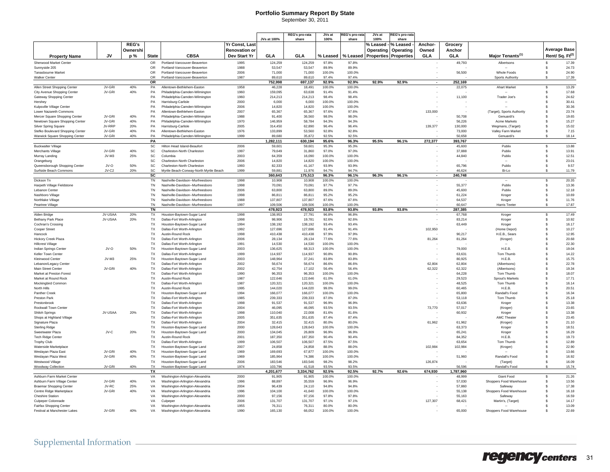### **Portfolio Summary Report By State**

September 30, 2011

|                                                                 |           |            |                        |                                                                    |                      | JVs at 100%        | REG's pro-rata<br>share | JVs at<br>100%  | EG's pro-rat<br>share | JVs at<br>100%      | <b>EG's pro-rata</b><br>share |                          |                  |                                    |                            |                |
|-----------------------------------------------------------------|-----------|------------|------------------------|--------------------------------------------------------------------|----------------------|--------------------|-------------------------|-----------------|-----------------------|---------------------|-------------------------------|--------------------------|------------------|------------------------------------|----------------------------|----------------|
|                                                                 |           | REG's      |                        |                                                                    | Yr Const, Last       |                    |                         |                 |                       | % Leased - % Leased |                               | Anchor-                  | Grocery          |                                    |                            |                |
|                                                                 |           | Ownershi   |                        |                                                                    | <b>Renovation or</b> |                    |                         |                 |                       | Operating           | Operating                     | Owned                    | Anchor           |                                    | <b>Average Base</b>        |                |
|                                                                 | <b>JV</b> | p%         | <b>State</b>           | <b>CBSA</b>                                                        | Dev Start Yr         | <b>GLA</b>         | GLA                     | % Leased        | % Leased              |                     | <b>Properties Properties</b>  | <b>GLA</b>               | GLA              | Major Tenants <sup>(1)</sup>       | Rent/Sq. Ft <sup>(2)</sup> |                |
| <b>Property Name</b>                                            |           |            |                        |                                                                    |                      |                    |                         |                 |                       |                     |                               |                          |                  |                                    |                            |                |
| Sherwood Market Center<br>Sunnyside 205                         |           |            | <b>OR</b><br><b>OR</b> | Portland-Vancouver-Beaverton<br>Portland-Vancouver-Beaverton       | 1995<br>1988         | 124,259<br>53,547  | 124.259<br>53.547       | 97.8%<br>89.9%  | 97.8%<br>89.9%        |                     |                               |                          | 49,793           | Albertsons                         | $\mathbf{\hat{s}}$         | 17.39<br>24.73 |
| Tanasbourne Market                                              |           |            | OR                     | Portland-Vancouver-Beaverton                                       | 2006                 | 71,000             | 71,000                  | 100.0%          | 100.0%                |                     |                               |                          | 56,500           | Whole Foods                        | s.<br>\$                   | 24.90          |
| <b>Walker Center</b>                                            |           |            | OR                     | Portland-Vancouver-Beaverton                                       | 1987                 | 89.610             | 89.610                  | 97.4%           | 97.4%                 |                     |                               |                          |                  | Sports Authority                   | Ŝ                          | 17.39          |
|                                                                 |           |            | OR                     |                                                                    |                      | 752,998            | 697,137                 | 92.9%           | 92.9%                 | 92.9%               | 92.9%                         | $\overline{\phantom{a}}$ | 252,169          |                                    |                            |                |
| Allen Street Shopping Center                                    | JV-GRI    | 40%        | PA                     | Allentown-Bethlehem-Easton                                         | 1958                 | 46,228             | 18,491                  | 100.0%          | 100.0%                |                     |                               |                          | 22,075           | <b>Ahart Market</b>                | \$                         | 13.29          |
| City Avenue Shopping Center                                     | JV-GRI    | 40%        | PA                     | Philadelphia-Camden-Wilmington                                     | 1960                 | 159,095            | 63,638                  | 91.4%           | 91.4%                 |                     |                               |                          |                  |                                    | \$                         | 17.68          |
| Gateway Shopping Center                                         |           |            | PA                     | Philadelphia-Camden-Wilmington                                     | 1960                 | 214,213            | 214,213                 | 98.4%           | 98.4%                 |                     |                               |                          | 11,100           | Trader Joe's                       | \$                         | 24.62          |
| Hershev                                                         |           |            | PA                     | Harrisburg-Carlisle                                                | 2000                 | 6.000              | 6.000                   | 100.0%          | 100.0%                |                     |                               |                          |                  |                                    | \$.                        | 30.41          |
| Kulpsville Village Center                                       |           |            | PA                     | Philadelphia-Camden-Wilmington                                     | 2006                 | 14.820             | 14,820                  | 100.0%          | 100.0%                |                     |                               |                          |                  |                                    | \$<br>$\mathbf{\hat{s}}$   | 30.36          |
| Lower Nazareth Commons                                          | JV-GRI    | 40%        | PA                     | Allentown-Bethlehem-Easton                                         | 2007<br>1988         | 65,367             | 65,367                  | 97.6%           | 97.6%<br>98.0%        |                     |                               | 133,000                  |                  | (Target), Sports Authority         | S                          | 23.74          |
| Mercer Square Shopping Center<br>Newtown Square Shopping Center | JV-GRI    | 40%        | PA<br>PA               | Philadelphia-Camden-Wilmington<br>Philadelphia-Camden-Wilmington   | 1970                 | 91,400<br>146,959  | 36,560<br>58,784        | 98.0%<br>94.3%  | 94.3%                 |                     |                               |                          | 50,708<br>56.226 | Genuardi's<br><b>Acme Markets</b>  | Ŝ                          | 19.65<br>15.27 |
| Silver Spring Square                                            | JV-RRP    | 20%        | PA                     | Harrisburg-Carlisle                                                | 2005                 | 314,450            | 62,890                  | 96.4%           | 96.4%                 |                     |                               | 139,377                  | 130,000          | Wegmans, (Target)                  | \$                         | 15.02          |
| Stefko Boulevard Shopping Center                                | JV-GRI    | 40%        | PA                     | Allentown-Bethlehem-Easton                                         | 1976                 | 133,899            | 53,560                  | 92.8%           | 92.8%                 |                     |                               |                          | 73,000           | Valley Farm Market                 | \$                         | 7.15           |
| Warwick Square Shopping Center                                  | JV-GRI    | 40%        | PA                     | Philadelphia-Camden-Wilmington                                     | 1999                 | 89.680             | 35.872                  | 92.5%           | 92.5%                 |                     |                               |                          | 50.658           | Genuardi's                         | \$.                        | 18.14          |
|                                                                 |           |            | PA                     |                                                                    |                      | 1,282,111          | 630.194                 | 95.6%           | 96.3%                 | 95.5%               | 96.1%                         | 272.377                  | 393.767          |                                    |                            |                |
| <b>Buckwalter Village</b>                                       |           |            | SC                     | Hilton Head Island-Beaufort                                        | 2006                 | 59,601             | 59,601                  | 95.3%           | 95.3%                 |                     |                               |                          | 45,600           | Publix                             | <b>s</b>                   | 13.88          |
| Merchants Village                                               | JV-GRI    | 40%        | SC                     | Charleston-North Charleston                                        | 1997                 | 79,649             | 31,860                  | 97.0%           | 97.0%                 |                     |                               |                          | 37,888           | Publix                             | \$                         | 13.91          |
| Murray Landing                                                  | JV-M3     | 25%        | SC                     | Columbia                                                           | 2003                 | 64,359             | 16,090                  | 100.0%          | 100.0%                |                     |                               |                          | 44,840           | Publix                             | \$                         | 12.51          |
| Orangeburg                                                      |           |            | SC                     | Charleston-North Charleston                                        | 2006                 | 14.820             | 14,820                  | 100.0%          | 100.0%                |                     |                               |                          |                  |                                    | Ŝ                          | 23.01          |
| Queensborough Shopping Center                                   | JV-O      | 50%<br>20% | SC<br>SC               | Charleston-North Charleston                                        | 1993                 | 82,333<br>59.881   | 41,167<br>11,976        | 93.9%<br>94.7%  | 93.9%<br>94.7%        |                     |                               |                          | 65,796<br>46.624 | Publix                             | \$<br>\$                   | 9.57           |
| Surfside Beach Commons                                          | JV-C2     |            | SC                     | Myrtle Beach-Conway-North Myrtle Beach                             | 1999                 | 360,643            | 175,513                 | 96.3%           | 96.1%                 | 96.3%               | 96.1%                         |                          | 240,748          | Bi-Lo                              |                            | 11.79          |
| Dickson Tn                                                      |           |            | <b>TN</b>              | Nashville-Davidson--Murfreesboro                                   | 1998                 | 10.908             | 10.908                  | 100.0%          | 100.0%                |                     |                               |                          |                  |                                    | \$                         | 20.35          |
| Harpeth Village Fieldstone                                      |           |            | TN                     | Nashville-Davidson--Murfreesboro                                   | 1998                 | 70,091             | 70,091                  | 97.7%           | 97.7%                 |                     |                               |                          | 55,377           | Publix                             | \$                         | 13.36          |
| Lebanon Center                                                  |           |            | TN                     | Nashville-Davidson--Murfreesboro                                   | 2006                 | 63,800             | 63,800                  | 89.0%           | 89.0%                 |                     |                               |                          | 45.600           | Publix                             | Ŝ                          | 12.18          |
| Nashboro Village                                                |           |            | TN                     | Nashville-Davidson--Murfreesboro                                   | 1998                 | 86,811             | 86,811                  | 95.2%           | 95.2%                 |                     |                               |                          | 61,224           | Kroger                             | \$                         | 10.69          |
| Northlake Village                                               |           |            | TN                     | Nashville-Davidson--Murfreesboro                                   | 1988                 | 137.807            | 137,807                 | 87.6%           | 87.6%                 |                     |                               |                          | 64.537           | Kroger                             | \$                         | 11.76          |
| Peartree Village                                                |           |            | <b>TN</b>              | Nashville-Davidson--Murfreesborg                                   | 1997                 | 109.506            | 109,506                 | 100.0%          | 100.0%                |                     |                               |                          | 60.647           | <b>Harris Teeter</b>               | \$.                        | 17.87          |
|                                                                 |           |            | <b>TN</b>              |                                                                    |                      | 478.923            | 478.923                 | 93.8%           | 93.8%                 | 93.8%               | 93.8%                         |                          | 287.385          |                                    |                            |                |
| Alden Bridge                                                    | JV-USAA   | 20%        | <b>TX</b>              | Houston-Bavtown-Sugar Land                                         | 1998                 | 138,953            | 27,791                  | 96.8%           | 96.8%                 |                     |                               |                          | 67,768           | Kroger                             | <b>s</b>                   | 17.49          |
| Bethany Park Place<br>Cochran's Crossing                        | JV-USAA   | 20%        | <b>TX</b><br>TX        | Dallas-Fort Worth-Arlington<br>Houston-Baytown-Sugar Land          | 1998<br>1994         | 98,906<br>138,192  | 19,781<br>138,192       | 92.6%<br>93.4%  | 92.6%<br>93.4%        |                     |                               |                          | 83,214<br>63,449 | Kroger<br>Kroger                   | \$<br>\$                   | 10.92<br>16.17 |
| Cooper Street                                                   |           |            | TX                     | Dallas-Fort Worth-Arlington                                        | 1992                 | 127,696            | 127,696                 | 91.4%           | 91.4%                 |                     |                               | 102,950                  |                  | (Home Depot)                       | \$                         | 10.27          |
| Hancock                                                         |           |            | TX                     | Austin-Round Rock                                                  | 1998                 | 410,438            | 410,438                 | 97.9%           | 97.9%                 |                     |                               |                          | 90,217           | H.E.B., Sears                      | \$                         | 12.95          |
| Hickory Creek Plaza                                             |           |            | <b>TX</b>              | Dallas-Fort Worth-Arlington                                        | 2006                 | 28.134             | 28.134                  | 77.6%           | 77.6%                 |                     |                               | 81,264                   | 81,264           | (Kroger)                           | \$                         | 20.68          |
| <b>Hillcrest Village</b>                                        |           |            | TX                     | Dallas-Fort Worth-Arlington                                        | 1991                 | 14,530             | 14.530                  | 100.0%          | 100.0%                |                     |                               |                          |                  |                                    | \$.                        | 22.30          |
| Indian Springs Center                                           | $IV-O$    | 50%        | <b>TX</b>              | Houston-Baytown-Sugar Land                                         | 2003                 | 136.625            | 68.313                  | 100.0%          | 100.0%                |                     |                               |                          | 79.000           | H.F.B.                             | £.                         | 19.04          |
| <b>Keller Town Center</b>                                       |           |            | <b>TX</b>              | Dallas-Fort Worth-Arlington                                        | 1999                 | 114,937            | 114,937                 | 90.8%           | 90.8%                 |                     |                               |                          | 63,631           | Tom Thumb                          | \$                         | 14.22          |
| <b>Kleinwood Center</b>                                         | $JV-M3$   | 25%        | TX                     | Houston-Baytown-Sugar Land                                         | 2003                 | 148,964            | 37,241                  | 83.8%           | 83.8%                 |                     |                               |                          | 80,925           | H.E.B.                             | \$.                        | 15.75          |
| Lebanon/Legacy Center                                           |           |            | TX                     | Dallas-Fort Worth-Arlington                                        | 2002                 | 56.674             | 56,674                  | 86.6%           | 86.6%                 |                     |                               | 62.804                   | 62.804           | (Albertsons)                       | Ŝ                          | 22.78          |
| <b>Main Street Cente</b>                                        | JV-GRI    | 40%        | TX                     | Dallas-Fort Worth-Arlington                                        | 2002                 | 42,754             | 17,102                  | 56.4%           | 56.4%                 |                     |                               | 62,322                   | 62,322           | (Albertsons)                       | s                          | 19.34          |
| Market at Preston Forest<br>Market at Round Rock                |           |            | TX<br><b>TX</b>        | Dallas-Fort Worth-Arlington<br>Austin-Round Rock                   | 1990<br>1987         | 96,353<br>122.646  | 96,353<br>122.646       | 100.0%<br>61.0% | 100.0%<br>61.0%       |                     |                               |                          | 64,228<br>29.523 | Tom Thumb                          | \$<br>s.                   | 18.07<br>17.71 |
| Mockingbird Common                                              |           |            | <b>TX</b>              | Dallas-Fort Worth-Arlington                                        | 1987                 | 120,321            | 120,321                 | 100.0%          | 100.0%                |                     |                               |                          | 48.525           | Sprout's Markets<br>Tom Thumb      | \$.                        | 16.14          |
| North Hills                                                     |           |            | <b>TX</b>              | Austin-Round Rock                                                  | 1995                 | 144.020            | 144.020                 | 99.0%           | 99.0%                 |                     |                               |                          | 60.465           | H.F.B.                             | £.                         | 20.51          |
| Panther Creek                                                   |           |            | <b>TX</b>              | Houston-Bavtown-Sugar Land                                         | 1994                 | 166,077            | 166,077                 | 100.0%          | 100.0%                |                     |                               |                          | 65,800           | Randall's Food                     | \$                         | 16.34          |
| Preston Park                                                    |           |            | TX                     | Dallas-Fort Worth-Arlington                                        | 1985                 | 239,333            | 239.333                 | 87.0%           | 87.0%                 |                     |                               |                          | 53.118           | Tom Thumb                          | $\mathbf{\hat{s}}$         | 25.18          |
| Prestonbrook                                                    |           |            | TX                     | Dallas-Fort Worth-Arlington                                        | 1998                 | 91,537             | 91,537                  | 96.9%           | 96.9%                 |                     |                               |                          | 63,636           | Kroge                              | \$                         | 13.38          |
| Rockwall Town Center                                            |           |            | TX                     | Dallas-Fort Worth-Arlington                                        | 2004                 | 46.095             | 46.095                  | 93.5%           | 93.5%                 |                     |                               | 73,770                   | 57.017           | (Kroger)                           | \$                         | 23.65          |
| <b>Shiloh Springs</b>                                           | JV-USAA   | 20%        | TX                     | Dallas-Fort Worth-Arlington                                        | 1998                 | 110.040            | 22,008                  | 81.6%           | 81.6%                 |                     |                               |                          | 60,932           | Kroger                             | \$.                        | 13.38          |
| Shops at Highland Village                                       |           |            | <b>TX</b>              | Dallas-Fort Worth-Arlington                                        | 2005                 | 351.635            | 351.635                 | 87.4%           | 87.4%                 |                     |                               |                          |                  | AMC Theater                        | \$.                        | 23.45          |
| Signature Plaza                                                 |           |            | <b>TX</b>              | Dallas-Fort Worth-Arlington                                        | 2004                 | 32.415             | 32.415                  | 80.0%           | 80.0%                 |                     |                               | 61,962                   | 61,962           | (Kroger)                           | \$<br>$\mathbf{\hat{s}}$   | 21.10          |
| <b>Sterling Ridge</b><br>Sweetwater Plaza                       | JV-C      | 20%        | TX<br>TX               | Houston-Baytown-Sugar Land<br>Houston-Baytown-Sugar Land           | 2000<br>2000         | 128,643<br>134.045 | 128,643<br>26,809       | 100.0%<br>96.9% | 100.0%<br>96.9%       |                     |                               |                          | 63,373<br>65.241 | Kroger<br>Kroger                   | \$                         | 18.51<br>16.29 |
| Tech Ridge Center                                               |           |            | TX                     | Austin-Round Rock                                                  | 2001                 | 187,350            | 187,350                 | 90.4%           | 90.4%                 |                     |                               |                          | 84,352           | H.E.B.                             | \$                         | 19.73          |
| <b>Trophy Club</b>                                              |           |            | TX                     | Dallas-Fort Worth-Arlington                                        | 1999                 | 106,507            | 106,507                 | 87.5%           | 87.5%                 |                     |                               |                          | 63.654           | Tom Thumb                          | \$                         | 12.89          |
| Waterside Marketplace                                           |           |            | TX                     | Houston-Baytown-Sugar Land                                         | 2007                 | 24,858             | 24,858                  | 88.0%           | 88.0%                 |                     |                               | 102,984                  | 102,984          | (Kroger)                           | \$                         | 22.90          |
| Weslavan Plaza East                                             | .IV-GRI   | 40%        | <b>TX</b>              | Houston-Baytown-Sugar Land                                         | 1969                 | 169.693            | 67,877                  | 100.0%          | 100.0%                |                     |                               |                          |                  |                                    | \$                         | 13.66          |
| Weslavan Plaza West                                             | JV-GRI    | 40%        | <b>TX</b>              | Houston-Baytown-Sugar Land                                         | 1969                 | 185.964            | 74.386                  | 100.0%          | 100.0%                |                     |                               |                          | 51,960           | Randall's Food                     | \$.                        | 16.92          |
| Westwood Village                                                |           |            | <b>TX</b>              | Houston-Bavtown-Sugar Land                                         | 2006                 | 183,546            | 183,546                 | 98.2%           | 98.2%                 |                     |                               | 126,874                  |                  | (Target)                           | \$                         | 16.09          |
| Woodway Collection                                              | JV-GRI    | 40%        | <b>TX</b>              | Houston-Baytown-Sugar Land                                         | 1974                 | 103,796            | 41.518                  | 93.5%           | 93.5%                 |                     |                               |                          | 56.596           | Randall's Food                     | \$.                        | 15.74          |
|                                                                 |           |            | TX                     |                                                                    |                      | 4,201,677          | 3,334,762               | 92.5%           | 92.5%                 | 92.7%               | 92.6%                         | 674,930                  | 1,787,960        |                                    |                            |                |
| Ashburn Farm Market Center                                      | JV-GRI    | 40%        | VA                     | Washington-Arlington-Alexandria                                    | 2000                 | 91,905             | 91,905                  | 100.0%          | 100.0%                |                     |                               |                          | 48,999           | Giant Food                         | \$                         | 21.26          |
| Ashburn Farm Village Center                                     | JV-RC     | 25%        | VA<br>VA               | Washington-Arlington-Alexandria                                    | 1996<br>2004         | 88,897<br>96.439   | 35,559<br>24.110        | 96.9%<br>94.8%  | 96.9%<br>94.8%        |                     |                               |                          | 57,030<br>57,860 | Shoppers Food Warehouse<br>Safeway | \$<br>\$                   | 13.56<br>17.38 |
| <b>Braemar Shopping Center</b><br>Centre Ridge Marketplace      | JV-GRI    | 40%        | VA                     | Washington-Arlington-Alexandria<br>Washington-Arlington-Alexandria | 1996                 | 104.100            | 41.640                  | 100.0%          | 100.0%                |                     |                               |                          | 55.138           | Shoppers Food Warehouse            | \$.                        | 16.18          |
| <b>Cheshire Station</b>                                         |           |            | VA                     | Washington-Arlington-Alexandria                                    | 2000                 | 97.156             | 97.156                  | 97.8%           | 97.8%                 |                     |                               |                          | 55.163           | Safeway                            | s.                         | 16.59          |
| Culpeper Colonnade                                              |           |            | VA                     | Culpeper                                                           | 2006                 | 131,707            | 131,707                 | 97.1%           | 97.1%                 |                     |                               | 127,307                  | 68,421           | Martin's, (Target)                 | $\mathbf{\hat{s}}$         | 14.17          |
| Fairfax Shopping Center                                         |           |            | VA                     | Washington-Arlington-Alexandria                                    | 1955                 | 76.311             | 76,311                  | 80.0%           | 80.0%                 |                     |                               |                          |                  |                                    | S                          | 13.09          |
| Festival at Manchester Lakes                                    | JV-GRI    | 40%        | VA                     | Washington-Arlington-Alexandria                                    | 1990                 | 165,130            | 66,052                  | 100.0%          | 100.0%                |                     |                               |                          | 65,000           | Shoppers Food Warehouse            |                            | 22.69          |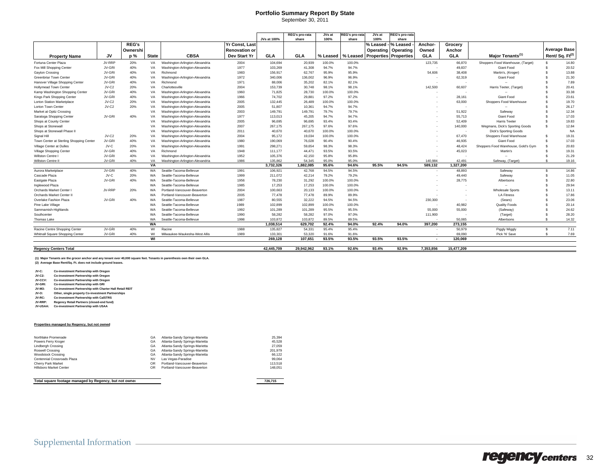### **Portfolio Summary Report By State**

| September 30, 2011 |  |  |
|--------------------|--|--|
|                    |  |  |

|                                         |         |              |              |                                 |                      | <b>JVs at 100%</b> | <b>REG's pro-rata</b><br>share | JVs at<br>100% | रEG's pro-rata<br>share | JVs at<br>100% | lEG's pro-rata<br>share      |                          |               |                                     |                    |                            |
|-----------------------------------------|---------|--------------|--------------|---------------------------------|----------------------|--------------------|--------------------------------|----------------|-------------------------|----------------|------------------------------|--------------------------|---------------|-------------------------------------|--------------------|----------------------------|
|                                         |         | <b>REG's</b> |              |                                 | Yr Const, Last       |                    |                                |                |                         | % Leased -   º | % Leased                     | Anchor-                  | Grocery       |                                     |                    |                            |
|                                         |         | Ownershi     |              |                                 | <b>Renovation or</b> |                    |                                |                |                         |                | Operating                    |                          |               |                                     |                    | <b>Average Base</b>        |
| <b>Property Name</b>                    | JV      | p %          | <b>State</b> | <b>CBSA</b>                     | Dev Start Yr         | <b>GLA</b>         | <b>GLA</b>                     | % Leased       | % Leased                | Operating      | <b>Properties Properties</b> | Owned<br>GLA             | Anchor<br>GLA | Major Tenants <sup>(1)</sup>        |                    | Rent/Sq. Ft <sup>(2)</sup> |
|                                         |         |              |              |                                 |                      |                    |                                |                |                         |                |                              |                          |               |                                     |                    |                            |
| Fortuna Center Plaza                    | JV-RRP  | 20%          | VA           | Washington-Arlington-Alexandria | 2004                 | 104,694            | 20,939                         | 100.0%         | 100.0%                  |                |                              | 123,735                  | 66,870        | Shoppers Food Warehouse, (Target)   |                    | 14.80                      |
| Fox Mill Shopping Center                | JV-GRI  | 40%          | VA           | Washington-Arlington-Alexandria | 1977                 | 103,269            | 41.308                         | 94.7%          | 94.7%                   |                |                              |                          | 49,837        | Giant Food                          |                    | 20.52                      |
| Gayton Crossing                         | JV-GRI  | 40%          | VA           | Richmond                        | 1983                 | 156,917            | 62,767                         | 95.9%          | 95.9%                   |                |                              | 54,606                   | 38,408        | Martin's, (Kroger)                  |                    | 13.88                      |
| Greenbriar Town Center                  | JV-GRI  | 40%          | VA           | Washington-Arlington-Alexandria | 1972                 | 340,006            | 136,002                        | 96.9%          | 96.9%                   |                |                              |                          | 62,319        | Giant Food                          |                    | 21.30                      |
| Hanover Village Shopping Center         | JV-GRI  | 40%          | VA           | Richmond                        | 1971                 | 88,006             | 35,202                         | 82.1%          | 82.1%                   |                |                              | $\sim$                   |               | ш.                                  |                    | 7.89                       |
| <b>Hollymead Town Center</b>            | JV-C2   | 20%          | VA           | Charlottesville                 | 2004                 | 153,739            | 30,748                         | 98.1%          | 98.1%                   |                |                              | 142,500                  | 60,607        | Harris Teeter, (Target)             |                    | 20.41                      |
| Kamp Washington Shopping Center         | JV-GRI  | 40%          | VA           | Washington-Arlington-Alexandria | 1960                 | 71.825             | 28.730                         | 100.0%         | 100.0%                  |                |                              |                          |               |                                     |                    | 33.38                      |
| Kings Park Shopping Center              | JV-GRI  | 40%          | VA           | Washington-Arlington-Alexandria | 1966                 | 74.702             | 29.88                          | 97.2%          | 97.2%                   |                |                              |                          | 28.161        | <b>Giant Food</b>                   |                    | 23.61                      |
| <b>Lorton Station Marketplace</b>       | JV-C2   | 20%          | VA           | Washington-Arlington-Alexandria | 2005                 | 132.445            | 26.489                         | 100.0%         | 100.0%                  |                |                              |                          | 63,000        | Shoppers Food Warehouse             |                    | 19.70                      |
| Lorton Town Center                      | $JV-C2$ | 20%          | VA           | Washington-Arlington-Alexandria | 2005                 | 51,807             | 10,36'                         | 94.7%          | 94.7%                   |                |                              |                          |               |                                     |                    | 26.17                      |
| Market at Opitz Crossing                |         |              | VA           | Washington-Arlington-Alexandria | 2003                 | 149.791            | 149.791                        | 79.7%          | 79.7%                   |                |                              |                          | 51,922        | Safeway                             |                    | 12.34                      |
| Saratoga Shopping Center                | JV-GRI  | 40%          | VA           | Washington-Arlington-Alexandria | 1977                 | 113,013            | 45.205                         | 94.7%          | 94.7%                   |                |                              |                          | 55.713        | Giant Food                          |                    | 17.03                      |
| Shops at County Center                  |         |              | VA           | Washington-Arlington-Alexandria | 2005                 | 96.695             | 96.695                         | 93.4%          | 93.4%                   |                |                              |                          | 52.409        | <b>Harris Teeter</b>                |                    | 19.83                      |
| Shops at Stonewall                      |         |              | VA           | Washington-Arlington-Alexandria | 2007                 | 267,175            | 267.175                        | 97.6%          | 97.6%                   |                |                              |                          | 140,000       | Wegmans, Dick's Sporting Goods      |                    | 12.84                      |
| Shops at Stonewall Phase                |         |              | VA           | Washington-Arlington-Alexandria | 2011                 | 40.670             | 40,670                         | 100.0%         | 100.0%                  |                |                              |                          |               | <b>Dick's Sporting Goods</b>        |                    | <b>NA</b>                  |
| Signal Hill                             | $JV-C2$ | 20%          | VA           | Washington-Arlington-Alexandria | 2004                 | 95,172             | 19,034                         | 100.0%         | 100.0%                  |                |                              |                          | 67.470        | Shoppers Food Warehouse             |                    | 19.31                      |
| Town Center at Sterling Shopping Center | JV-GRI  | 40%          | VA           | Washington-Arlington-Alexandria | 1980                 | 190,069            | 76,028                         | 90.4%          | 90.4%                   |                |                              |                          | 46,935        | Giant Food                          |                    | 17.03                      |
| Village Center at Dulles                | JV-C    | 20%          | VA           | Washington-Arlington-Alexandria | 1991                 | 298,271            | 59.654                         | 98.3%          | 98.3%                   |                |                              |                          | 48,424        | Shoppers Food Warehouse, Gold's Gym |                    | 20.83                      |
| Village Shopping Center                 | JV-GRI  | 40%          | VA           | Richmond                        | 1948                 | 111,177            | 44.47                          | 93.5%          | 93.5%                   |                |                              |                          | 45,023        | Martin's                            |                    | 19.31                      |
| Willston Centre I                       | JV-GRI  | 40%          | VA           | Washington-Arlington-Alexandria | 1952                 | 105,376            | 42.150                         | 95.8%          | 95.8%                   |                |                              |                          |               |                                     |                    | 21.29                      |
| Willston Centre II                      | JV-GRI  | 40%          | VA           | Washington-Arlington-Alexandria | 1986                 | 135.862            | 54.345                         | 95.0%          | 95.0%                   |                |                              | 140.984                  | 42.491        | Safeway, (Target)                   |                    | 19.16                      |
|                                         |         |              | <b>VA</b>    |                                 |                      | 3,732,326          | 1,882,085                      | 95.6%          | 94.6%                   | 95.5%          | 94.5%                        | 589,132                  | 1,327,200     |                                     |                    |                            |
| Aurora Marketplace                      | JV-GRI  | 40%          | WA           | Seattle-Tacoma-Bellevue         | 1991                 | 106,921            | 42,768                         | 94.5%          | 94.5%                   |                |                              |                          | 48,893        | Safeway                             | $\mathbf{\hat{s}}$ | 14.86                      |
| Cascade Plaza                           | JV-C    | 20%          | <b>WA</b>    | Seattle-Tacoma-Bellevue         | 1999                 | 211,072            | 42,214                         | 79.2%          | 79.2%                   |                |                              |                          | 49,440        | Safeway                             |                    | 11.05                      |
| Eastgate Plaza                          | JV-GRI  | 40%          | <b>WA</b>    | Seattle-Tacoma-Bellevue         | 1956                 | 78,230             | 31,292                         | 100.0%         | 100.0%                  |                |                              |                          | 28,775        | Albertsons                          |                    | 22.80                      |
| Inglewood Plaza                         |         |              | <b>WA</b>    | Seattle-Tacoma-Bellevue         | 1985                 | 17,253             | 17,253                         | 100.0%         | 100.0%                  |                |                              |                          |               |                                     |                    | 29.94                      |
| Orchards Market Center                  | JV-RRP  | 20%          | <b>WA</b>    | Portland-Vancouver-Beaverton    | 2004                 | 100.663            | 20.133                         | 100.0%         | 100.0%                  |                |                              |                          |               | <b>Wholesale Sports</b>             |                    | 13.11                      |
| Orchards Market Center II               |         |              | WA           | Portland-Vancouver-Beaverton    | 2005                 | 77,478             | 77,478                         | 89.9%          | 89.9%                   |                |                              |                          |               | <b>LA Fitness</b>                   |                    | 17.86                      |
| Overlake Fashion Plaza                  | JV-GRI  | 40%          | WA           | Seattle-Tacoma-Bellevue         | 1987                 | 80,555             | 32,222                         | 94.5%          | 94.5%                   |                |                              | 230,300                  |               | (Sears)                             |                    | 23.06                      |
| Pine Lake Village                       |         |              | <b>WA</b>    | Seattle-Tacoma-Bellevue         | 1989                 | 102.899            | 102.899                        | 100.0%         | 100.0%                  |                |                              |                          | 40,982        | <b>Quality Foods</b>                |                    | 20.14                      |
| Sammamish-Highlands                     |         |              | WA           | Seattle-Tacoma-Bellevue         | 1992                 | 101,289            | 101,289                        | 95.5%          | 95.5%                   |                |                              | 55,000                   | 55,000        | (Safeway)                           |                    | 24.62                      |
| Southcenter                             |         |              | WA           | Seattle-Tacoma-Bellevue         | 1990                 | 58,282             | 58,282                         | 97.0%          | 97.0%                   |                |                              | 111,900                  |               | (Target)                            |                    | 28.20                      |
| Thomas Lake                             |         |              | WA           | Seattle-Tacoma-Bellevue         | 1998                 | 103,872            | 103,872                        | 89.5%          | 89.5%                   |                |                              |                          | 50,065        | Albertsons                          |                    | 14.32                      |
|                                         |         |              | <b>WA</b>    |                                 |                      | 1,038,514          | 629,702                        | 92.4%          | 94.0%                   | 92.4%          | 94.0%                        | 397,200                  | 273,155       |                                     |                    |                            |
| Racine Centre Shopping Center           | JV-GRI  | 40%          | WI           | Racine                          | 1988                 | 135.827            | 54,331                         | 95.4%          | 95.4%                   |                |                              |                          | 50,979        | Piggly Wiggly                       | s.                 | 7.11                       |
| Whitnall Square Shopping Center         | JV-GRI  | 40%          | WI           | Milwaukee-Waukesha-West Allis   | 1989                 | 133.301            | 53,320                         | 91.6%          | 91.6%                   |                |                              |                          | 69.090        | Pick 'N' Save                       | - \$               | 7.69                       |
|                                         |         |              | WI           |                                 |                      | 269.128            | 107.651                        | 93.5%          | 93.5%                   | 93.5%          | 93.5%                        | $\overline{\phantom{a}}$ | 120.069       |                                     |                    |                            |
|                                         |         |              |              |                                 |                      |                    |                                |                |                         |                |                              |                          |               |                                     |                    |                            |
| <b>Regency Centers Total</b>            |         |              |              |                                 |                      | 42.445.709         | 29.942.962                     | 93.1%          | 92.6%                   | 93.4%          | 92.9%                        | 7.353.856                | 15.477.209    |                                     |                    |                            |

**(1) Major Tenants are the grocer anchor and any tenant over 40,000 square feet. Tenants in parenthesis own their own GLA. (2) Average Base Rent/Sq. Ft. does not include ground leases.**

**JV-C: Co-investment Partnership with Oregon JV-C2: Co-investment Partnership with Oregon**

**JV-CCV: Co-investment Partnership with Oregon**

**JV-GRI: Co-investment Partnership with GRI JV-M3: Co-investment Partnership with Charter Hall Retail REIT**

**JV-O: Other, single property Co-investment Partnerships JV-RC: Co-investment Partnership with CalSTRS**

**JV-RRP: Regency Retail Partners (closed-end fund) JV-USAA: Co-investment Partnership with USAA**

#### **Properties managed by Regency, but not owned**

| Northlake Promenade            | GA | Atlanta-Sandy Springs-Marietta | 25.394  |
|--------------------------------|----|--------------------------------|---------|
| Powers Ferry Kroger            | GA | Atlanta-Sandy Springs-Marietta | 45.528  |
| <b>Lindbergh Crossing</b>      | GA | Atlanta-Sandy Springs-Marietta | 27.059  |
| Roswell Crossing               | GA | Atlanta-Sandy Springs-Marietta | 201.979 |
| <b>Woodstock Crossing</b>      | GA | Atlanta-Sandy Springs-Marietta | 66.122  |
| Centennial Crossroads Plaza    | NV | Las Vegas-Paradise             | 99.064  |
| Cherry Park Market             | OR | Portland-Vancouver-Beaverton   | 113,518 |
| <b>Hillsboro Market Center</b> | OR | Portland-Vancouver-Beaverton   | 148.051 |

**Total square footage managed by Regency, but not owned 726,715**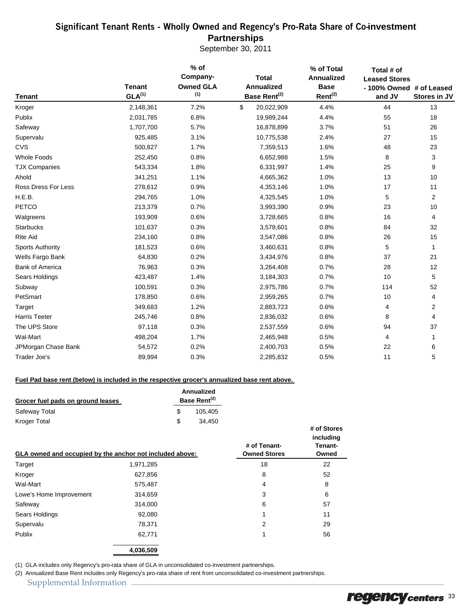### Significant Tenant Rents - Wholly Owned and Regency's Pro-Rata Share of Co-**investment Partnerships**

September 30, 2011

| <b>Tenant</b>           | <b>Tenant</b><br>GLA <sup>(1)</sup> | $%$ of<br>Company-<br><b>Owned GLA</b><br>(1) | <b>Total</b><br><b>Annualized</b><br>Base Rent <sup>(2)</sup> | % of Total<br><b>Annualized</b><br><b>Base</b><br>$Rent^{(2)}$ | Total # of<br><b>Leased Stores</b><br>- 100% Owned # of Leased<br>and JV | Stores in JV |
|-------------------------|-------------------------------------|-----------------------------------------------|---------------------------------------------------------------|----------------------------------------------------------------|--------------------------------------------------------------------------|--------------|
| Kroger                  | 2,148,361                           | 7.2%                                          | \$<br>20,022,909                                              | 4.4%                                                           | 44                                                                       | 13           |
| Publix                  | 2,031,785                           | 6.8%                                          | 19,989,244                                                    | 4.4%                                                           | 55                                                                       | 18           |
| Safeway                 | 1,707,700                           | 5.7%                                          | 16,878,899                                                    | 3.7%                                                           | 51                                                                       | 26           |
| Supervalu               | 925,485                             | 3.1%                                          | 10,775,538                                                    | 2.4%                                                           | 27                                                                       | 15           |
| CVS                     | 500,827                             | 1.7%                                          | 7,359,513                                                     | 1.6%                                                           | 48                                                                       | 23           |
| <b>Whole Foods</b>      | 252,450                             | 0.8%                                          | 6,652,988                                                     | 1.5%                                                           | 8                                                                        | 3            |
| <b>TJX Companies</b>    | 543,334                             | 1.8%                                          | 6,331,997                                                     | 1.4%                                                           | 25                                                                       | 9            |
| Ahold                   | 341,251                             | 1.1%                                          | 4,665,362                                                     | 1.0%                                                           | 13                                                                       | 10           |
| Ross Dress For Less     | 278,612                             | 0.9%                                          | 4,353,146                                                     | 1.0%                                                           | 17                                                                       | 11           |
| H.E.B.                  | 294,765                             | 1.0%                                          | 4,325,545                                                     | 1.0%                                                           | 5                                                                        | 2            |
| PETCO                   | 213,379                             | 0.7%                                          | 3,993,390                                                     | 0.9%                                                           | 23                                                                       | 10           |
| Walgreens               | 193,909                             | 0.6%                                          | 3,728,665                                                     | 0.8%                                                           | 16                                                                       | 4            |
| <b>Starbucks</b>        | 101,637                             | 0.3%                                          | 3,578,601                                                     | 0.8%                                                           | 84                                                                       | 32           |
| <b>Rite Aid</b>         | 234,160                             | 0.8%                                          | 3,547,086                                                     | 0.8%                                                           | 26                                                                       | 15           |
| <b>Sports Authority</b> | 181,523                             | 0.6%                                          | 3,460,631                                                     | 0.8%                                                           | 5                                                                        | 1            |
| Wells Fargo Bank        | 64,830                              | 0.2%                                          | 3,434,976                                                     | 0.8%                                                           | 37                                                                       | 21           |
| <b>Bank of America</b>  | 76,963                              | 0.3%                                          | 3,264,408                                                     | 0.7%                                                           | 28                                                                       | 12           |
| Sears Holdings          | 423,487                             | 1.4%                                          | 3,184,303                                                     | 0.7%                                                           | 10                                                                       | 5            |
| Subway                  | 100,591                             | 0.3%                                          | 2,975,786                                                     | 0.7%                                                           | 114                                                                      | 52           |
| PetSmart                | 178,850                             | 0.6%                                          | 2,959,265                                                     | 0.7%                                                           | 10                                                                       | 4            |
| Target                  | 349,683                             | 1.2%                                          | 2,883,723                                                     | 0.6%                                                           | 4                                                                        | 2            |
| <b>Harris Teeter</b>    | 245,746                             | 0.8%                                          | 2,836,032                                                     | 0.6%                                                           | 8                                                                        | 4            |
| The UPS Store           | 97,118                              | 0.3%                                          | 2,537,559                                                     | 0.6%                                                           | 94                                                                       | 37           |
| Wal-Mart                | 498,204                             | 1.7%                                          | 2,465,948                                                     | 0.5%                                                           | 4                                                                        |              |
| JPMorgan Chase Bank     | 54,572                              | 0.2%                                          | 2,400,703                                                     | 0.5%                                                           | 22                                                                       | 6            |
| Trader Joe's            | 89,994                              | 0.3%                                          | 2,285,832                                                     | 0.5%                                                           | 11                                                                       | 5            |

#### **Fuel Pad base rent (below) is included in the respective grocer's annualized base rent above.**

| Grocer fuel pads on ground leases | Annualized<br>Base Rent <sup>(2)</sup> |
|-----------------------------------|----------------------------------------|
| Safeway Total                     | 105.405                                |
| Kroger Total                      | 34.450                                 |

| GLA owned and occupied by the anchor not included above: |           | # of Tenant-<br><b>Owned Stores</b> | # of Stores<br>including<br>Tenant-<br>Owned |
|----------------------------------------------------------|-----------|-------------------------------------|----------------------------------------------|
| Target                                                   | 1,971,285 | 18                                  | 22                                           |
| Kroger                                                   | 627,856   | 8                                   | 52                                           |
| Wal-Mart                                                 | 575,487   | 4                                   | 8                                            |
| Lowe's Home Improvement                                  | 314,659   | 3                                   | 6                                            |
| Safeway                                                  | 314,000   | 6                                   | 57                                           |
| Sears Holdings                                           | 92,080    |                                     | 11                                           |
| Supervalu                                                | 78,371    | 2                                   | 29                                           |
| Publix                                                   | 62,771    | 4                                   | 56                                           |
|                                                          | 4,036,509 |                                     |                                              |

(1) GLA includes only Regency's pro-rata share of GLA in unconsolidated co-investment partnerships.

(2) Annualized Base Rent includes only Regency's pro-rata share of rent from unconsolidated co-investment partnerships.

Supplemental Information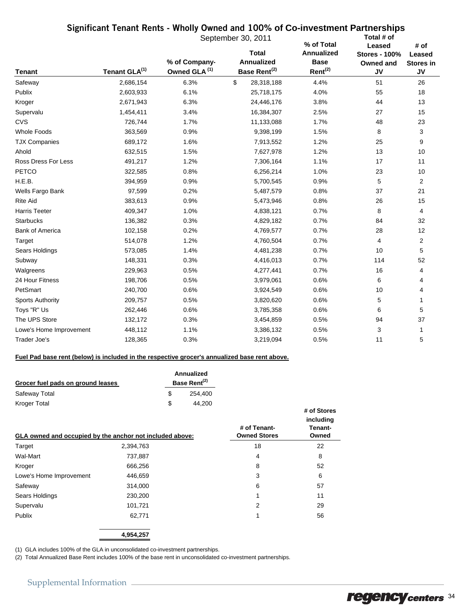### Significant Tenant Rents - Wholly Owned and 100% **of Co-investment Partnerships**

|                         |                           |                                          | September 30, 2011                                            | % of Total                                       | Total # of                                               |                                          |
|-------------------------|---------------------------|------------------------------------------|---------------------------------------------------------------|--------------------------------------------------|----------------------------------------------------------|------------------------------------------|
| <b>Tenant</b>           | Tenant GLA <sup>(1)</sup> | % of Company<br>Owned GLA <sup>(1)</sup> | <b>Total</b><br><b>Annualized</b><br>Base Rent <sup>(2)</sup> | <b>Annualized</b><br><b>Base</b><br>$Rent^{(2)}$ | Leased<br><b>Stores - 100%</b><br>Owned and<br><b>JV</b> | # of<br>Leased<br><b>Stores in</b><br>JV |
| Safeway                 | 2,686,154                 | 6.3%                                     | \$<br>28,318,188                                              | 4.4%                                             | 51                                                       | 26                                       |
| Publix                  | 2,603,933                 | 6.1%                                     | 25,718,175                                                    | 4.0%                                             | 55                                                       | 18                                       |
| Kroger                  | 2,671,943                 | 6.3%                                     | 24,446,176                                                    | 3.8%                                             | 44                                                       | 13                                       |
| Supervalu               | 1,454,411                 | 3.4%                                     | 16,384,307                                                    | 2.5%                                             | 27                                                       | 15                                       |
| <b>CVS</b>              | 726,744                   | 1.7%                                     | 11,133,088                                                    | 1.7%                                             | 48                                                       | 23                                       |
| <b>Whole Foods</b>      | 363,569                   | 0.9%                                     | 9,398,199                                                     | 1.5%                                             | 8                                                        | 3                                        |
| <b>TJX Companies</b>    | 689,172                   | 1.6%                                     | 7,913,552                                                     | 1.2%                                             | 25                                                       | 9                                        |
| Ahold                   | 632,515                   | 1.5%                                     | 7,627,978                                                     | 1.2%                                             | 13                                                       | 10                                       |
| Ross Dress For Less     | 491,217                   | 1.2%                                     | 7,306,164                                                     | 1.1%                                             | 17                                                       | 11                                       |
| <b>PETCO</b>            | 322,585                   | 0.8%                                     | 6,256,214                                                     | 1.0%                                             | 23                                                       | 10                                       |
| H.E.B.                  | 394,959                   | 0.9%                                     | 5,700,545                                                     | 0.9%                                             | 5                                                        | 2                                        |
| Wells Fargo Bank        | 97,599                    | 0.2%                                     | 5,487,579                                                     | 0.8%                                             | 37                                                       | 21                                       |
| <b>Rite Aid</b>         | 383,613                   | 0.9%                                     | 5,473,946                                                     | 0.8%                                             | 26                                                       | 15                                       |
| <b>Harris Teeter</b>    | 409,347                   | 1.0%                                     | 4,838,121                                                     | 0.7%                                             | 8                                                        | 4                                        |
| <b>Starbucks</b>        | 136,382                   | 0.3%                                     | 4,829,182                                                     | 0.7%                                             | 84                                                       | 32                                       |
| <b>Bank of America</b>  | 102,158                   | 0.2%                                     | 4,769,577                                                     | 0.7%                                             | 28                                                       | 12                                       |
| Target                  | 514,078                   | 1.2%                                     | 4,760,504                                                     | 0.7%                                             | 4                                                        | $\overline{2}$                           |
| Sears Holdings          | 573,085                   | 1.4%                                     | 4,481,238                                                     | 0.7%                                             | 10                                                       | 5                                        |
| Subway                  | 148,331                   | 0.3%                                     | 4,416,013                                                     | 0.7%                                             | 114                                                      | 52                                       |
| Walgreens               | 229,963                   | 0.5%                                     | 4,277,441                                                     | 0.7%                                             | 16                                                       | 4                                        |
| 24 Hour Fitness         | 198,706                   | 0.5%                                     | 3,979,061                                                     | 0.6%                                             | 6                                                        | 4                                        |
| PetSmart                | 240,700                   | 0.6%                                     | 3,924,549                                                     | 0.6%                                             | 10                                                       | 4                                        |
| <b>Sports Authority</b> | 209,757                   | 0.5%                                     | 3,820,620                                                     | 0.6%                                             | 5                                                        | 1                                        |
| Toys "R" Us             | 262,446                   | 0.6%                                     | 3,785,358                                                     | 0.6%                                             | 6                                                        | 5                                        |
| The UPS Store           | 132,172                   | 0.3%                                     | 3,454,859                                                     | 0.5%                                             | 94                                                       | 37                                       |
| Lowe's Home Improvement | 448,112                   | 1.1%                                     | 3,386,132                                                     | 0.5%                                             | 3                                                        | 1                                        |
| Trader Joe's            | 128,365                   | 0.3%                                     | 3,219,094                                                     | 0.5%                                             | 11                                                       | 5                                        |

#### **Fuel Pad base rent (below) is included in the respective grocer's annualized base rent above.**

| Grocer fuel pads on ground leases | Annualized<br>Base Rent <sup>(2)</sup> |  |  |
|-----------------------------------|----------------------------------------|--|--|
| Safeway Total                     | 254.400                                |  |  |
| Kroger Total                      | 44.200                                 |  |  |

| $$ $$ $$ $$ $$ $$ $$    | $\cdot$ , $\cdot$<br>GLA owned and occupied by the anchor not included above: | # of Tenant-<br><b>Owned Stores</b> | # of Stores<br>including<br>Tenant-<br>Owned |
|-------------------------|-------------------------------------------------------------------------------|-------------------------------------|----------------------------------------------|
| Target                  | 2,394,763                                                                     | 18                                  | 22                                           |
| Wal-Mart                | 737,887                                                                       | 4                                   | 8                                            |
| Kroger                  | 666,256                                                                       | 8                                   | 52                                           |
| Lowe's Home Improvement | 446,659                                                                       | 3                                   | 6                                            |
| Safeway                 | 314,000                                                                       | 6                                   | 57                                           |
| Sears Holdings          | 230,200                                                                       | 1                                   | 11                                           |
| Supervalu               | 101,721                                                                       | 2                                   | 29                                           |
| Publix                  | 62,771                                                                        | 1                                   | 56                                           |
|                         | 4,954,257                                                                     |                                     |                                              |

(1) GLA includes 100% of the GLA in unconsolidated co-investment partnerships.

(2) Total Annualized Base Rent includes 100% of the base rent in unconsolidated co-investment partnerships.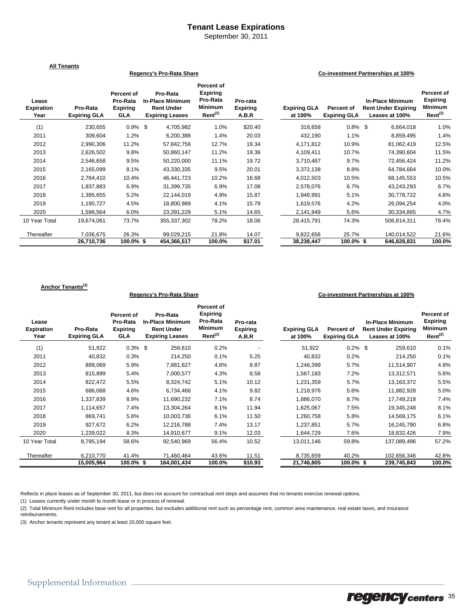#### **Tenant Lease Expirations**

September 30, 2011

|                                    | <b>All Tenants</b>              |                                                         |                                                                                    |                                                                                    |                                      |                                |                                   |                                                                         |                                                                        |
|------------------------------------|---------------------------------|---------------------------------------------------------|------------------------------------------------------------------------------------|------------------------------------------------------------------------------------|--------------------------------------|--------------------------------|-----------------------------------|-------------------------------------------------------------------------|------------------------------------------------------------------------|
| Regency's Pro-Rata Share           |                                 |                                                         |                                                                                    |                                                                                    |                                      |                                |                                   | Co-investment Partnerships at 100%                                      |                                                                        |
| Lease<br><b>Expiration</b><br>Year | Pro-Rata<br><b>Expiring GLA</b> | Percent of<br>Pro-Rata<br><b>Expiring</b><br><b>GLA</b> | Pro-Rata<br><b>In-Place Minimum</b><br><b>Rent Under</b><br><b>Expiring Leases</b> | Percent of<br><b>Expiring</b><br>Pro-Rata<br><b>Minimum</b><br>Rent <sup>(2)</sup> | Pro-rata<br><b>Expiring</b><br>A.B.R | <b>Expiring GLA</b><br>at 100% | Percent of<br><b>Expiring GLA</b> | <b>In-Place Minimum</b><br><b>Rent Under Expiring</b><br>Leases at 100% | <b>Percent of</b><br><b>Expiring</b><br><b>Minimum</b><br>$Rent^{(2)}$ |
| (1)                                | 230,655                         | $0.9\%$ \$                                              | 4,705,982                                                                          | 1.0%                                                                               | \$20.40                              | 318,658                        | $0.8\%$ \$                        | 6,664,018                                                               | 1.0%                                                                   |
| 2011                               | 309,604                         | 1.2%                                                    | 6,200,388                                                                          | 1.4%                                                                               | 20.03                                | 432,190                        | 1.1%                              | 8,859,495                                                               | 1.4%                                                                   |
| 2012                               | 2,990,306                       | 11.2%                                                   | 57,842,756                                                                         | 12.7%                                                                              | 19.34                                | 4,171,812                      | 10.9%                             | 81,062,419                                                              | 12.5%                                                                  |
| 2013                               | 2,626,502                       | 9.8%                                                    | 50,860,147                                                                         | 11.2%                                                                              | 19.36                                | 4,109,411                      | 10.7%                             | 74,390,604                                                              | 11.5%                                                                  |
| 2014                               | 2,546,658                       | 9.5%                                                    | 50,220,000                                                                         | 11.1%                                                                              | 19.72                                | 3,710,487                      | 9.7%                              | 72,456,424                                                              | 11.2%                                                                  |
| 2015                               | 2,165,099                       | 8.1%                                                    | 43,330,335                                                                         | 9.5%                                                                               | 20.01                                | 3,372,138                      | 8.8%                              | 64,784,664                                                              | 10.0%                                                                  |
| 2016                               | 2,784,410                       | 10.4%                                                   | 46.441.723                                                                         | 10.2%                                                                              | 16.68                                | 4,012,503                      | 10.5%                             | 68,145,553                                                              | 10.5%                                                                  |
| 2017                               | 1,837,883                       | 6.9%                                                    | 31,399,735                                                                         | 6.9%                                                                               | 17.08                                | 2,578,076                      | 6.7%                              | 43,243,293                                                              | 6.7%                                                                   |
| 2018                               | 1,395,655                       | 5.2%                                                    | 22,144,019                                                                         | 4.9%                                                                               | 15.87                                | 1,948,991                      | 5.1%                              | 30,778,722                                                              | 4.8%                                                                   |
| 2019                               | 1,190,727                       | 4.5%                                                    | 18,800,989                                                                         | 4.1%                                                                               | 15.79                                | 1,619,576                      | 4.2%                              | 26,094,254                                                              | 4.0%                                                                   |
| 2020                               | 1,596,564                       | 6.0%                                                    | 23,391,229                                                                         | 5.1%                                                                               | 14.65                                | 2,141,949                      | 5.6%                              | 30,334,865                                                              | 4.7%                                                                   |
| 10 Year Total                      | 19,674,061                      | 73.7%                                                   | 355,337,302                                                                        | 78.2%                                                                              | 18.06                                | 28,415,791                     | 74.3%                             | 506,814,311                                                             | 78.4%                                                                  |
| Thereafter                         | 7,036,675                       | 26.3%                                                   | 99,029,215                                                                         | 21.8%                                                                              | 14.07                                | 9,822,656                      | 25.7%                             | 140,014,522                                                             | 21.6%                                                                  |
|                                    | 26,710,736                      | $100.0\%$ \$                                            | 454.366.517                                                                        | 100.0%                                                                             | \$17.01                              | 38,238,447                     | $100.0\%$ \$                      | 646.828.831                                                             | 100.0%                                                                 |

#### **Anchor Tenants(3)**

#### **Regency's Pro-Rata Share Co-investment Partnerships at 100%**

| Lease<br><b>Expiration</b><br>Year | Pro-Rata<br><b>Expiring GLA</b> | Percent of<br>Pro-Rata<br><b>Expiring</b><br><b>GLA</b> | Pro-Rata<br><b>In-Place Minimum</b><br><b>Rent Under</b><br><b>Expiring Leases</b> | Percent of<br><b>Expiring</b><br>Pro-Rata<br><b>Minimum</b><br>Rent <sup>(2)</sup> | Pro-rata<br><b>Expiring</b><br>A.B.R | <b>Expiring GLA</b><br>at 100% | Percent of<br><b>Expiring GLA</b> | <b>In-Place Minimum</b><br><b>Rent Under Expiring</b><br>Leases at 100% | Percent of<br><b>Expiring</b><br>Minimum<br>Rent <sup>(2)</sup> |
|------------------------------------|---------------------------------|---------------------------------------------------------|------------------------------------------------------------------------------------|------------------------------------------------------------------------------------|--------------------------------------|--------------------------------|-----------------------------------|-------------------------------------------------------------------------|-----------------------------------------------------------------|
| (1)                                | 51,922                          | $0.3\%$ \$                                              | 259,610                                                                            | 0.2%                                                                               |                                      | 51,922                         | $0.2\%$ \$                        | 259,610                                                                 | 0.1%                                                            |
| 2011                               | 40,832                          | 0.3%                                                    | 214,250                                                                            | 0.1%                                                                               | 5.25                                 | 40,832                         | 0.2%                              | 214,250                                                                 | 0.1%                                                            |
| 2012                               | 889,069                         | 5.9%                                                    | 7,881,627                                                                          | 4.8%                                                                               | 8.87                                 | 1,246,399                      | 5.7%                              | 11,514,907                                                              | 4.8%                                                            |
| 2013                               | 815,899                         | 5.4%                                                    | 7,000,577                                                                          | 4.3%                                                                               | 8.58                                 | 1,567,183                      | 7.2%                              | 13,312,571                                                              | 5.6%                                                            |
| 2014                               | 822,472                         | 5.5%                                                    | 8,324,742                                                                          | 5.1%                                                                               | 10.12                                | 1,231,359                      | 5.7%                              | 13,163,372                                                              | 5.5%                                                            |
| 2015                               | 686,068                         | 4.6%                                                    | 6,734,466                                                                          | 4.1%                                                                               | 9.82                                 | 1,218,976                      | 5.6%                              | 11,882,928                                                              | 5.0%                                                            |
| 2016                               | 1,337,839                       | 8.9%                                                    | 11,690,232                                                                         | 7.1%                                                                               | 8.74                                 | 1,886,070                      | 8.7%                              | 17,749,218                                                              | 7.4%                                                            |
| 2017                               | 1,114,657                       | 7.4%                                                    | 13,304,264                                                                         | 8.1%                                                                               | 11.94                                | 1,625,067                      | 7.5%                              | 19,345,248                                                              | 8.1%                                                            |
| 2018                               | 869,741                         | 5.8%                                                    | 10,003,736                                                                         | 6.1%                                                                               | 11.50                                | 1,260,758                      | 5.8%                              | 14,569,175                                                              | 6.1%                                                            |
| 2019                               | 927,672                         | 6.2%                                                    | 12,216,788                                                                         | 7.4%                                                                               | 13.17                                | 1,237,851                      | 5.7%                              | 16,245,790                                                              | 6.8%                                                            |
| 2020                               | 1,239,022                       | 8.3%                                                    | 14,910,677                                                                         | 9.1%                                                                               | 12.03                                | 1,644,729                      | 7.6%                              | 18,832,426                                                              | 7.9%                                                            |
| 10 Year Total                      | 8,795,194                       | 58.6%                                                   | 92,540,969                                                                         | 56.4%                                                                              | 10.52                                | 13,011,146                     | 59.8%                             | 137,089,496                                                             | 57.2%                                                           |
| Thereafter                         | 6,210,770                       | 41.4%                                                   | 71,460,464                                                                         | 43.6%                                                                              | 11.51                                | 8,735,659                      | 40.2%                             | 102,656,346                                                             | 42.8%                                                           |
|                                    | 15,005,964                      | 100.0% \$                                               | 164,001,434                                                                        | 100.0%                                                                             | \$10.93                              | 21,746,805                     | 100.0%\$                          | 239,745,843                                                             | 100.0%                                                          |

Reflects in place leases as of September 30, 2011, but does not account for contractual rent steps and assumes that no tenants exercise renewal options.

(1) Leases currently under month to month lease or in process of renewal.

(2) Total Minimum Rent includes base rent for all properties, but excludes additional rent such as percentage rent, common area maintenance, real estate taxes, and insurance reimbursements.

(3) Anchor tenants represent any tenant at least 20,000 square feet.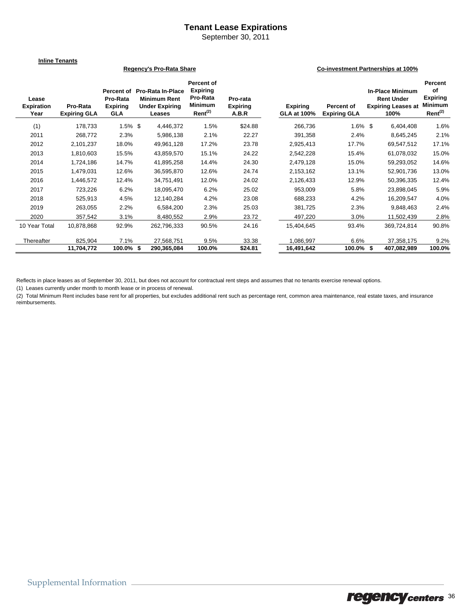### **Tenant Lease Expirations**

September 30, 2011

#### **Inline Tenants**

#### **Lease Expiration Year Pro-Rata Expiring GLA Percent of Pro-Rata In-Place Pro-Rata Expiring GLA Minimum Rent Under Expiring Leases Percent of Expiring Pro-Rata Minimum Rent(2) Pro-rata Expiring A.B.R Expiring GLA at 100% Percent of Expiring GLA In-Place Minimum Rent Under Expiring Leases at 100% Percent Expiring Minimum Rent(2)** (1) 178,733 1.5% \$ 4,446,372 1.5% \$24.88 266,736 1.6% \$ 6,404,408 1.6% 2011 268,772 2.3% 5,986,138 2.1% 22.27 391,358 2.4% 8,645,245 2.1% 2012 2,101,237 18.0% 49,961,128 17.2% 23.78 2,925,413 17.7% 69,547,512 17.1% 2013 1,810,603 15.5% 43,859,570 15.1% 24.22 2,542,228 15.4% 61,078,032 15.0% 2014 1,724,186 14.7% 41,895,258 14.4% 24.30 2,479,128 15.0% 59,293,052 14.6% 2015 1,479,031 12.6% 36,595,870 12.6% 24.74 2,153,162 13.1% 52,901,736 13.0% 2016 1,446,572 12.4% 34,751,491 12.0% 24.02 2,126,433 12.9% 50,396,335 12.4% 2017 723,226 6.2% 18,095,470 6.2% 25.02 953,009 5.8% 23,898,045 5.9% 2018 525,913 4.5% 12,140,284 4.2% 23.08 688,233 4.2% 16,209,547 4.0% 2019 263,055 2.2% 6,584,200 2.3% 25.03 381,725 2.3% 9,848,463 2.4% 2020 357,542 3.1% 8,480,552 2.9% 23.72 497,220 3.0% 11,502,439 2.8% 10 Year Total 10,878,868 92.9% 262,796,333 90.5% 24.16 15,404,645 93.4% 369,724,814 90.8% Thereafter 825,904 7.1% 27,568,751 9.5% 33.38 1,086,997 6.6% 37,358,175 9.2% **11,704,772 100.0% 290,365,084 \$ 100.0% \$24.81 16,491,642 100.0% 407,082,989 \$ 100.0% Regency's Pro-Rata Share Co-investment Partnerships at 100%**

Reflects in place leases as of September 30, 2011, but does not account for contractual rent steps and assumes that no tenants exercise renewal options.

(1) Leases currently under month to month lease or in process of renewal.

(2) Total Minimum Rent includes base rent for all properties, but excludes additional rent such as percentage rent, common area maintenance, real estate taxes, and insurance reimbursements.

**of**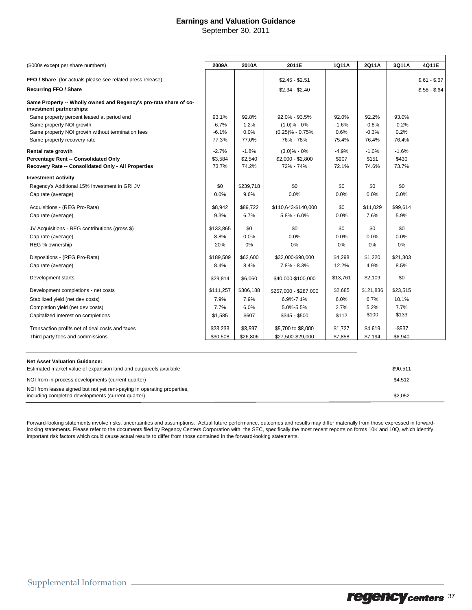### **Earnings and Valuation Guidance**

September 30, 2011

| (\$000s except per share numbers)                                                             | 2009A     | 2010A     | 2011E                 | 1Q11A    | 2Q11A     | 3Q11A    | 4Q11E         |
|-----------------------------------------------------------------------------------------------|-----------|-----------|-----------------------|----------|-----------|----------|---------------|
| FFO / Share (for actuals please see related press release)                                    |           |           | $$2.45 - $2.51$       |          |           |          | $$.61 - $.67$ |
|                                                                                               |           |           |                       |          |           |          |               |
| <b>Recurring FFO / Share</b>                                                                  |           |           | $$2.34 - $2.40$       |          |           |          | $$.58 - $.64$ |
| Same Property -- Wholly owned and Regency's pro-rata share of co-<br>investment partnerships: |           |           |                       |          |           |          |               |
| Same property percent leased at period end                                                    | 93.1%     | 92.8%     | 92.0% - 93.5%         | 92.0%    | 92.2%     | 93.0%    |               |
| Same property NOI growth                                                                      | $-6.7%$   | 1.2%      | $(1.0)$ % - 0%        | $-1.6%$  | $-0.8%$   | $-0.2%$  |               |
| Same property NOI growth without termination fees                                             | $-6.1%$   | 0.0%      | $(0.25)\% - 0.75\%$   | 0.6%     | $-0.3%$   | 0.2%     |               |
| Same property recovery rate                                                                   | 77.3%     | 77.0%     | 76% - 78%             | 75.4%    | 76.4%     | 76.4%    |               |
| Rental rate growth                                                                            | $-2.7%$   | $-1.8%$   | $(3.0)$ % - 0%        | $-4.9%$  | $-1.0%$   | $-1.6%$  |               |
| Percentage Rent -- Consolidated Only                                                          | \$3,584   | \$2,540   | $$2,000 - $2,800$     | \$907    | \$151     | \$430    |               |
| Recovery Rate -- Consolidated Only - All Properties                                           | 73.7%     | 74.2%     | 72% - 74%             | 72.1%    | 74.6%     | 73.7%    |               |
| <b>Investment Activity</b>                                                                    |           |           |                       |          |           |          |               |
| Regency's Additional 15% Investment in GRI JV                                                 | \$0       | \$239,718 | \$0                   | \$0      | \$0       | \$0      |               |
| Cap rate (average)                                                                            | 0.0%      | 9.6%      | 0.0%                  | 0.0%     | 0.0%      | 0.0%     |               |
| Acquisitions - (REG Pro-Rata)                                                                 | \$8,942   | \$89,722  | \$110,643-\$140,000   | \$0      | \$11,029  | \$99,614 |               |
| Cap rate (average)                                                                            | 9.3%      | 6.7%      | $5.8\% - 6.0\%$       | 0.0%     | 7.6%      | 5.9%     |               |
| JV Acquisitions - REG contributions (gross \$)                                                | \$133,865 | \$0       | \$0                   | \$0      | \$0       | \$0      |               |
| Cap rate (average)                                                                            | 8.8%      | 0.0%      | 0.0%                  | 0.0%     | 0.0%      | 0.0%     |               |
| REG % ownership                                                                               | 20%       | 0%        | 0%                    | 0%       | 0%        | 0%       |               |
| Dispositions - (REG Pro-Rata)                                                                 | \$189,509 | \$62,600  | \$32,000-\$90,000     | \$4,298  | \$1,220   | \$21,303 |               |
| Cap rate (average)                                                                            | 8.4%      | 8.4%      | $7.8\% - 8.3\%$       | 12.2%    | 4.9%      | 8.5%     |               |
| Development starts                                                                            | \$29,814  | \$6,060   | \$40,000-\$100,000    | \$13,761 | \$2,109   | \$0      |               |
| Development completions - net costs                                                           | \$111,257 | \$306,188 | \$257,000 - \$287,000 | \$2,685  | \$121,836 | \$23,515 |               |
| Stabilized yield (net dev costs)                                                              | 7.9%      | 7.9%      | 6.9%-7.1%             | 6.0%     | 6.7%      | 10.1%    |               |
| Completion yield (net dev costs)                                                              | 7.7%      | 6.0%      | 5.0%-5.5%             | 2.7%     | 5.2%      | 7.7%     |               |
| Capitalized interest on completions                                                           | \$1,585   | \$607     | $$345 - $500$         | \$112    | \$100     | \$133    |               |
| Transaction profits net of deal costs and taxes                                               | \$23,233  | \$3,597   | \$5,700 to \$8,000    | \$1,727  | \$4,619   | $-5537$  |               |
| Third party fees and commissions                                                              | \$30,508  | \$26,806  | \$27,500-\$29,000     | \$7,858  | \$7,194   | \$6,940  |               |

| <b>Net Asset Valuation Guidance:</b><br>Estimated market value of expansion land and outparcels available                     | \$90.511 |
|-------------------------------------------------------------------------------------------------------------------------------|----------|
| NOI from in-process developments (current quarter)                                                                            | \$4.512  |
| NOI from leases signed but not yet rent-paying in operating properties,<br>including completed developments (current quarter) | \$2.052  |

Forward-looking statements involve risks, uncertainties and assumptions. Actual future performance, outcomes and results may differ materially from those expressed in forwardlooking statements. Please refer to the documents filed by Regency Centers Corporation with the SEC, specifically the most recent reports on forms 10K and 10Q, which identify important risk factors which could cause actual results to differ from those contained in the forward-looking statements.